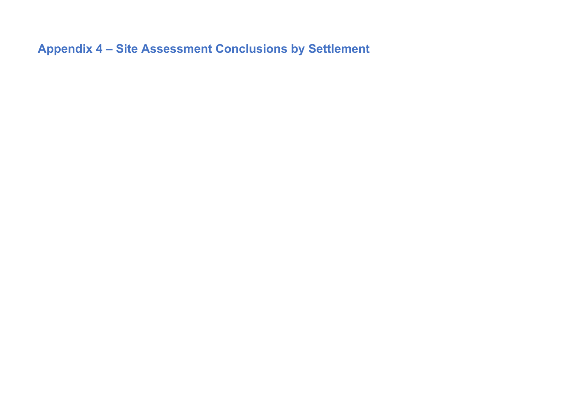**Appendix 4 – Site Assessment Conclusions by Settlement**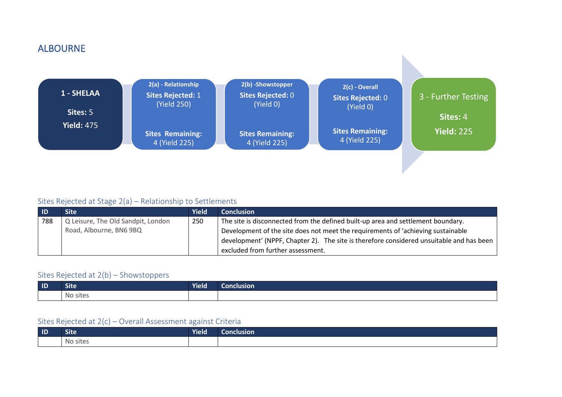### ALBOURNE



#### Sites Rejected at Stage 2(a) – Relationship to Settlements

| <b>ID</b> | Site'                              | <b>Yield</b> | <b>Conclusion</b>                                                                                         |
|-----------|------------------------------------|--------------|-----------------------------------------------------------------------------------------------------------|
| 788       | Q Leisure, The Old Sandpit, London | 250          | The site is disconnected from the defined built-up area and settlement boundary.                          |
|           | Road, Albourne, BN6 9BQ            |              | Development of the site does not meet the requirements of 'achieving sustainable                          |
|           |                                    |              | $\vdash$ development' (NPPF, Chapter 2). The site is therefore considered unsuitable and has been $\vert$ |
|           |                                    |              | excluded from further assessment.                                                                         |

#### Sites Rejected at 2(b) – Showstoppers

| $\blacksquare$ | <b>Site</b>                   | <b>Yield</b> | Conclusion |
|----------------|-------------------------------|--------------|------------|
|                | . .<br>sites<br>n 1 A<br>∣∖⊌∪ |              |            |

| $\blacksquare$ | <b>Site</b> | Yield | <b>Conclusion</b> |
|----------------|-------------|-------|-------------------|
|                | No sites    |       |                   |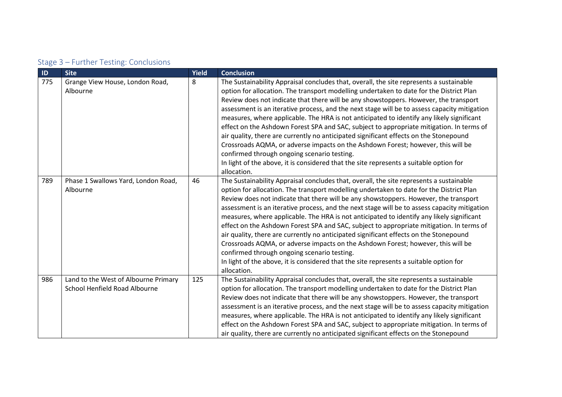| Stage 3 - Further Testing: Conclusions |  |  |
|----------------------------------------|--|--|
|----------------------------------------|--|--|

| ID  | <b>Site</b>                                                           | Yield | <b>Conclusion</b>                                                                                                                                                                                                                                                                                                                                                                                                                                                                                                                                                                                                                                                                                                                                                                                                                                                                                        |
|-----|-----------------------------------------------------------------------|-------|----------------------------------------------------------------------------------------------------------------------------------------------------------------------------------------------------------------------------------------------------------------------------------------------------------------------------------------------------------------------------------------------------------------------------------------------------------------------------------------------------------------------------------------------------------------------------------------------------------------------------------------------------------------------------------------------------------------------------------------------------------------------------------------------------------------------------------------------------------------------------------------------------------|
| 775 | Grange View House, London Road,<br>Albourne                           | 8     | The Sustainability Appraisal concludes that, overall, the site represents a sustainable<br>option for allocation. The transport modelling undertaken to date for the District Plan<br>Review does not indicate that there will be any showstoppers. However, the transport<br>assessment is an iterative process, and the next stage will be to assess capacity mitigation<br>measures, where applicable. The HRA is not anticipated to identify any likely significant<br>effect on the Ashdown Forest SPA and SAC, subject to appropriate mitigation. In terms of<br>air quality, there are currently no anticipated significant effects on the Stonepound<br>Crossroads AQMA, or adverse impacts on the Ashdown Forest; however, this will be<br>confirmed through ongoing scenario testing.<br>In light of the above, it is considered that the site represents a suitable option for<br>allocation. |
| 789 | Phase 1 Swallows Yard, London Road,<br>Albourne                       | 46    | The Sustainability Appraisal concludes that, overall, the site represents a sustainable<br>option for allocation. The transport modelling undertaken to date for the District Plan<br>Review does not indicate that there will be any showstoppers. However, the transport<br>assessment is an iterative process, and the next stage will be to assess capacity mitigation<br>measures, where applicable. The HRA is not anticipated to identify any likely significant<br>effect on the Ashdown Forest SPA and SAC, subject to appropriate mitigation. In terms of<br>air quality, there are currently no anticipated significant effects on the Stonepound<br>Crossroads AQMA, or adverse impacts on the Ashdown Forest; however, this will be<br>confirmed through ongoing scenario testing.<br>In light of the above, it is considered that the site represents a suitable option for<br>allocation. |
| 986 | Land to the West of Albourne Primary<br>School Henfield Road Albourne | 125   | The Sustainability Appraisal concludes that, overall, the site represents a sustainable<br>option for allocation. The transport modelling undertaken to date for the District Plan<br>Review does not indicate that there will be any showstoppers. However, the transport<br>assessment is an iterative process, and the next stage will be to assess capacity mitigation<br>measures, where applicable. The HRA is not anticipated to identify any likely significant<br>effect on the Ashdown Forest SPA and SAC, subject to appropriate mitigation. In terms of<br>air quality, there are currently no anticipated significant effects on the Stonepound                                                                                                                                                                                                                                             |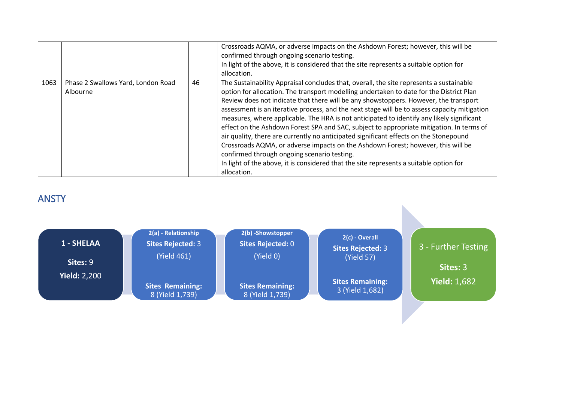|      |                                                |    | Crossroads AQMA, or adverse impacts on the Ashdown Forest; however, this will be<br>confirmed through ongoing scenario testing.<br>In light of the above, it is considered that the site represents a suitable option for<br>allocation.                                                                                                                                                                                                                                                                                                                                                                                                                                                                                                                                                                                                                                                                 |
|------|------------------------------------------------|----|----------------------------------------------------------------------------------------------------------------------------------------------------------------------------------------------------------------------------------------------------------------------------------------------------------------------------------------------------------------------------------------------------------------------------------------------------------------------------------------------------------------------------------------------------------------------------------------------------------------------------------------------------------------------------------------------------------------------------------------------------------------------------------------------------------------------------------------------------------------------------------------------------------|
| 1063 | Phase 2 Swallows Yard, London Road<br>Albourne | 46 | The Sustainability Appraisal concludes that, overall, the site represents a sustainable<br>option for allocation. The transport modelling undertaken to date for the District Plan<br>Review does not indicate that there will be any showstoppers. However, the transport<br>assessment is an iterative process, and the next stage will be to assess capacity mitigation<br>measures, where applicable. The HRA is not anticipated to identify any likely significant<br>effect on the Ashdown Forest SPA and SAC, subject to appropriate mitigation. In terms of<br>air quality, there are currently no anticipated significant effects on the Stonepound<br>Crossroads AQMA, or adverse impacts on the Ashdown Forest; however, this will be<br>confirmed through ongoing scenario testing.<br>In light of the above, it is considered that the site represents a suitable option for<br>allocation. |

### ANSTY

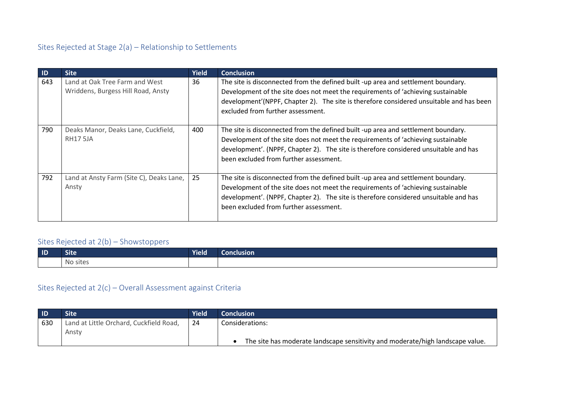### Sites Rejected at Stage 2(a) – Relationship to Settlements

| $\blacksquare$ | <b>Site</b>                                                          | <b>Yield</b> | <b>Conclusion</b>                                                                                                                                                                                                                                                                                       |
|----------------|----------------------------------------------------------------------|--------------|---------------------------------------------------------------------------------------------------------------------------------------------------------------------------------------------------------------------------------------------------------------------------------------------------------|
| 643            | Land at Oak Tree Farm and West<br>Wriddens, Burgess Hill Road, Ansty | 36           | The site is disconnected from the defined built -up area and settlement boundary.<br>Development of the site does not meet the requirements of 'achieving sustainable<br>development'(NPPF, Chapter 2). The site is therefore considered unsuitable and has been<br>excluded from further assessment.   |
| 790            | Deaks Manor, Deaks Lane, Cuckfield,<br><b>RH17 5JA</b>               | 400          | The site is disconnected from the defined built -up area and settlement boundary.<br>Development of the site does not meet the requirements of 'achieving sustainable<br>development'. (NPPF, Chapter 2). The site is therefore considered unsuitable and has<br>been excluded from further assessment. |
| 792            | Land at Ansty Farm (Site C), Deaks Lane,<br>Ansty                    | 25           | The site is disconnected from the defined built -up area and settlement boundary.<br>Development of the site does not meet the requirements of 'achieving sustainable<br>development'. (NPPF, Chapter 2). The site is therefore considered unsuitable and has<br>been excluded from further assessment. |

### Sites Rejected at 2(b) – Showstoppers

| $\blacksquare$ | <b>Site</b>               | <b>Yield</b> | Conclusion |
|----------------|---------------------------|--------------|------------|
|                | $\sim$ $\sim$<br>No sites |              |            |

| l ID | Site                                    | <b>Yield</b> | <b>Conclusion</b>                                                              |
|------|-----------------------------------------|--------------|--------------------------------------------------------------------------------|
| 630  | Land at Little Orchard, Cuckfield Road, | 24           | Considerations:                                                                |
|      | Ansty                                   |              |                                                                                |
|      |                                         |              | The site has moderate landscape sensitivity and moderate/high landscape value. |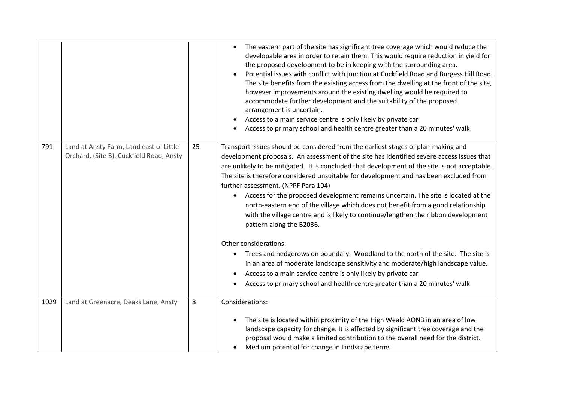|      |                                                                                     |    | The eastern part of the site has significant tree coverage which would reduce the<br>developable area in order to retain them. This would require reduction in yield for<br>the proposed development to be in keeping with the surrounding area.<br>Potential issues with conflict with junction at Cuckfield Road and Burgess Hill Road.<br>The site benefits from the existing access from the dwelling at the front of the site,<br>however improvements around the existing dwelling would be required to<br>accommodate further development and the suitability of the proposed<br>arrangement is uncertain.<br>Access to a main service centre is only likely by private car<br>Access to primary school and health centre greater than a 20 minutes' walk                                                                                                                                                                                                                                                                                                                   |
|------|-------------------------------------------------------------------------------------|----|------------------------------------------------------------------------------------------------------------------------------------------------------------------------------------------------------------------------------------------------------------------------------------------------------------------------------------------------------------------------------------------------------------------------------------------------------------------------------------------------------------------------------------------------------------------------------------------------------------------------------------------------------------------------------------------------------------------------------------------------------------------------------------------------------------------------------------------------------------------------------------------------------------------------------------------------------------------------------------------------------------------------------------------------------------------------------------|
| 791  | Land at Ansty Farm, Land east of Little<br>Orchard, (Site B), Cuckfield Road, Ansty | 25 | Transport issues should be considered from the earliest stages of plan-making and<br>development proposals. An assessment of the site has identified severe access issues that<br>are unlikely to be mitigated. It is concluded that development of the site is not acceptable.<br>The site is therefore considered unsuitable for development and has been excluded from<br>further assessment. (NPPF Para 104)<br>Access for the proposed development remains uncertain. The site is located at the<br>$\bullet$<br>north-eastern end of the village which does not benefit from a good relationship<br>with the village centre and is likely to continue/lengthen the ribbon development<br>pattern along the B2036.<br>Other considerations:<br>Trees and hedgerows on boundary. Woodland to the north of the site. The site is<br>$\bullet$<br>in an area of moderate landscape sensitivity and moderate/high landscape value.<br>Access to a main service centre is only likely by private car<br>Access to primary school and health centre greater than a 20 minutes' walk |
| 1029 | Land at Greenacre, Deaks Lane, Ansty                                                | 8  | Considerations:<br>The site is located within proximity of the High Weald AONB in an area of low<br>landscape capacity for change. It is affected by significant tree coverage and the<br>proposal would make a limited contribution to the overall need for the district.<br>Medium potential for change in landscape terms                                                                                                                                                                                                                                                                                                                                                                                                                                                                                                                                                                                                                                                                                                                                                       |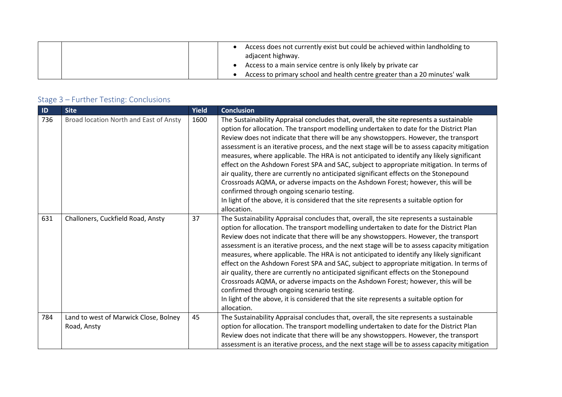|  |  | Access does not currently exist but could be achieved within landholding to<br>adjacent highway. |
|--|--|--------------------------------------------------------------------------------------------------|
|  |  | Access to a main service centre is only likely by private car                                    |
|  |  | Access to primary school and health centre greater than a 20 minutes' walk                       |

| ID  | <b>Site</b>                                          | Yield | <b>Conclusion</b>                                                                                                                                                                                                                                                                                                                                                                                                                                                                                                                                                                                                                                                                                                                                                                                                                                                                                        |
|-----|------------------------------------------------------|-------|----------------------------------------------------------------------------------------------------------------------------------------------------------------------------------------------------------------------------------------------------------------------------------------------------------------------------------------------------------------------------------------------------------------------------------------------------------------------------------------------------------------------------------------------------------------------------------------------------------------------------------------------------------------------------------------------------------------------------------------------------------------------------------------------------------------------------------------------------------------------------------------------------------|
| 736 | Broad location North and East of Ansty               | 1600  | The Sustainability Appraisal concludes that, overall, the site represents a sustainable<br>option for allocation. The transport modelling undertaken to date for the District Plan<br>Review does not indicate that there will be any showstoppers. However, the transport<br>assessment is an iterative process, and the next stage will be to assess capacity mitigation<br>measures, where applicable. The HRA is not anticipated to identify any likely significant<br>effect on the Ashdown Forest SPA and SAC, subject to appropriate mitigation. In terms of<br>air quality, there are currently no anticipated significant effects on the Stonepound<br>Crossroads AQMA, or adverse impacts on the Ashdown Forest; however, this will be<br>confirmed through ongoing scenario testing.<br>In light of the above, it is considered that the site represents a suitable option for<br>allocation. |
| 631 | Challoners, Cuckfield Road, Ansty                    | 37    | The Sustainability Appraisal concludes that, overall, the site represents a sustainable<br>option for allocation. The transport modelling undertaken to date for the District Plan<br>Review does not indicate that there will be any showstoppers. However, the transport<br>assessment is an iterative process, and the next stage will be to assess capacity mitigation<br>measures, where applicable. The HRA is not anticipated to identify any likely significant<br>effect on the Ashdown Forest SPA and SAC, subject to appropriate mitigation. In terms of<br>air quality, there are currently no anticipated significant effects on the Stonepound<br>Crossroads AQMA, or adverse impacts on the Ashdown Forest; however, this will be<br>confirmed through ongoing scenario testing.<br>In light of the above, it is considered that the site represents a suitable option for<br>allocation. |
| 784 | Land to west of Marwick Close, Bolney<br>Road, Ansty | 45    | The Sustainability Appraisal concludes that, overall, the site represents a sustainable<br>option for allocation. The transport modelling undertaken to date for the District Plan<br>Review does not indicate that there will be any showstoppers. However, the transport<br>assessment is an iterative process, and the next stage will be to assess capacity mitigation                                                                                                                                                                                                                                                                                                                                                                                                                                                                                                                               |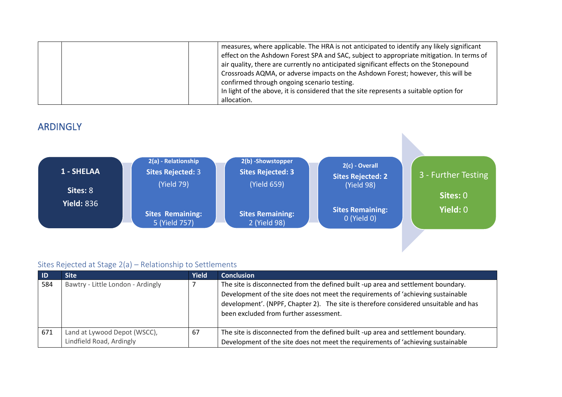| measures, where applicable. The HRA is not anticipated to identify any likely significant<br>effect on the Ashdown Forest SPA and SAC, subject to appropriate mitigation. In terms of                                    |
|--------------------------------------------------------------------------------------------------------------------------------------------------------------------------------------------------------------------------|
| air quality, there are currently no anticipated significant effects on the Stonepound<br>Crossroads AQMA, or adverse impacts on the Ashdown Forest; however, this will be<br>confirmed through ongoing scenario testing. |
| In light of the above, it is considered that the site represents a suitable option for<br>allocation.                                                                                                                    |

### ARDINGLY



#### Sites Rejected at Stage 2(a) – Relationship to Settlements

| - ID | <b>Site</b>                                              | <b>Yield</b> | <b>Conclusion</b>                                                                                                                                                                                                                                                                                       |
|------|----------------------------------------------------------|--------------|---------------------------------------------------------------------------------------------------------------------------------------------------------------------------------------------------------------------------------------------------------------------------------------------------------|
| 584  | Bawtry - Little London - Ardingly                        |              | The site is disconnected from the defined built -up area and settlement boundary.<br>Development of the site does not meet the requirements of 'achieving sustainable<br>development'. (NPPF, Chapter 2). The site is therefore considered unsuitable and has<br>been excluded from further assessment. |
| 671  | Land at Lywood Depot (WSCC),<br>Lindfield Road, Ardingly | 67           | The site is disconnected from the defined built -up area and settlement boundary.<br>Development of the site does not meet the requirements of 'achieving sustainable                                                                                                                                   |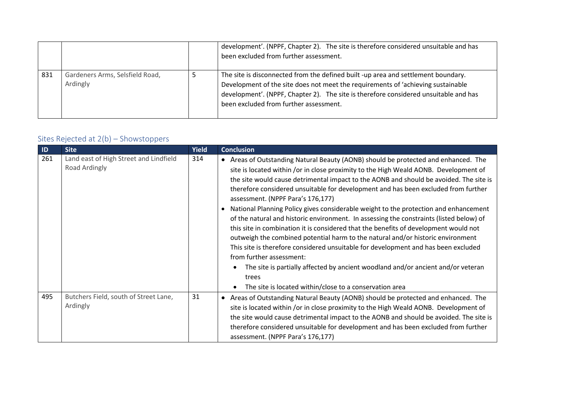|     |                                             | development'. (NPPF, Chapter 2). The site is therefore considered unsuitable and has<br>been excluded from further assessment.                                                                                                                                                                          |
|-----|---------------------------------------------|---------------------------------------------------------------------------------------------------------------------------------------------------------------------------------------------------------------------------------------------------------------------------------------------------------|
| 831 | Gardeners Arms, Selsfield Road,<br>Ardingly | The site is disconnected from the defined built -up area and settlement boundary.<br>Development of the site does not meet the requirements of 'achieving sustainable<br>development'. (NPPF, Chapter 2). The site is therefore considered unsuitable and has<br>been excluded from further assessment. |

# Sites Rejected at 2(b) – Showstoppers

| $\blacksquare$ | <b>Site</b>                                             | <b>Yield</b> | <b>Conclusion</b>                                                                                                                                                                                                                                                                                                                                                                                                                                                                                                                                                                                                                                                                                                                                                                                                                                                                                                                                                                                                                       |
|----------------|---------------------------------------------------------|--------------|-----------------------------------------------------------------------------------------------------------------------------------------------------------------------------------------------------------------------------------------------------------------------------------------------------------------------------------------------------------------------------------------------------------------------------------------------------------------------------------------------------------------------------------------------------------------------------------------------------------------------------------------------------------------------------------------------------------------------------------------------------------------------------------------------------------------------------------------------------------------------------------------------------------------------------------------------------------------------------------------------------------------------------------------|
| 261            | Land east of High Street and Lindfield<br>Road Ardingly | 314          | • Areas of Outstanding Natural Beauty (AONB) should be protected and enhanced. The<br>site is located within /or in close proximity to the High Weald AONB. Development of<br>the site would cause detrimental impact to the AONB and should be avoided. The site is<br>therefore considered unsuitable for development and has been excluded from further<br>assessment. (NPPF Para's 176,177)<br>National Planning Policy gives considerable weight to the protection and enhancement<br>of the natural and historic environment. In assessing the constraints (listed below) of<br>this site in combination it is considered that the benefits of development would not<br>outweigh the combined potential harm to the natural and/or historic environment<br>This site is therefore considered unsuitable for development and has been excluded<br>from further assessment:<br>The site is partially affected by ancient woodland and/or ancient and/or veteran<br>trees<br>The site is located within/close to a conservation area |
| 495            | Butchers Field, south of Street Lane,<br>Ardingly       | 31           | Areas of Outstanding Natural Beauty (AONB) should be protected and enhanced. The<br>$\bullet$<br>site is located within /or in close proximity to the High Weald AONB. Development of<br>the site would cause detrimental impact to the AONB and should be avoided. The site is<br>therefore considered unsuitable for development and has been excluded from further<br>assessment. (NPPF Para's 176,177)                                                                                                                                                                                                                                                                                                                                                                                                                                                                                                                                                                                                                              |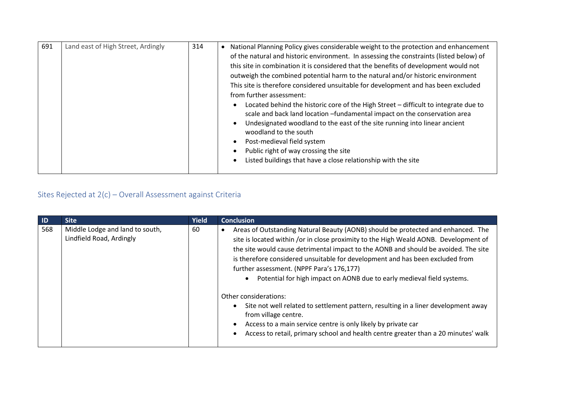| 691 | Land east of High Street, Ardingly | 314 | National Planning Policy gives considerable weight to the protection and enhancement<br>$\bullet$<br>of the natural and historic environment. In assessing the constraints (listed below) of<br>this site in combination it is considered that the benefits of development would not<br>outweigh the combined potential harm to the natural and/or historic environment<br>This site is therefore considered unsuitable for development and has been excluded<br>from further assessment:<br>Located behind the historic core of the High Street - difficult to integrate due to<br>scale and back land location -fundamental impact on the conservation area<br>Undesignated woodland to the east of the site running into linear ancient<br>woodland to the south<br>Post-medieval field system<br>Public right of way crossing the site<br>Listed buildings that have a close relationship with the site |
|-----|------------------------------------|-----|-------------------------------------------------------------------------------------------------------------------------------------------------------------------------------------------------------------------------------------------------------------------------------------------------------------------------------------------------------------------------------------------------------------------------------------------------------------------------------------------------------------------------------------------------------------------------------------------------------------------------------------------------------------------------------------------------------------------------------------------------------------------------------------------------------------------------------------------------------------------------------------------------------------|
|-----|------------------------------------|-----|-------------------------------------------------------------------------------------------------------------------------------------------------------------------------------------------------------------------------------------------------------------------------------------------------------------------------------------------------------------------------------------------------------------------------------------------------------------------------------------------------------------------------------------------------------------------------------------------------------------------------------------------------------------------------------------------------------------------------------------------------------------------------------------------------------------------------------------------------------------------------------------------------------------|

| $\blacksquare$ | <b>Site</b>                                                 | <b>Yield</b> | <b>Conclusion</b>                                                                                                                                                                                                                                                                                                                                                                                                                                                                                                                                                                                                                                                                                                                                                     |
|----------------|-------------------------------------------------------------|--------------|-----------------------------------------------------------------------------------------------------------------------------------------------------------------------------------------------------------------------------------------------------------------------------------------------------------------------------------------------------------------------------------------------------------------------------------------------------------------------------------------------------------------------------------------------------------------------------------------------------------------------------------------------------------------------------------------------------------------------------------------------------------------------|
| 568            | Middle Lodge and land to south,<br>Lindfield Road, Ardingly | 60           | Areas of Outstanding Natural Beauty (AONB) should be protected and enhanced. The<br>site is located within /or in close proximity to the High Weald AONB. Development of<br>the site would cause detrimental impact to the AONB and should be avoided. The site<br>is therefore considered unsuitable for development and has been excluded from<br>further assessment. (NPPF Para's 176,177)<br>Potential for high impact on AONB due to early medieval field systems.<br>Other considerations:<br>Site not well related to settlement pattern, resulting in a liner development away<br>from village centre.<br>Access to a main service centre is only likely by private car<br>Access to retail, primary school and health centre greater than a 20 minutes' walk |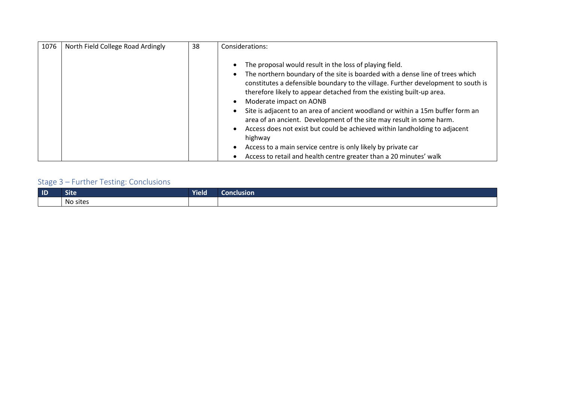| 1076 | North Field College Road Ardingly | 38 | Considerations:                                                                                                                                                                                                                                                                                                                                                                                                                                                                                                                                                                                                                                                                                                            |
|------|-----------------------------------|----|----------------------------------------------------------------------------------------------------------------------------------------------------------------------------------------------------------------------------------------------------------------------------------------------------------------------------------------------------------------------------------------------------------------------------------------------------------------------------------------------------------------------------------------------------------------------------------------------------------------------------------------------------------------------------------------------------------------------------|
|      |                                   |    | The proposal would result in the loss of playing field.<br>The northern boundary of the site is boarded with a dense line of trees which<br>constitutes a defensible boundary to the village. Further development to south is<br>therefore likely to appear detached from the existing built-up area.<br>Moderate impact on AONB<br>Site is adjacent to an area of ancient woodland or within a 15m buffer form an<br>area of an ancient. Development of the site may result in some harm.<br>Access does not exist but could be achieved within landholding to adjacent<br>highway<br>Access to a main service centre is only likely by private car<br>Access to retail and health centre greater than a 20 minutes' walk |

| $\blacksquare$ | .<br><b>Site</b> | Yield | <b>Conclusion</b> |
|----------------|------------------|-------|-------------------|
|                | No sites         |       |                   |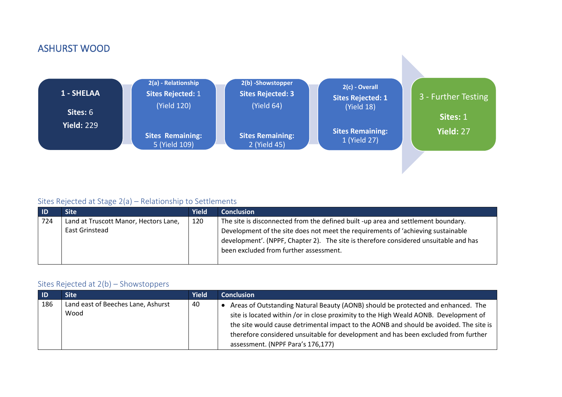## ASHURST WOOD



#### Sites Rejected at Stage 2(a) – Relationship to Settlements

| - ID | Site'                                 | <b>Yield</b> | <b>Conclusion</b>                                                                      |
|------|---------------------------------------|--------------|----------------------------------------------------------------------------------------|
| 724  | Land at Truscott Manor, Hectors Lane, | 120          | The site is disconnected from the defined built -up area and settlement boundary.      |
|      | East Grinstead                        |              | Development of the site does not meet the requirements of 'achieving sustainable       |
|      |                                       |              | didevelopment'. (NPPF, Chapter 2). The site is therefore considered unsuitable and has |
|      |                                       |              | been excluded from further assessment.                                                 |
|      |                                       |              |                                                                                        |

#### Sites Rejected at 2(b) – Showstoppers

| $\overline{1}$ | Site '                                     | <b>Yield</b> | <b>Conclusion</b>                                                                                                                                                                                                                                                                                                                                                                             |
|----------------|--------------------------------------------|--------------|-----------------------------------------------------------------------------------------------------------------------------------------------------------------------------------------------------------------------------------------------------------------------------------------------------------------------------------------------------------------------------------------------|
| 186            | Land east of Beeches Lane, Ashurst<br>Wood | 40           | Areas of Outstanding Natural Beauty (AONB) should be protected and enhanced. The<br>site is located within /or in close proximity to the High Weald AONB. Development of<br>the site would cause detrimental impact to the AONB and should be avoided. The site is<br>therefore considered unsuitable for development and has been excluded from further<br>assessment. (NPPF Para's 176,177) |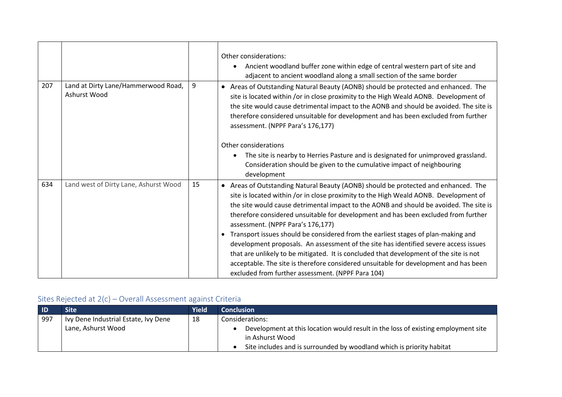|     |                                                     |    | Other considerations:<br>Ancient woodland buffer zone within edge of central western part of site and<br>adjacent to ancient woodland along a small section of the same border                                                                                                                                                                                                                                   |
|-----|-----------------------------------------------------|----|------------------------------------------------------------------------------------------------------------------------------------------------------------------------------------------------------------------------------------------------------------------------------------------------------------------------------------------------------------------------------------------------------------------|
| 207 | Land at Dirty Lane/Hammerwood Road,<br>Ashurst Wood | 9  | • Areas of Outstanding Natural Beauty (AONB) should be protected and enhanced. The<br>site is located within /or in close proximity to the High Weald AONB. Development of<br>the site would cause detrimental impact to the AONB and should be avoided. The site is<br>therefore considered unsuitable for development and has been excluded from further<br>assessment. (NPPF Para's 176,177)                  |
|     |                                                     |    | Other considerations<br>The site is nearby to Herries Pasture and is designated for unimproved grassland.                                                                                                                                                                                                                                                                                                        |
|     |                                                     |    | Consideration should be given to the cumulative impact of neighbouring<br>development                                                                                                                                                                                                                                                                                                                            |
| 634 | Land west of Dirty Lane, Ashurst Wood               | 15 | • Areas of Outstanding Natural Beauty (AONB) should be protected and enhanced. The<br>site is located within /or in close proximity to the High Weald AONB. Development of<br>the site would cause detrimental impact to the AONB and should be avoided. The site is<br>therefore considered unsuitable for development and has been excluded from further<br>assessment. (NPPF Para's 176,177)                  |
|     |                                                     |    | Transport issues should be considered from the earliest stages of plan-making and<br>development proposals. An assessment of the site has identified severe access issues<br>that are unlikely to be mitigated. It is concluded that development of the site is not<br>acceptable. The site is therefore considered unsuitable for development and has been<br>excluded from further assessment. (NPPF Para 104) |

| <b>ID</b> | Site                                 | Yield | <b>Conclusion</b>                                                                 |
|-----------|--------------------------------------|-------|-----------------------------------------------------------------------------------|
| 997       | Ivy Dene Industrial Estate, Ivy Dene | 18    | Considerations:                                                                   |
|           | Lane, Ashurst Wood                   |       | Development at this location would result in the loss of existing employment site |
|           |                                      |       | in Ashurst Wood                                                                   |
|           |                                      |       | Site includes and is surrounded by woodland which is priority habitat             |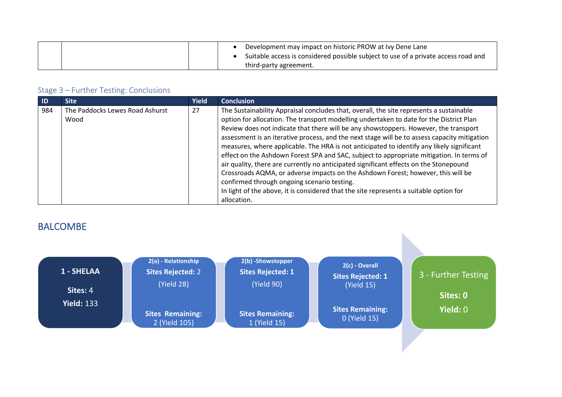| Development may impact on historic PROW at Ivy Dene Lane<br>Suitable access is considered possible subject to use of a private access road and |
|------------------------------------------------------------------------------------------------------------------------------------------------|
| third-party agreement.                                                                                                                         |

| $\blacksquare$ | <b>Site</b>                             | <b>Yield</b> | <b>Conclusion</b>                                                                                                                                                                                                                                                                                                                                                                                                                                                                                                                                                                                                                                                                                                                                                                               |
|----------------|-----------------------------------------|--------------|-------------------------------------------------------------------------------------------------------------------------------------------------------------------------------------------------------------------------------------------------------------------------------------------------------------------------------------------------------------------------------------------------------------------------------------------------------------------------------------------------------------------------------------------------------------------------------------------------------------------------------------------------------------------------------------------------------------------------------------------------------------------------------------------------|
| 984            | The Paddocks Lewes Road Ashurst<br>Wood | 27           | The Sustainability Appraisal concludes that, overall, the site represents a sustainable<br>option for allocation. The transport modelling undertaken to date for the District Plan<br>Review does not indicate that there will be any showstoppers. However, the transport<br>assessment is an iterative process, and the next stage will be to assess capacity mitigation<br>measures, where applicable. The HRA is not anticipated to identify any likely significant<br>effect on the Ashdown Forest SPA and SAC, subject to appropriate mitigation. In terms of<br>air quality, there are currently no anticipated significant effects on the Stonepound<br>Crossroads AQMA, or adverse impacts on the Ashdown Forest; however, this will be<br>confirmed through ongoing scenario testing. |
|                |                                         |              | In light of the above, it is considered that the site represents a suitable option for<br>allocation.                                                                                                                                                                                                                                                                                                                                                                                                                                                                                                                                                                                                                                                                                           |

# BALCOMBE

| 1 - SHELAA<br>Sites: 4 | 2(a) - Relationship<br><b>Sites Rejected: 2</b><br>(Yield 28) | 2(b) -Showstopper<br><b>Sites Rejected: 1</b><br>(Yield 90) | 2(c) - Overall<br><b>Sites Rejected: 1</b><br>(Yield 15) | 3 - Further Testing<br>Sites: 0 |
|------------------------|---------------------------------------------------------------|-------------------------------------------------------------|----------------------------------------------------------|---------------------------------|
| <b>Yield: 133</b>      | <b>Sites Remaining:</b><br>2 (Yield 105)                      | <b>Sites Remaining:</b><br>1 (Yield 15)                     | <b>Sites Remaining:</b><br>0 (Yield 15)                  | <b>Yield: 0</b>                 |

N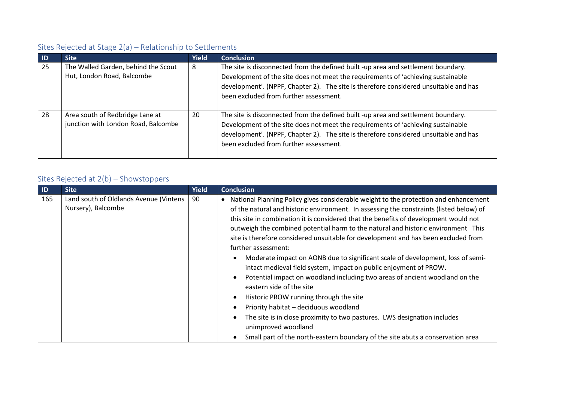## Sites Rejected at Stage 2(a) – Relationship to Settlements

| -ID | <b>Site</b>                                                            | <b>Yield</b> | <b>Conclusion</b>                                                                                                                                                                                                                                                                                       |
|-----|------------------------------------------------------------------------|--------------|---------------------------------------------------------------------------------------------------------------------------------------------------------------------------------------------------------------------------------------------------------------------------------------------------------|
| 25  | The Walled Garden, behind the Scout<br>Hut, London Road, Balcombe      | 8            | The site is disconnected from the defined built -up area and settlement boundary.<br>Development of the site does not meet the requirements of 'achieving sustainable<br>development'. (NPPF, Chapter 2). The site is therefore considered unsuitable and has<br>been excluded from further assessment. |
| 28  | Area south of Redbridge Lane at<br>junction with London Road, Balcombe | 20           | The site is disconnected from the defined built -up area and settlement boundary.<br>Development of the site does not meet the requirements of 'achieving sustainable<br>development'. (NPPF, Chapter 2). The site is therefore considered unsuitable and has<br>been excluded from further assessment. |

## Sites Rejected at 2(b) – Showstoppers

| ID  | <b>Site</b>                                                  | <b>Yield</b> | <b>Conclusion</b>                                                                                                                                                                                                                                                                                                                                                                                                                                                                                                                                                                                                                                                                                                                                                                                                                                                                                                                                                                                                                |
|-----|--------------------------------------------------------------|--------------|----------------------------------------------------------------------------------------------------------------------------------------------------------------------------------------------------------------------------------------------------------------------------------------------------------------------------------------------------------------------------------------------------------------------------------------------------------------------------------------------------------------------------------------------------------------------------------------------------------------------------------------------------------------------------------------------------------------------------------------------------------------------------------------------------------------------------------------------------------------------------------------------------------------------------------------------------------------------------------------------------------------------------------|
| 165 | Land south of Oldlands Avenue (Vintens<br>Nursery), Balcombe | 90           | National Planning Policy gives considerable weight to the protection and enhancement<br>$\bullet$<br>of the natural and historic environment. In assessing the constraints (listed below) of<br>this site in combination it is considered that the benefits of development would not<br>outweigh the combined potential harm to the natural and historic environment This<br>site is therefore considered unsuitable for development and has been excluded from<br>further assessment:<br>Moderate impact on AONB due to significant scale of development, loss of semi-<br>intact medieval field system, impact on public enjoyment of PROW.<br>Potential impact on woodland including two areas of ancient woodland on the<br>eastern side of the site<br>Historic PROW running through the site<br>Priority habitat - deciduous woodland<br>The site is in close proximity to two pastures. LWS designation includes<br>unimproved woodland<br>Small part of the north-eastern boundary of the site abuts a conservation area |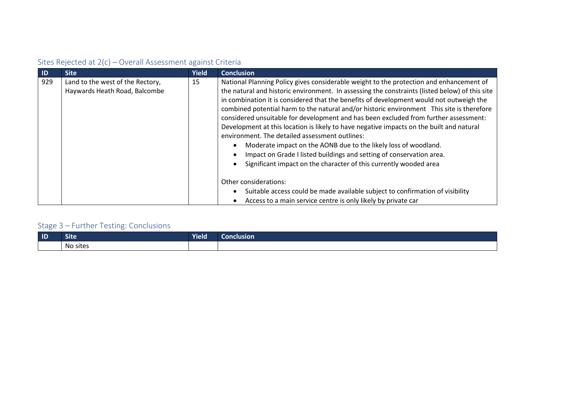| $\blacksquare$ | <b>Site</b>                                                       | <b>Yield</b> | <b>Conclusion</b>                                                                                                                                                                                                                                                                                                                                                                                                                                                                                                                                                                                                                                                                                                                                                                                                                                                                                                                                 |
|----------------|-------------------------------------------------------------------|--------------|---------------------------------------------------------------------------------------------------------------------------------------------------------------------------------------------------------------------------------------------------------------------------------------------------------------------------------------------------------------------------------------------------------------------------------------------------------------------------------------------------------------------------------------------------------------------------------------------------------------------------------------------------------------------------------------------------------------------------------------------------------------------------------------------------------------------------------------------------------------------------------------------------------------------------------------------------|
| 929            | Land to the west of the Rectory,<br>Haywards Heath Road, Balcombe | 15           | National Planning Policy gives considerable weight to the protection and enhancement of<br>the natural and historic environment. In assessing the constraints (listed below) of this site<br>in combination it is considered that the benefits of development would not outweigh the<br>combined potential harm to the natural and/or historic environment This site is therefore<br>considered unsuitable for development and has been excluded from further assessment:<br>Development at this location is likely to have negative impacts on the built and natural<br>environment. The detailed assessment outlines:<br>Moderate impact on the AONB due to the likely loss of woodland.<br>Impact on Grade I listed buildings and setting of conservation area.<br>Significant impact on the character of this currently wooded area<br>Other considerations:<br>Suitable access could be made available subject to confirmation of visibility |
|                |                                                                   |              | Access to a main service centre is only likely by private car                                                                                                                                                                                                                                                                                                                                                                                                                                                                                                                                                                                                                                                                                                                                                                                                                                                                                     |

| $\blacksquare$ | <b>Marina</b><br><b>SITE</b> | <b>Yield</b> | Conclusion |
|----------------|------------------------------|--------------|------------|
|                | No sites                     |              |            |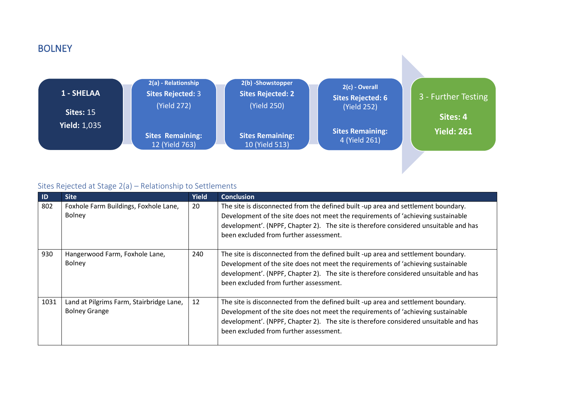### **BOLNEY**



### Sites Rejected at Stage 2(a) – Relationship to Settlements

| ID   | <b>Site</b>                                                      | <b>Yield</b> | <b>Conclusion</b>                                                                                                                                                                                                                                                                                       |
|------|------------------------------------------------------------------|--------------|---------------------------------------------------------------------------------------------------------------------------------------------------------------------------------------------------------------------------------------------------------------------------------------------------------|
| 802  | Foxhole Farm Buildings, Foxhole Lane,<br>Bolney                  | 20           | The site is disconnected from the defined built -up area and settlement boundary.<br>Development of the site does not meet the requirements of 'achieving sustainable<br>development'. (NPPF, Chapter 2). The site is therefore considered unsuitable and has<br>been excluded from further assessment. |
| 930  | Hangerwood Farm, Foxhole Lane,<br>Bolney                         | 240          | The site is disconnected from the defined built -up area and settlement boundary.<br>Development of the site does not meet the requirements of 'achieving sustainable<br>development'. (NPPF, Chapter 2). The site is therefore considered unsuitable and has<br>been excluded from further assessment. |
| 1031 | Land at Pilgrims Farm, Stairbridge Lane,<br><b>Bolney Grange</b> | 12           | The site is disconnected from the defined built -up area and settlement boundary.<br>Development of the site does not meet the requirements of 'achieving sustainable<br>development'. (NPPF, Chapter 2). The site is therefore considered unsuitable and has<br>been excluded from further assessment. |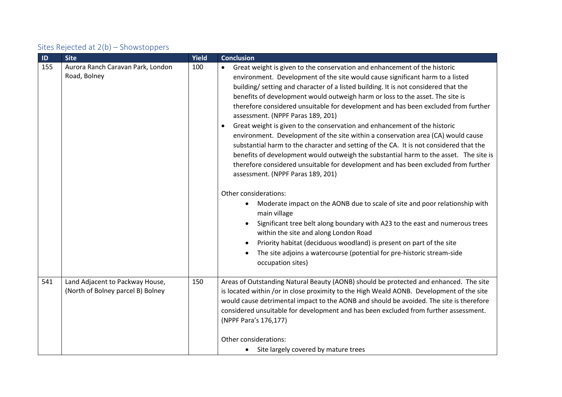### Sites Rejected at 2(b) – Showstoppers

| $\blacksquare$ | <b>Site</b>                                                          | Yield | <b>Conclusion</b>                                                                                                                                                                                                                                                                                                                                                                                                                                                                                                                                                                                                                                                                                                                                                                                                                                                                                                                                                                                                                                                                                                                                                                                                                                                                                                                                                                 |
|----------------|----------------------------------------------------------------------|-------|-----------------------------------------------------------------------------------------------------------------------------------------------------------------------------------------------------------------------------------------------------------------------------------------------------------------------------------------------------------------------------------------------------------------------------------------------------------------------------------------------------------------------------------------------------------------------------------------------------------------------------------------------------------------------------------------------------------------------------------------------------------------------------------------------------------------------------------------------------------------------------------------------------------------------------------------------------------------------------------------------------------------------------------------------------------------------------------------------------------------------------------------------------------------------------------------------------------------------------------------------------------------------------------------------------------------------------------------------------------------------------------|
| 155            | Aurora Ranch Caravan Park, London<br>Road, Bolney                    | 100   | Great weight is given to the conservation and enhancement of the historic<br>environment. Development of the site would cause significant harm to a listed<br>building/ setting and character of a listed building. It is not considered that the<br>benefits of development would outweigh harm or loss to the asset. The site is<br>therefore considered unsuitable for development and has been excluded from further<br>assessment. (NPPF Paras 189, 201)<br>Great weight is given to the conservation and enhancement of the historic<br>environment. Development of the site within a conservation area (CA) would cause<br>substantial harm to the character and setting of the CA. It is not considered that the<br>benefits of development would outweigh the substantial harm to the asset. The site is<br>therefore considered unsuitable for development and has been excluded from further<br>assessment. (NPPF Paras 189, 201)<br>Other considerations:<br>Moderate impact on the AONB due to scale of site and poor relationship with<br>$\bullet$<br>main village<br>Significant tree belt along boundary with A23 to the east and numerous trees<br>within the site and along London Road<br>Priority habitat (deciduous woodland) is present on part of the site<br>The site adjoins a watercourse (potential for pre-historic stream-side<br>occupation sites) |
| 541            | Land Adjacent to Packway House,<br>(North of Bolney parcel B) Bolney | 150   | Areas of Outstanding Natural Beauty (AONB) should be protected and enhanced. The site<br>is located within /or in close proximity to the High Weald AONB. Development of the site<br>would cause detrimental impact to the AONB and should be avoided. The site is therefore<br>considered unsuitable for development and has been excluded from further assessment.<br>(NPPF Para's 176,177)<br>Other considerations:<br>Site largely covered by mature trees                                                                                                                                                                                                                                                                                                                                                                                                                                                                                                                                                                                                                                                                                                                                                                                                                                                                                                                    |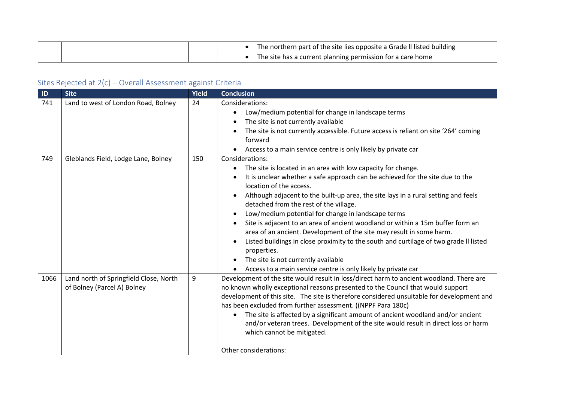|  |  | The northern part of the site lies opposite a Grade II listed building |
|--|--|------------------------------------------------------------------------|
|  |  | The site has a current planning permission for a care home             |

| ID   | <b>Site</b>                                                           | Yield | <b>Conclusion</b>                                                                                                                                                                                                                                                                                                                                                                                                                                                                                                                                                                                                                                                                                                                                           |
|------|-----------------------------------------------------------------------|-------|-------------------------------------------------------------------------------------------------------------------------------------------------------------------------------------------------------------------------------------------------------------------------------------------------------------------------------------------------------------------------------------------------------------------------------------------------------------------------------------------------------------------------------------------------------------------------------------------------------------------------------------------------------------------------------------------------------------------------------------------------------------|
| 741  | Land to west of London Road, Bolney                                   | 24    | Considerations:<br>Low/medium potential for change in landscape terms<br>$\bullet$<br>The site is not currently available<br>The site is not currently accessible. Future access is reliant on site '264' coming<br>forward<br>Access to a main service centre is only likely by private car                                                                                                                                                                                                                                                                                                                                                                                                                                                                |
| 749  | Gleblands Field, Lodge Lane, Bolney                                   | 150   | Considerations:<br>The site is located in an area with low capacity for change.<br>It is unclear whether a safe approach can be achieved for the site due to the<br>location of the access.<br>Although adjacent to the built-up area, the site lays in a rural setting and feels<br>detached from the rest of the village.<br>Low/medium potential for change in landscape terms<br>Site is adjacent to an area of ancient woodland or within a 15m buffer form an<br>area of an ancient. Development of the site may result in some harm.<br>Listed buildings in close proximity to the south and curtilage of two grade II listed<br>properties.<br>The site is not currently available<br>Access to a main service centre is only likely by private car |
| 1066 | Land north of Springfield Close, North<br>of Bolney (Parcel A) Bolney | 9     | Development of the site would result in loss/direct harm to ancient woodland. There are<br>no known wholly exceptional reasons presented to the Council that would support<br>development of this site. The site is therefore considered unsuitable for development and<br>has been excluded from further assessment. ((NPPF Para 180c)<br>• The site is affected by a significant amount of ancient woodland and/or ancient<br>and/or veteran trees. Development of the site would result in direct loss or harm<br>which cannot be mitigated.<br>Other considerations:                                                                                                                                                                                    |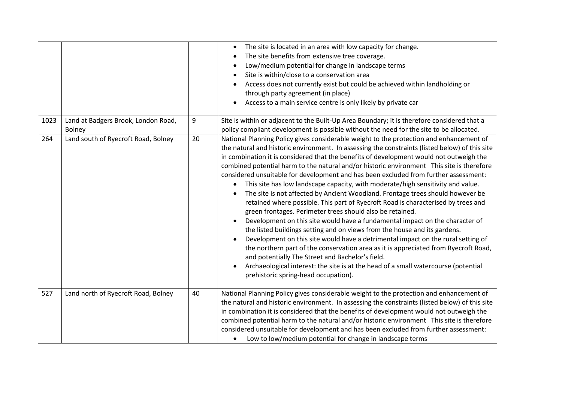|      |                                                      |    | The site is located in an area with low capacity for change.<br>The site benefits from extensive tree coverage.<br>Low/medium potential for change in landscape terms<br>Site is within/close to a conservation area<br>Access does not currently exist but could be achieved within landholding or<br>through party agreement (in place)<br>Access to a main service centre is only likely by private car                                                                                                                                                                                                                                                                                                                                                                                                                                                                                                                                                                                                                                                                                                                                                                                                                                                                                                                                           |
|------|------------------------------------------------------|----|------------------------------------------------------------------------------------------------------------------------------------------------------------------------------------------------------------------------------------------------------------------------------------------------------------------------------------------------------------------------------------------------------------------------------------------------------------------------------------------------------------------------------------------------------------------------------------------------------------------------------------------------------------------------------------------------------------------------------------------------------------------------------------------------------------------------------------------------------------------------------------------------------------------------------------------------------------------------------------------------------------------------------------------------------------------------------------------------------------------------------------------------------------------------------------------------------------------------------------------------------------------------------------------------------------------------------------------------------|
| 1023 | Land at Badgers Brook, London Road,<br><b>Bolney</b> | 9  | Site is within or adjacent to the Built-Up Area Boundary; it is therefore considered that a<br>policy compliant development is possible without the need for the site to be allocated.                                                                                                                                                                                                                                                                                                                                                                                                                                                                                                                                                                                                                                                                                                                                                                                                                                                                                                                                                                                                                                                                                                                                                               |
| 264  | Land south of Ryecroft Road, Bolney                  | 20 | National Planning Policy gives considerable weight to the protection and enhancement of<br>the natural and historic environment. In assessing the constraints (listed below) of this site<br>in combination it is considered that the benefits of development would not outweigh the<br>combined potential harm to the natural and/or historic environment This site is therefore<br>considered unsuitable for development and has been excluded from further assessment:<br>This site has low landscape capacity, with moderate/high sensitivity and value.<br>$\bullet$<br>The site is not affected by Ancient Woodland. Frontage trees should however be<br>retained where possible. This part of Ryecroft Road is characterised by trees and<br>green frontages. Perimeter trees should also be retained.<br>Development on this site would have a fundamental impact on the character of<br>$\bullet$<br>the listed buildings setting and on views from the house and its gardens.<br>Development on this site would have a detrimental impact on the rural setting of<br>the northern part of the conservation area as it is appreciated from Ryecroft Road,<br>and potentially The Street and Bachelor's field.<br>Archaeological interest: the site is at the head of a small watercourse (potential<br>prehistoric spring-head occupation). |
| 527  | Land north of Ryecroft Road, Bolney                  | 40 | National Planning Policy gives considerable weight to the protection and enhancement of<br>the natural and historic environment. In assessing the constraints (listed below) of this site<br>in combination it is considered that the benefits of development would not outweigh the<br>combined potential harm to the natural and/or historic environment This site is therefore<br>considered unsuitable for development and has been excluded from further assessment:<br>Low to low/medium potential for change in landscape terms<br>$\bullet$                                                                                                                                                                                                                                                                                                                                                                                                                                                                                                                                                                                                                                                                                                                                                                                                  |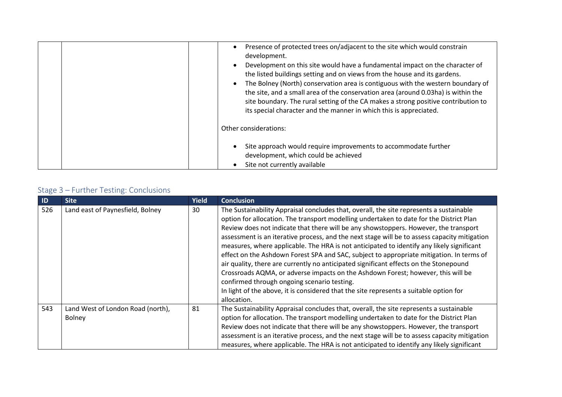| Presence of protected trees on/adjacent to the site which would constrain<br>development.<br>Development on this site would have a fundamental impact on the character of<br>the listed buildings setting and on views from the house and its gardens.<br>The Bolney (North) conservation area is contiguous with the western boundary of<br>the site, and a small area of the conservation area (around 0.03ha) is within the<br>site boundary. The rural setting of the CA makes a strong positive contribution to<br>its special character and the manner in which this is appreciated. |
|--------------------------------------------------------------------------------------------------------------------------------------------------------------------------------------------------------------------------------------------------------------------------------------------------------------------------------------------------------------------------------------------------------------------------------------------------------------------------------------------------------------------------------------------------------------------------------------------|
| Other considerations:                                                                                                                                                                                                                                                                                                                                                                                                                                                                                                                                                                      |
| Site approach would require improvements to accommodate further<br>development, which could be achieved<br>Site not currently available                                                                                                                                                                                                                                                                                                                                                                                                                                                    |

| $\blacksquare$ | <b>Site</b>                                        | <b>Yield</b> | <b>Conclusion</b>                                                                                                                                                                                                                                                                                                                                                                                                                                                                                                                                                                                                                                                                                                                                                                                                                                                                                        |
|----------------|----------------------------------------------------|--------------|----------------------------------------------------------------------------------------------------------------------------------------------------------------------------------------------------------------------------------------------------------------------------------------------------------------------------------------------------------------------------------------------------------------------------------------------------------------------------------------------------------------------------------------------------------------------------------------------------------------------------------------------------------------------------------------------------------------------------------------------------------------------------------------------------------------------------------------------------------------------------------------------------------|
| 526            | Land east of Paynesfield, Bolney                   | 30           | The Sustainability Appraisal concludes that, overall, the site represents a sustainable<br>option for allocation. The transport modelling undertaken to date for the District Plan<br>Review does not indicate that there will be any showstoppers. However, the transport<br>assessment is an iterative process, and the next stage will be to assess capacity mitigation<br>measures, where applicable. The HRA is not anticipated to identify any likely significant<br>effect on the Ashdown Forest SPA and SAC, subject to appropriate mitigation. In terms of<br>air quality, there are currently no anticipated significant effects on the Stonepound<br>Crossroads AQMA, or adverse impacts on the Ashdown Forest; however, this will be<br>confirmed through ongoing scenario testing.<br>In light of the above, it is considered that the site represents a suitable option for<br>allocation. |
| 543            | Land West of London Road (north),<br><b>Bolney</b> | 81           | The Sustainability Appraisal concludes that, overall, the site represents a sustainable<br>option for allocation. The transport modelling undertaken to date for the District Plan<br>Review does not indicate that there will be any showstoppers. However, the transport<br>assessment is an iterative process, and the next stage will be to assess capacity mitigation<br>measures, where applicable. The HRA is not anticipated to identify any likely significant                                                                                                                                                                                                                                                                                                                                                                                                                                  |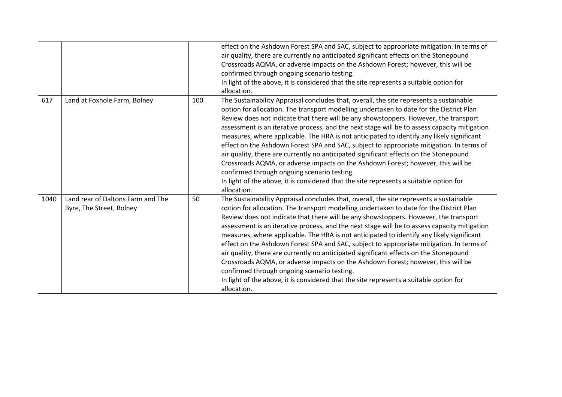|      |                                                               |     | effect on the Ashdown Forest SPA and SAC, subject to appropriate mitigation. In terms of<br>air quality, there are currently no anticipated significant effects on the Stonepound<br>Crossroads AQMA, or adverse impacts on the Ashdown Forest; however, this will be                                                                                                                                                                                                                                                                                                                                                                                                                                                                                                                                                                                                                                    |
|------|---------------------------------------------------------------|-----|----------------------------------------------------------------------------------------------------------------------------------------------------------------------------------------------------------------------------------------------------------------------------------------------------------------------------------------------------------------------------------------------------------------------------------------------------------------------------------------------------------------------------------------------------------------------------------------------------------------------------------------------------------------------------------------------------------------------------------------------------------------------------------------------------------------------------------------------------------------------------------------------------------|
|      |                                                               |     | confirmed through ongoing scenario testing.<br>In light of the above, it is considered that the site represents a suitable option for<br>allocation.                                                                                                                                                                                                                                                                                                                                                                                                                                                                                                                                                                                                                                                                                                                                                     |
| 617  | Land at Foxhole Farm, Bolney                                  | 100 | The Sustainability Appraisal concludes that, overall, the site represents a sustainable<br>option for allocation. The transport modelling undertaken to date for the District Plan<br>Review does not indicate that there will be any showstoppers. However, the transport<br>assessment is an iterative process, and the next stage will be to assess capacity mitigation<br>measures, where applicable. The HRA is not anticipated to identify any likely significant<br>effect on the Ashdown Forest SPA and SAC, subject to appropriate mitigation. In terms of<br>air quality, there are currently no anticipated significant effects on the Stonepound<br>Crossroads AQMA, or adverse impacts on the Ashdown Forest; however, this will be<br>confirmed through ongoing scenario testing.<br>In light of the above, it is considered that the site represents a suitable option for<br>allocation. |
| 1040 | Land rear of Daltons Farm and The<br>Byre, The Street, Bolney | 50  | The Sustainability Appraisal concludes that, overall, the site represents a sustainable<br>option for allocation. The transport modelling undertaken to date for the District Plan<br>Review does not indicate that there will be any showstoppers. However, the transport<br>assessment is an iterative process, and the next stage will be to assess capacity mitigation<br>measures, where applicable. The HRA is not anticipated to identify any likely significant<br>effect on the Ashdown Forest SPA and SAC, subject to appropriate mitigation. In terms of<br>air quality, there are currently no anticipated significant effects on the Stonepound<br>Crossroads AQMA, or adverse impacts on the Ashdown Forest; however, this will be<br>confirmed through ongoing scenario testing.<br>In light of the above, it is considered that the site represents a suitable option for<br>allocation. |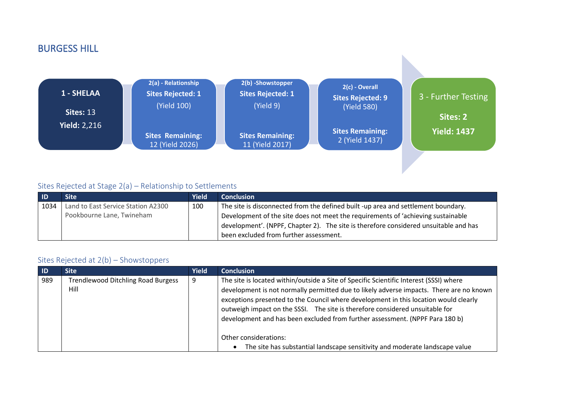## BURGESS HILL



#### Sites Rejected at Stage 2(a) – Relationship to Settlements

| <b>ID</b> | Site'                              | Yield | <b>Conclusion</b>                                                                    |
|-----------|------------------------------------|-------|--------------------------------------------------------------------------------------|
| 1034      | Land to East Service Station A2300 | 100   | The site is disconnected from the defined built -up area and settlement boundary.    |
|           | Pookbourne Lane, Twineham          |       | Development of the site does not meet the requirements of 'achieving sustainable     |
|           |                                    |       | development'. (NPPF, Chapter 2). The site is therefore considered unsuitable and has |
|           |                                    |       | been excluded from further assessment.                                               |

#### Sites Rejected at 2(b) – Showstoppers

| $\blacksquare$ | <b>Site</b>                               | <b>Yield</b> | <b>Conclusion</b>                                                                       |
|----------------|-------------------------------------------|--------------|-----------------------------------------------------------------------------------------|
| 989            | <b>Trendlewood Ditchling Road Burgess</b> | 9            | The site is located within/outside a Site of Specific Scientific Interest (SSSI) where  |
|                | Hill                                      |              | development is not normally permitted due to likely adverse impacts. There are no known |
|                |                                           |              | exceptions presented to the Council where development in this location would clearly    |
|                |                                           |              | outweigh impact on the SSSI. The site is therefore considered unsuitable for            |
|                |                                           |              | development and has been excluded from further assessment. (NPPF Para 180 b)            |
|                |                                           |              |                                                                                         |
|                |                                           |              | Other considerations:                                                                   |
|                |                                           |              | The site has substantial landscape sensitivity and moderate landscape value             |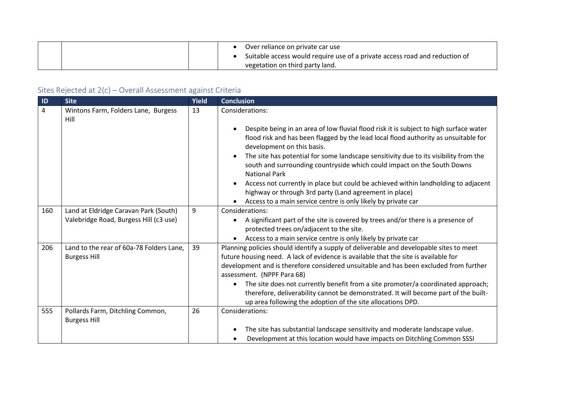|  | Over reliance on private car use<br>Suitable access would require use of a private access road and reduction of |
|--|-----------------------------------------------------------------------------------------------------------------|
|  | vegetation on third party land.                                                                                 |

| ID  | <b>Site</b>                                                                     | Yield | <b>Conclusion</b>                                                                                                                                                                                                                                                                                                                                                                                                                                                                                                                                                                                                       |
|-----|---------------------------------------------------------------------------------|-------|-------------------------------------------------------------------------------------------------------------------------------------------------------------------------------------------------------------------------------------------------------------------------------------------------------------------------------------------------------------------------------------------------------------------------------------------------------------------------------------------------------------------------------------------------------------------------------------------------------------------------|
| 4   | Wintons Farm, Folders Lane, Burgess<br>Hill                                     | 13    | Considerations:                                                                                                                                                                                                                                                                                                                                                                                                                                                                                                                                                                                                         |
|     |                                                                                 |       | Despite being in an area of low fluvial flood risk it is subject to high surface water<br>flood risk and has been flagged by the lead local flood authority as unsuitable for<br>development on this basis.<br>The site has potential for some landscape sensitivity due to its visibility from the<br>south and surrounding countryside which could impact on the South Downs<br><b>National Park</b><br>Access not currently in place but could be achieved within landholding to adjacent<br>highway or through 3rd party (Land agreement in place)<br>Access to a main service centre is only likely by private car |
| 160 | Land at Eldridge Caravan Park (South)<br>Valebridge Road, Burgess Hill (c3 use) | 9     | Considerations:<br>A significant part of the site is covered by trees and/or there is a presence of<br>$\bullet$<br>protected trees on/adjacent to the site.<br>Access to a main service centre is only likely by private car                                                                                                                                                                                                                                                                                                                                                                                           |
| 206 | Land to the rear of 60a-78 Folders Lane,<br><b>Burgess Hill</b>                 | 39    | Planning policies should identify a supply of deliverable and developable sites to meet<br>future housing need. A lack of evidence is available that the site is available for<br>development and is therefore considered unsuitable and has been excluded from further<br>assessment. (NPPF Para 68)<br>The site does not currently benefit from a site promoter/a coordinated approach;<br>$\bullet$<br>therefore, deliverability cannot be demonstrated. It will become part of the built-<br>up area following the adoption of the site allocations DPD.                                                            |
| 555 | Pollards Farm, Ditchling Common,<br><b>Burgess Hill</b>                         | 26    | Considerations:                                                                                                                                                                                                                                                                                                                                                                                                                                                                                                                                                                                                         |
|     |                                                                                 |       | The site has substantial landscape sensitivity and moderate landscape value.<br>Development at this location would have impacts on Ditchling Common SSSI                                                                                                                                                                                                                                                                                                                                                                                                                                                                |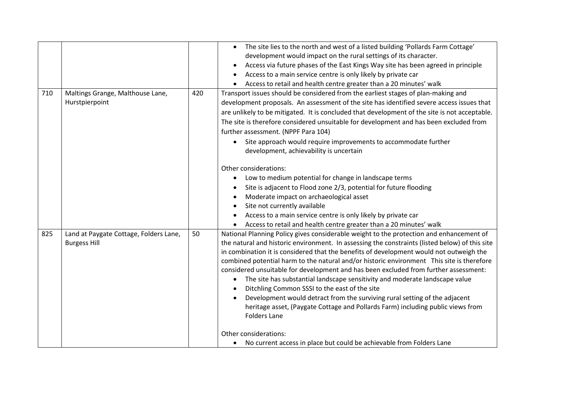|     |                                                               |     | The site lies to the north and west of a listed building 'Pollards Farm Cottage'<br>development would impact on the rural settings of its character.<br>Access via future phases of the East Kings Way site has been agreed in principle<br>Access to a main service centre is only likely by private car<br>Access to retail and health centre greater than a 20 minutes' walk                                                                                                                                                                                                                                                                                                                                                                                                                                |
|-----|---------------------------------------------------------------|-----|----------------------------------------------------------------------------------------------------------------------------------------------------------------------------------------------------------------------------------------------------------------------------------------------------------------------------------------------------------------------------------------------------------------------------------------------------------------------------------------------------------------------------------------------------------------------------------------------------------------------------------------------------------------------------------------------------------------------------------------------------------------------------------------------------------------|
| 710 | Maltings Grange, Malthouse Lane,<br>Hurstpierpoint            | 420 | Transport issues should be considered from the earliest stages of plan-making and<br>development proposals. An assessment of the site has identified severe access issues that<br>are unlikely to be mitigated. It is concluded that development of the site is not acceptable.<br>The site is therefore considered unsuitable for development and has been excluded from<br>further assessment. (NPPF Para 104)<br>Site approach would require improvements to accommodate further<br>development, achievability is uncertain                                                                                                                                                                                                                                                                                 |
|     |                                                               |     | Other considerations:<br>Low to medium potential for change in landscape terms<br>Site is adjacent to Flood zone 2/3, potential for future flooding<br>Moderate impact on archaeological asset<br>Site not currently available<br>Access to a main service centre is only likely by private car<br>Access to retail and health centre greater than a 20 minutes' walk                                                                                                                                                                                                                                                                                                                                                                                                                                          |
| 825 | Land at Paygate Cottage, Folders Lane,<br><b>Burgess Hill</b> | 50  | National Planning Policy gives considerable weight to the protection and enhancement of<br>the natural and historic environment. In assessing the constraints (listed below) of this site<br>in combination it is considered that the benefits of development would not outweigh the<br>combined potential harm to the natural and/or historic environment This site is therefore<br>considered unsuitable for development and has been excluded from further assessment:<br>The site has substantial landscape sensitivity and moderate landscape value<br>$\bullet$<br>Ditchling Common SSSI to the east of the site<br>Development would detract from the surviving rural setting of the adjacent<br>heritage asset, (Paygate Cottage and Pollards Farm) including public views from<br><b>Folders Lane</b> |
|     |                                                               |     | Other considerations:<br>No current access in place but could be achievable from Folders Lane<br>$\bullet$                                                                                                                                                                                                                                                                                                                                                                                                                                                                                                                                                                                                                                                                                                     |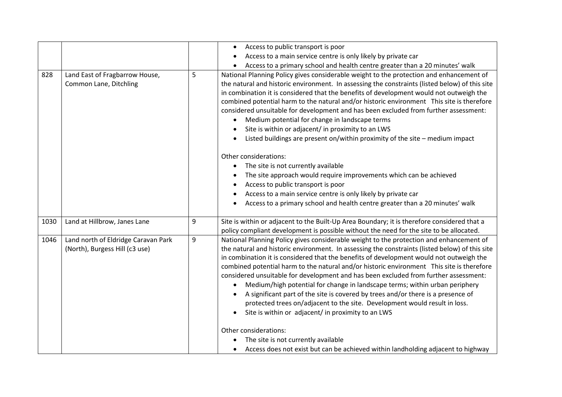|      |                                                                       |   | Access to public transport is poor<br>$\bullet$                                                                                                                                                                                                                                                                                                                                                                                                                                                                                                                                                                                                                                                                                                                                                                                                                                                                                                                                                |
|------|-----------------------------------------------------------------------|---|------------------------------------------------------------------------------------------------------------------------------------------------------------------------------------------------------------------------------------------------------------------------------------------------------------------------------------------------------------------------------------------------------------------------------------------------------------------------------------------------------------------------------------------------------------------------------------------------------------------------------------------------------------------------------------------------------------------------------------------------------------------------------------------------------------------------------------------------------------------------------------------------------------------------------------------------------------------------------------------------|
|      |                                                                       |   | Access to a main service centre is only likely by private car                                                                                                                                                                                                                                                                                                                                                                                                                                                                                                                                                                                                                                                                                                                                                                                                                                                                                                                                  |
|      |                                                                       |   | Access to a primary school and health centre greater than a 20 minutes' walk                                                                                                                                                                                                                                                                                                                                                                                                                                                                                                                                                                                                                                                                                                                                                                                                                                                                                                                   |
| 828  | Land East of Fragbarrow House,<br>Common Lane, Ditchling              | 5 | National Planning Policy gives considerable weight to the protection and enhancement of<br>the natural and historic environment. In assessing the constraints (listed below) of this site<br>in combination it is considered that the benefits of development would not outweigh the<br>combined potential harm to the natural and/or historic environment This site is therefore<br>considered unsuitable for development and has been excluded from further assessment:<br>Medium potential for change in landscape terms<br>Site is within or adjacent/ in proximity to an LWS<br>Listed buildings are present on/within proximity of the site - medium impact<br>Other considerations:<br>The site is not currently available<br>The site approach would require improvements which can be achieved<br>Access to public transport is poor<br>Access to a main service centre is only likely by private car<br>Access to a primary school and health centre greater than a 20 minutes' walk |
| 1030 | Land at Hillbrow, Janes Lane                                          | 9 | Site is within or adjacent to the Built-Up Area Boundary; it is therefore considered that a<br>policy compliant development is possible without the need for the site to be allocated.                                                                                                                                                                                                                                                                                                                                                                                                                                                                                                                                                                                                                                                                                                                                                                                                         |
| 1046 | Land north of Eldridge Caravan Park<br>(North), Burgess Hill (c3 use) | 9 | National Planning Policy gives considerable weight to the protection and enhancement of<br>the natural and historic environment. In assessing the constraints (listed below) of this site<br>in combination it is considered that the benefits of development would not outweigh the<br>combined potential harm to the natural and/or historic environment This site is therefore<br>considered unsuitable for development and has been excluded from further assessment:<br>Medium/high potential for change in landscape terms; within urban periphery<br>A significant part of the site is covered by trees and/or there is a presence of<br>protected trees on/adjacent to the site. Development would result in loss.<br>Site is within or adjacent/ in proximity to an LWS<br>Other considerations:<br>The site is not currently available<br>Access does not exist but can be achieved within landholding adjacent to highway                                                           |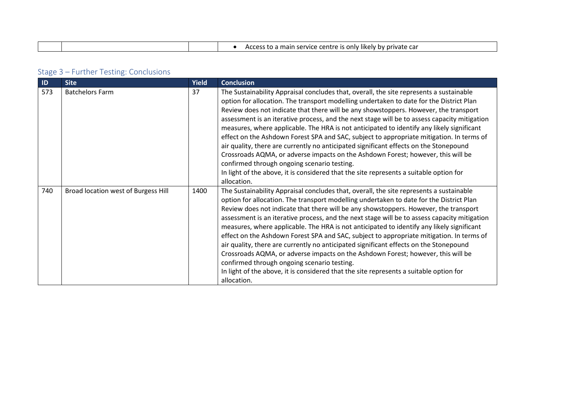| шаг<br>$\sim$ |  | . car<br>rvice<br>private<br>нкеіу<br>--<br>Centr. |
|---------------|--|----------------------------------------------------|

| $\blacksquare$ | <b>Site</b>                         | <b>Yield</b> | <b>Conclusion</b>                                                                                                                                                                                                                                                                                                                                                                                                                                                                                                                                                                                                                                                                                                                                                                                                                                                                                        |
|----------------|-------------------------------------|--------------|----------------------------------------------------------------------------------------------------------------------------------------------------------------------------------------------------------------------------------------------------------------------------------------------------------------------------------------------------------------------------------------------------------------------------------------------------------------------------------------------------------------------------------------------------------------------------------------------------------------------------------------------------------------------------------------------------------------------------------------------------------------------------------------------------------------------------------------------------------------------------------------------------------|
| 573            | <b>Batchelors Farm</b>              | 37           | The Sustainability Appraisal concludes that, overall, the site represents a sustainable<br>option for allocation. The transport modelling undertaken to date for the District Plan<br>Review does not indicate that there will be any showstoppers. However, the transport<br>assessment is an iterative process, and the next stage will be to assess capacity mitigation<br>measures, where applicable. The HRA is not anticipated to identify any likely significant<br>effect on the Ashdown Forest SPA and SAC, subject to appropriate mitigation. In terms of<br>air quality, there are currently no anticipated significant effects on the Stonepound<br>Crossroads AQMA, or adverse impacts on the Ashdown Forest; however, this will be<br>confirmed through ongoing scenario testing.<br>In light of the above, it is considered that the site represents a suitable option for<br>allocation. |
| 740            | Broad location west of Burgess Hill | 1400         | The Sustainability Appraisal concludes that, overall, the site represents a sustainable<br>option for allocation. The transport modelling undertaken to date for the District Plan<br>Review does not indicate that there will be any showstoppers. However, the transport<br>assessment is an iterative process, and the next stage will be to assess capacity mitigation<br>measures, where applicable. The HRA is not anticipated to identify any likely significant<br>effect on the Ashdown Forest SPA and SAC, subject to appropriate mitigation. In terms of<br>air quality, there are currently no anticipated significant effects on the Stonepound<br>Crossroads AQMA, or adverse impacts on the Ashdown Forest; however, this will be<br>confirmed through ongoing scenario testing.<br>In light of the above, it is considered that the site represents a suitable option for<br>allocation. |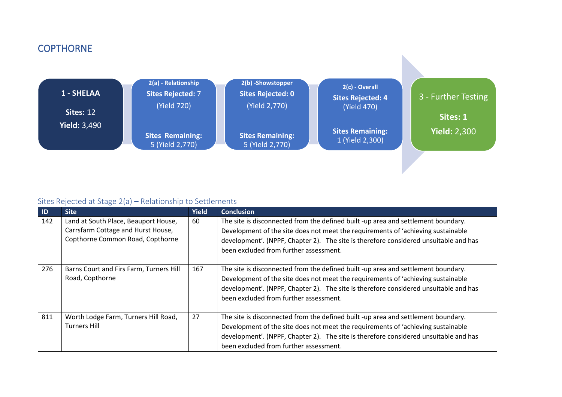## **COPTHORNE**



#### Sites Rejected at Stage 2(a) – Relationship to Settlements

| ID  | <b>Site</b>                                                                                                    | <b>Yield</b> | <b>Conclusion</b>                                                                                                                                                                                                                                                                                       |
|-----|----------------------------------------------------------------------------------------------------------------|--------------|---------------------------------------------------------------------------------------------------------------------------------------------------------------------------------------------------------------------------------------------------------------------------------------------------------|
| 142 | Land at South Place, Beauport House,<br>Carrsfarm Cottage and Hurst House,<br>Copthorne Common Road, Copthorne | 60           | The site is disconnected from the defined built -up area and settlement boundary.<br>Development of the site does not meet the requirements of 'achieving sustainable<br>development'. (NPPF, Chapter 2). The site is therefore considered unsuitable and has<br>been excluded from further assessment. |
| 276 | Barns Court and Firs Farm, Turners Hill<br>Road, Copthorne                                                     | 167          | The site is disconnected from the defined built -up area and settlement boundary.<br>Development of the site does not meet the requirements of 'achieving sustainable<br>development'. (NPPF, Chapter 2). The site is therefore considered unsuitable and has<br>been excluded from further assessment. |
| 811 | Worth Lodge Farm, Turners Hill Road,<br><b>Turners Hill</b>                                                    | 27           | The site is disconnected from the defined built -up area and settlement boundary.<br>Development of the site does not meet the requirements of 'achieving sustainable<br>development'. (NPPF, Chapter 2). The site is therefore considered unsuitable and has<br>been excluded from further assessment. |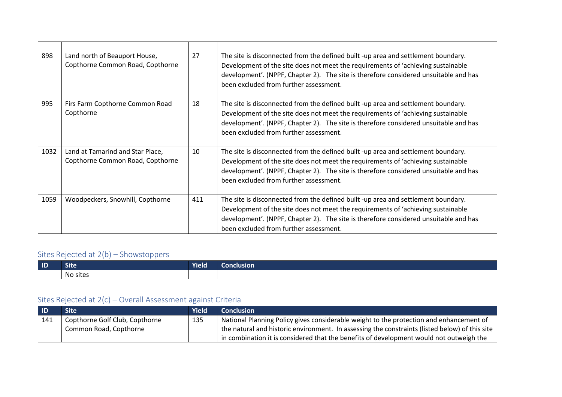| 898  | Land north of Beauport House,<br>Copthorne Common Road, Copthorne    | 27  | The site is disconnected from the defined built -up area and settlement boundary.<br>Development of the site does not meet the requirements of 'achieving sustainable<br>development'. (NPPF, Chapter 2). The site is therefore considered unsuitable and has<br>been excluded from further assessment. |
|------|----------------------------------------------------------------------|-----|---------------------------------------------------------------------------------------------------------------------------------------------------------------------------------------------------------------------------------------------------------------------------------------------------------|
| 995  | Firs Farm Copthorne Common Road<br>Copthorne                         | 18  | The site is disconnected from the defined built -up area and settlement boundary.<br>Development of the site does not meet the requirements of 'achieving sustainable<br>development'. (NPPF, Chapter 2). The site is therefore considered unsuitable and has<br>been excluded from further assessment. |
| 1032 | Land at Tamarind and Star Place,<br>Copthorne Common Road, Copthorne | 10  | The site is disconnected from the defined built -up area and settlement boundary.<br>Development of the site does not meet the requirements of 'achieving sustainable<br>development'. (NPPF, Chapter 2). The site is therefore considered unsuitable and has<br>been excluded from further assessment. |
| 1059 | Woodpeckers, Snowhill, Copthorne                                     | 411 | The site is disconnected from the defined built -up area and settlement boundary.<br>Development of the site does not meet the requirements of 'achieving sustainable<br>development'. (NPPF, Chapter 2). The site is therefore considered unsuitable and has<br>been excluded from further assessment. |

# Sites Rejected at 2(b) – Showstoppers

| $\blacksquare$ | <b>Site</b> | <b>Yield</b> | Conclusion |
|----------------|-------------|--------------|------------|
|                | No sites    |              |            |

| - ID | <b>Site</b>                    | Yield | <b>Conclusion</b>                                                                                            |
|------|--------------------------------|-------|--------------------------------------------------------------------------------------------------------------|
| 141  | Copthorne Golf Club, Copthorne | 135   | National Planning Policy gives considerable weight to the protection and enhancement of                      |
|      | Common Road, Copthorne         |       | $\mid$ the natural and historic environment. In assessing the constraints (listed below) of this site $\mid$ |
|      |                                |       | in combination it is considered that the benefits of development would not outweigh the                      |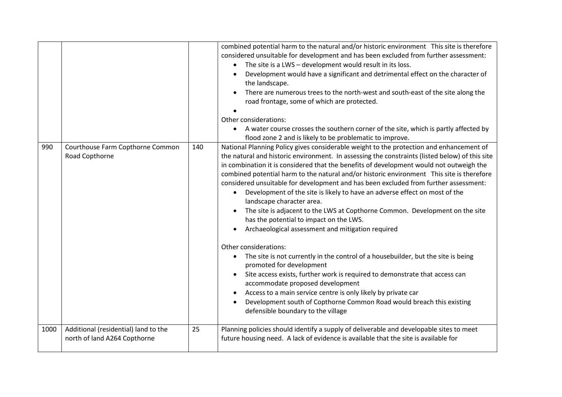|      |                                                                      |     | combined potential harm to the natural and/or historic environment This site is therefore<br>considered unsuitable for development and has been excluded from further assessment:<br>The site is a LWS - development would result in its loss.<br>Development would have a significant and detrimental effect on the character of<br>the landscape.<br>There are numerous trees to the north-west and south-east of the site along the<br>road frontage, some of which are protected.<br>Other considerations:<br>A water course crosses the southern corner of the site, which is partly affected by<br>flood zone 2 and is likely to be problematic to improve.                                                                                                                                                                                                                                                                                                                                                                                                                                                                                                                                                 |
|------|----------------------------------------------------------------------|-----|-------------------------------------------------------------------------------------------------------------------------------------------------------------------------------------------------------------------------------------------------------------------------------------------------------------------------------------------------------------------------------------------------------------------------------------------------------------------------------------------------------------------------------------------------------------------------------------------------------------------------------------------------------------------------------------------------------------------------------------------------------------------------------------------------------------------------------------------------------------------------------------------------------------------------------------------------------------------------------------------------------------------------------------------------------------------------------------------------------------------------------------------------------------------------------------------------------------------|
| 990  | Courthouse Farm Copthorne Common<br>Road Copthorne                   | 140 | National Planning Policy gives considerable weight to the protection and enhancement of<br>the natural and historic environment. In assessing the constraints (listed below) of this site<br>in combination it is considered that the benefits of development would not outweigh the<br>combined potential harm to the natural and/or historic environment This site is therefore<br>considered unsuitable for development and has been excluded from further assessment:<br>Development of the site is likely to have an adverse effect on most of the<br>landscape character area.<br>The site is adjacent to the LWS at Copthorne Common. Development on the site<br>has the potential to impact on the LWS.<br>Archaeological assessment and mitigation required<br>Other considerations:<br>The site is not currently in the control of a housebuilder, but the site is being<br>promoted for development<br>Site access exists, further work is required to demonstrate that access can<br>accommodate proposed development<br>Access to a main service centre is only likely by private car<br>Development south of Copthorne Common Road would breach this existing<br>defensible boundary to the village |
| 1000 | Additional (residential) land to the<br>north of land A264 Copthorne | 25  | Planning policies should identify a supply of deliverable and developable sites to meet<br>future housing need. A lack of evidence is available that the site is available for                                                                                                                                                                                                                                                                                                                                                                                                                                                                                                                                                                                                                                                                                                                                                                                                                                                                                                                                                                                                                                    |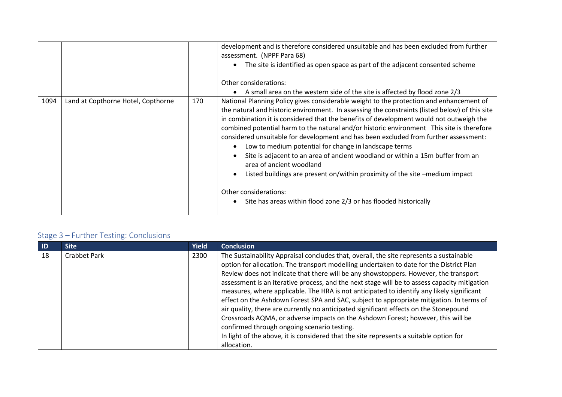|      |                                    |     | development and is therefore considered unsuitable and has been excluded from further<br>assessment. (NPPF Para 68)<br>The site is identified as open space as part of the adjacent consented scheme<br>Other considerations:<br>A small area on the western side of the site is affected by flood zone 2/3                                                                                                                                                                                                                                                                                                                                                                                                                                                                                                                  |
|------|------------------------------------|-----|------------------------------------------------------------------------------------------------------------------------------------------------------------------------------------------------------------------------------------------------------------------------------------------------------------------------------------------------------------------------------------------------------------------------------------------------------------------------------------------------------------------------------------------------------------------------------------------------------------------------------------------------------------------------------------------------------------------------------------------------------------------------------------------------------------------------------|
| 1094 | Land at Copthorne Hotel, Copthorne | 170 | National Planning Policy gives considerable weight to the protection and enhancement of<br>the natural and historic environment. In assessing the constraints (listed below) of this site<br>in combination it is considered that the benefits of development would not outweigh the<br>combined potential harm to the natural and/or historic environment This site is therefore<br>considered unsuitable for development and has been excluded from further assessment:<br>Low to medium potential for change in landscape terms<br>Site is adjacent to an area of ancient woodland or within a 15m buffer from an<br>area of ancient woodland<br>Listed buildings are present on/within proximity of the site -medium impact<br>Other considerations:<br>Site has areas within flood zone 2/3 or has flooded historically |

| <b>ID</b> | <b>Site</b>  | <b>Yield</b> | <b>Conclusion</b>                                                                            |
|-----------|--------------|--------------|----------------------------------------------------------------------------------------------|
| 18        | Crabbet Park | 2300         | The Sustainability Appraisal concludes that, overall, the site represents a sustainable      |
|           |              |              | option for allocation. The transport modelling undertaken to date for the District Plan      |
|           |              |              | Review does not indicate that there will be any showstoppers. However, the transport         |
|           |              |              | assessment is an iterative process, and the next stage will be to assess capacity mitigation |
|           |              |              | measures, where applicable. The HRA is not anticipated to identify any likely significant    |
|           |              |              | effect on the Ashdown Forest SPA and SAC, subject to appropriate mitigation. In terms of     |
|           |              |              | air quality, there are currently no anticipated significant effects on the Stonepound        |
|           |              |              | Crossroads AQMA, or adverse impacts on the Ashdown Forest; however, this will be             |
|           |              |              | confirmed through ongoing scenario testing.                                                  |
|           |              |              | In light of the above, it is considered that the site represents a suitable option for       |
|           |              |              | allocation.                                                                                  |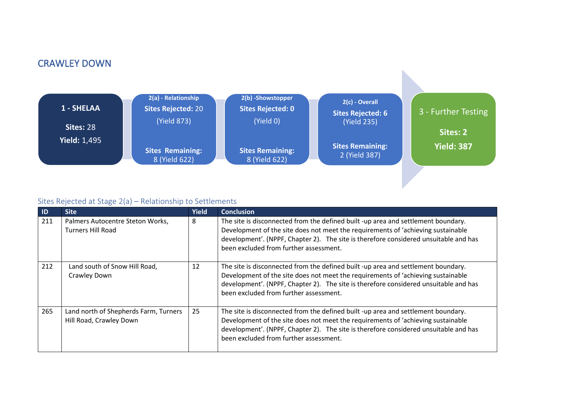## CRAWLEY DOWN



#### Sites Rejected at Stage 2(a) – Relationship to Settlements

| <b>ID</b> | <b>Site</b>                                                      | <b>Yield</b> | <b>Conclusion</b>                                                                                                                                                                                                                                                                                       |
|-----------|------------------------------------------------------------------|--------------|---------------------------------------------------------------------------------------------------------------------------------------------------------------------------------------------------------------------------------------------------------------------------------------------------------|
| 211       | Palmers Autocentre Steton Works,<br><b>Turners Hill Road</b>     | 8            | The site is disconnected from the defined built -up area and settlement boundary.<br>Development of the site does not meet the requirements of 'achieving sustainable<br>development'. (NPPF, Chapter 2). The site is therefore considered unsuitable and has<br>been excluded from further assessment. |
| 212       | Land south of Snow Hill Road,<br>Crawley Down                    | 12           | The site is disconnected from the defined built -up area and settlement boundary.<br>Development of the site does not meet the requirements of 'achieving sustainable<br>development'. (NPPF, Chapter 2). The site is therefore considered unsuitable and has<br>been excluded from further assessment. |
| 265       | Land north of Shepherds Farm, Turners<br>Hill Road, Crawley Down | 25           | The site is disconnected from the defined built -up area and settlement boundary.<br>Development of the site does not meet the requirements of 'achieving sustainable<br>development'. (NPPF, Chapter 2). The site is therefore considered unsuitable and has<br>been excluded from further assessment. |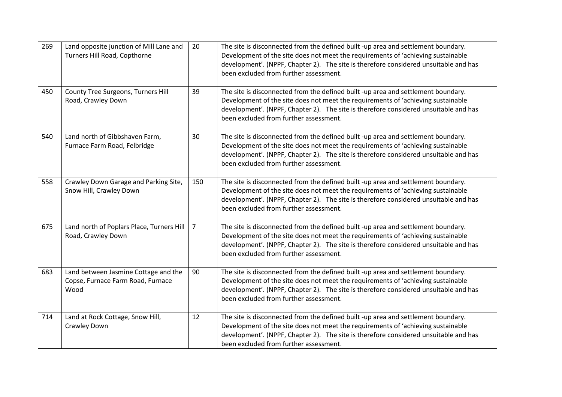| 269 | Land opposite junction of Mill Lane and<br>Turners Hill Road, Copthorne           | 20             | The site is disconnected from the defined built -up area and settlement boundary.<br>Development of the site does not meet the requirements of 'achieving sustainable<br>development'. (NPPF, Chapter 2). The site is therefore considered unsuitable and has<br>been excluded from further assessment. |
|-----|-----------------------------------------------------------------------------------|----------------|---------------------------------------------------------------------------------------------------------------------------------------------------------------------------------------------------------------------------------------------------------------------------------------------------------|
| 450 | County Tree Surgeons, Turners Hill<br>Road, Crawley Down                          | 39             | The site is disconnected from the defined built -up area and settlement boundary.<br>Development of the site does not meet the requirements of 'achieving sustainable<br>development'. (NPPF, Chapter 2). The site is therefore considered unsuitable and has<br>been excluded from further assessment. |
| 540 | Land north of Gibbshaven Farm,<br>Furnace Farm Road, Felbridge                    | 30             | The site is disconnected from the defined built -up area and settlement boundary.<br>Development of the site does not meet the requirements of 'achieving sustainable<br>development'. (NPPF, Chapter 2). The site is therefore considered unsuitable and has<br>been excluded from further assessment. |
| 558 | Crawley Down Garage and Parking Site,<br>Snow Hill, Crawley Down                  | 150            | The site is disconnected from the defined built -up area and settlement boundary.<br>Development of the site does not meet the requirements of 'achieving sustainable<br>development'. (NPPF, Chapter 2). The site is therefore considered unsuitable and has<br>been excluded from further assessment. |
| 675 | Land north of Poplars Place, Turners Hill<br>Road, Crawley Down                   | $\overline{7}$ | The site is disconnected from the defined built -up area and settlement boundary.<br>Development of the site does not meet the requirements of 'achieving sustainable<br>development'. (NPPF, Chapter 2). The site is therefore considered unsuitable and has<br>been excluded from further assessment. |
| 683 | Land between Jasmine Cottage and the<br>Copse, Furnace Farm Road, Furnace<br>Wood | 90             | The site is disconnected from the defined built -up area and settlement boundary.<br>Development of the site does not meet the requirements of 'achieving sustainable<br>development'. (NPPF, Chapter 2). The site is therefore considered unsuitable and has<br>been excluded from further assessment. |
| 714 | Land at Rock Cottage, Snow Hill,<br>Crawley Down                                  | 12             | The site is disconnected from the defined built -up area and settlement boundary.<br>Development of the site does not meet the requirements of 'achieving sustainable<br>development'. (NPPF, Chapter 2). The site is therefore considered unsuitable and has<br>been excluded from further assessment. |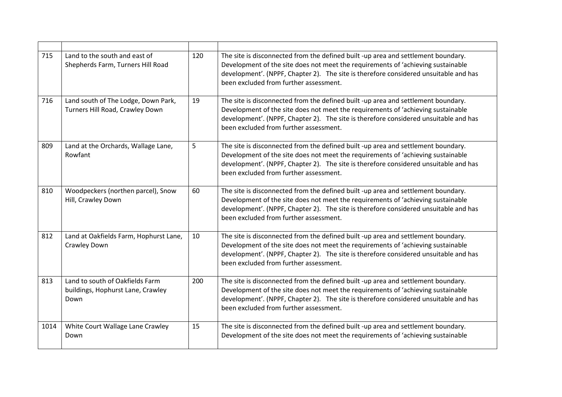| 715  | Land to the south and east of<br>Shepherds Farm, Turners Hill Road           | 120 | The site is disconnected from the defined built -up area and settlement boundary.<br>Development of the site does not meet the requirements of 'achieving sustainable<br>development'. (NPPF, Chapter 2). The site is therefore considered unsuitable and has<br>been excluded from further assessment. |
|------|------------------------------------------------------------------------------|-----|---------------------------------------------------------------------------------------------------------------------------------------------------------------------------------------------------------------------------------------------------------------------------------------------------------|
| 716  | Land south of The Lodge, Down Park,<br>Turners Hill Road, Crawley Down       | 19  | The site is disconnected from the defined built -up area and settlement boundary.<br>Development of the site does not meet the requirements of 'achieving sustainable<br>development'. (NPPF, Chapter 2). The site is therefore considered unsuitable and has<br>been excluded from further assessment. |
| 809  | Land at the Orchards, Wallage Lane,<br>Rowfant                               | 5   | The site is disconnected from the defined built -up area and settlement boundary.<br>Development of the site does not meet the requirements of 'achieving sustainable<br>development'. (NPPF, Chapter 2). The site is therefore considered unsuitable and has<br>been excluded from further assessment. |
| 810  | Woodpeckers (northen parcel), Snow<br>Hill, Crawley Down                     | 60  | The site is disconnected from the defined built -up area and settlement boundary.<br>Development of the site does not meet the requirements of 'achieving sustainable<br>development'. (NPPF, Chapter 2). The site is therefore considered unsuitable and has<br>been excluded from further assessment. |
| 812  | Land at Oakfields Farm, Hophurst Lane,<br>Crawley Down                       | 10  | The site is disconnected from the defined built -up area and settlement boundary.<br>Development of the site does not meet the requirements of 'achieving sustainable<br>development'. (NPPF, Chapter 2). The site is therefore considered unsuitable and has<br>been excluded from further assessment. |
| 813  | Land to south of Oakfields Farm<br>buildings, Hophurst Lane, Crawley<br>Down | 200 | The site is disconnected from the defined built -up area and settlement boundary.<br>Development of the site does not meet the requirements of 'achieving sustainable<br>development'. (NPPF, Chapter 2). The site is therefore considered unsuitable and has<br>been excluded from further assessment. |
| 1014 | White Court Wallage Lane Crawley<br>Down                                     | 15  | The site is disconnected from the defined built -up area and settlement boundary.<br>Development of the site does not meet the requirements of 'achieving sustainable                                                                                                                                   |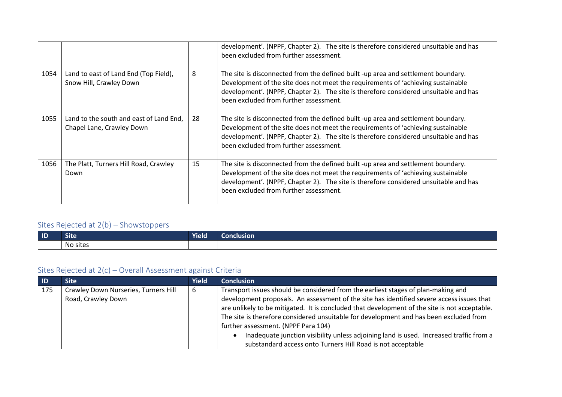|      |                                                                      |    | development'. (NPPF, Chapter 2). The site is therefore considered unsuitable and has<br>been excluded from further assessment.                                                                                                                                                                          |
|------|----------------------------------------------------------------------|----|---------------------------------------------------------------------------------------------------------------------------------------------------------------------------------------------------------------------------------------------------------------------------------------------------------|
| 1054 | Land to east of Land End (Top Field),<br>Snow Hill, Crawley Down     | 8  | The site is disconnected from the defined built -up area and settlement boundary.<br>Development of the site does not meet the requirements of 'achieving sustainable<br>development'. (NPPF, Chapter 2). The site is therefore considered unsuitable and has<br>been excluded from further assessment. |
| 1055 | Land to the south and east of Land End,<br>Chapel Lane, Crawley Down | 28 | The site is disconnected from the defined built -up area and settlement boundary.<br>Development of the site does not meet the requirements of 'achieving sustainable<br>development'. (NPPF, Chapter 2). The site is therefore considered unsuitable and has<br>been excluded from further assessment. |
| 1056 | The Platt, Turners Hill Road, Crawley<br>Down                        | 15 | The site is disconnected from the defined built -up area and settlement boundary.<br>Development of the site does not meet the requirements of 'achieving sustainable<br>development'. (NPPF, Chapter 2). The site is therefore considered unsuitable and has<br>been excluded from further assessment. |

### Sites Rejected at 2(b) – Showstoppers

| $\blacksquare$ | ∼.                            | $\overline{\phantom{a}}$ | iciusion |
|----------------|-------------------------------|--------------------------|----------|
|                | ыте                           | <b>Yield</b>             | -91      |
|                | $\sim$<br>sites<br>м.<br>19 U |                          |          |

| - ID | Site                                                       | Yield | <b>Conclusion</b>                                                                                                                                                                                                                                                                                                                                                                                                                                                                                                                                                         |
|------|------------------------------------------------------------|-------|---------------------------------------------------------------------------------------------------------------------------------------------------------------------------------------------------------------------------------------------------------------------------------------------------------------------------------------------------------------------------------------------------------------------------------------------------------------------------------------------------------------------------------------------------------------------------|
| 175  | Crawley Down Nurseries, Turners Hill<br>Road, Crawley Down | 6     | Transport issues should be considered from the earliest stages of plan-making and<br>development proposals. An assessment of the site has identified severe access issues that<br>are unlikely to be mitigated. It is concluded that development of the site is not acceptable.<br>The site is therefore considered unsuitable for development and has been excluded from<br>further assessment. (NPPF Para 104)<br>Inadequate junction visibility unless adjoining land is used. Increased traffic from a<br>substandard access onto Turners Hill Road is not acceptable |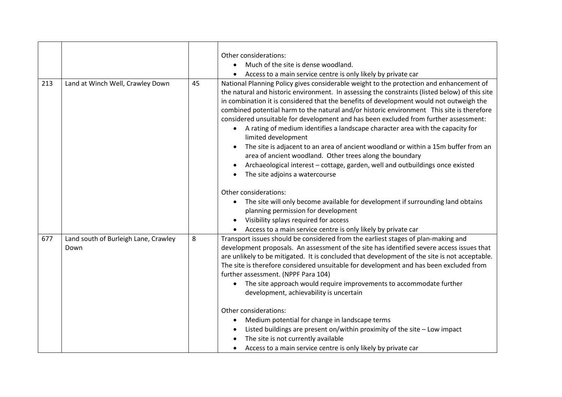|     |                                              |    | Other considerations:                                                                                                                                                                                                                                                                                                                                                                                                                                                                                                                                                                                                                                                                                                                                                                                                                                     |
|-----|----------------------------------------------|----|-----------------------------------------------------------------------------------------------------------------------------------------------------------------------------------------------------------------------------------------------------------------------------------------------------------------------------------------------------------------------------------------------------------------------------------------------------------------------------------------------------------------------------------------------------------------------------------------------------------------------------------------------------------------------------------------------------------------------------------------------------------------------------------------------------------------------------------------------------------|
|     |                                              |    | Much of the site is dense woodland.<br>$\bullet$                                                                                                                                                                                                                                                                                                                                                                                                                                                                                                                                                                                                                                                                                                                                                                                                          |
|     |                                              |    | Access to a main service centre is only likely by private car                                                                                                                                                                                                                                                                                                                                                                                                                                                                                                                                                                                                                                                                                                                                                                                             |
| 213 | Land at Winch Well, Crawley Down             | 45 | National Planning Policy gives considerable weight to the protection and enhancement of<br>the natural and historic environment. In assessing the constraints (listed below) of this site<br>in combination it is considered that the benefits of development would not outweigh the<br>combined potential harm to the natural and/or historic environment This site is therefore<br>considered unsuitable for development and has been excluded from further assessment:<br>• A rating of medium identifies a landscape character area with the capacity for<br>limited development<br>The site is adjacent to an area of ancient woodland or within a 15m buffer from an<br>area of ancient woodland. Other trees along the boundary<br>Archaeological interest - cottage, garden, well and outbuildings once existed<br>The site adjoins a watercourse |
|     |                                              |    | Other considerations:<br>The site will only become available for development if surrounding land obtains<br>planning permission for development<br>Visibility splays required for access<br>Access to a main service centre is only likely by private car                                                                                                                                                                                                                                                                                                                                                                                                                                                                                                                                                                                                 |
| 677 | Land south of Burleigh Lane, Crawley<br>Down | 8  | Transport issues should be considered from the earliest stages of plan-making and<br>development proposals. An assessment of the site has identified severe access issues that<br>are unlikely to be mitigated. It is concluded that development of the site is not acceptable.<br>The site is therefore considered unsuitable for development and has been excluded from<br>further assessment. (NPPF Para 104)<br>The site approach would require improvements to accommodate further<br>development, achievability is uncertain                                                                                                                                                                                                                                                                                                                        |
|     |                                              |    | Other considerations:<br>Medium potential for change in landscape terms<br>Listed buildings are present on/within proximity of the site - Low impact<br>The site is not currently available<br>Access to a main service centre is only likely by private car<br>$\bullet$                                                                                                                                                                                                                                                                                                                                                                                                                                                                                                                                                                                 |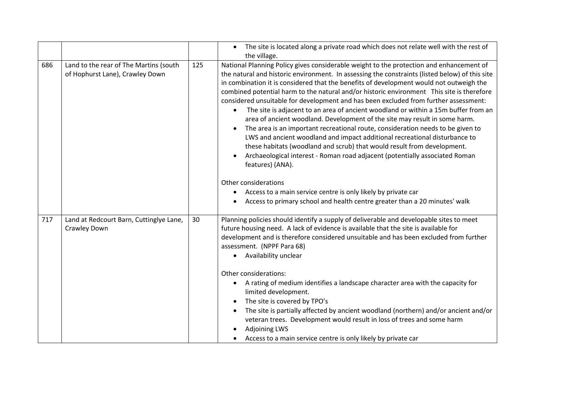|     |                                                                           |     | The site is located along a private road which does not relate well with the rest of<br>$\bullet$<br>the village.                                                                                                                                                                                                                                                                                                                                                                                                                                                                                                                                                                                                                                                                                                                                                                                                                                                                                                                                                                                                                                                   |
|-----|---------------------------------------------------------------------------|-----|---------------------------------------------------------------------------------------------------------------------------------------------------------------------------------------------------------------------------------------------------------------------------------------------------------------------------------------------------------------------------------------------------------------------------------------------------------------------------------------------------------------------------------------------------------------------------------------------------------------------------------------------------------------------------------------------------------------------------------------------------------------------------------------------------------------------------------------------------------------------------------------------------------------------------------------------------------------------------------------------------------------------------------------------------------------------------------------------------------------------------------------------------------------------|
| 686 | Land to the rear of The Martins (south<br>of Hophurst Lane), Crawley Down | 125 | National Planning Policy gives considerable weight to the protection and enhancement of<br>the natural and historic environment. In assessing the constraints (listed below) of this site<br>in combination it is considered that the benefits of development would not outweigh the<br>combined potential harm to the natural and/or historic environment This site is therefore<br>considered unsuitable for development and has been excluded from further assessment:<br>The site is adjacent to an area of ancient woodland or within a 15m buffer from an<br>area of ancient woodland. Development of the site may result in some harm.<br>The area is an important recreational route, consideration needs to be given to<br>LWS and ancient woodland and impact additional recreational disturbance to<br>these habitats (woodland and scrub) that would result from development.<br>Archaeological interest - Roman road adjacent (potentially associated Roman<br>features) (ANA).<br>Other considerations<br>Access to a main service centre is only likely by private car<br>Access to primary school and health centre greater than a 20 minutes' walk |
| 717 | Land at Redcourt Barn, Cuttinglye Lane,<br>Crawley Down                   | 30  | Planning policies should identify a supply of deliverable and developable sites to meet<br>future housing need. A lack of evidence is available that the site is available for<br>development and is therefore considered unsuitable and has been excluded from further<br>assessment. (NPPF Para 68)<br>Availability unclear<br>Other considerations:<br>A rating of medium identifies a landscape character area with the capacity for<br>limited development.<br>The site is covered by TPO's<br>The site is partially affected by ancient woodland (northern) and/or ancient and/or<br>veteran trees. Development would result in loss of trees and some harm<br><b>Adjoining LWS</b><br>Access to a main service centre is only likely by private car<br>$\bullet$                                                                                                                                                                                                                                                                                                                                                                                             |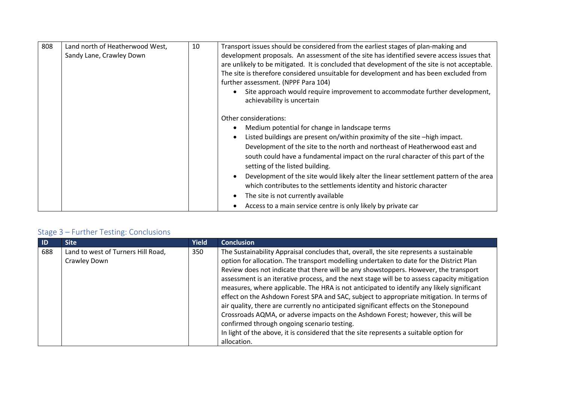| 808 | Land north of Heatherwood West,<br>Sandy Lane, Crawley Down | 10 | Transport issues should be considered from the earliest stages of plan-making and<br>development proposals. An assessment of the site has identified severe access issues that<br>are unlikely to be mitigated. It is concluded that development of the site is not acceptable.<br>The site is therefore considered unsuitable for development and has been excluded from |
|-----|-------------------------------------------------------------|----|---------------------------------------------------------------------------------------------------------------------------------------------------------------------------------------------------------------------------------------------------------------------------------------------------------------------------------------------------------------------------|
|     |                                                             |    | further assessment. (NPPF Para 104)<br>Site approach would require improvement to accommodate further development,<br>achievability is uncertain                                                                                                                                                                                                                          |
|     |                                                             |    | Other considerations:<br>Medium potential for change in landscape terms<br>Listed buildings are present on/within proximity of the site -high impact.<br>Development of the site to the north and northeast of Heatherwood east and<br>south could have a fundamental impact on the rural character of this part of the<br>setting of the listed building.                |
|     |                                                             |    | Development of the site would likely alter the linear settlement pattern of the area<br>which contributes to the settlements identity and historic character                                                                                                                                                                                                              |
|     |                                                             |    | The site is not currently available<br>Access to a main service centre is only likely by private car                                                                                                                                                                                                                                                                      |

| $\blacksquare$ | <b>Site</b>                                        | <b>Yield</b> | <b>Conclusion</b>                                                                                                                                                                                                                                                                                                                                                                                                                                                                                                                                                                                                                                                                                                                                                                                                                                                                                        |
|----------------|----------------------------------------------------|--------------|----------------------------------------------------------------------------------------------------------------------------------------------------------------------------------------------------------------------------------------------------------------------------------------------------------------------------------------------------------------------------------------------------------------------------------------------------------------------------------------------------------------------------------------------------------------------------------------------------------------------------------------------------------------------------------------------------------------------------------------------------------------------------------------------------------------------------------------------------------------------------------------------------------|
| 688            | Land to west of Turners Hill Road,<br>Crawley Down | 350          | The Sustainability Appraisal concludes that, overall, the site represents a sustainable<br>option for allocation. The transport modelling undertaken to date for the District Plan<br>Review does not indicate that there will be any showstoppers. However, the transport<br>assessment is an iterative process, and the next stage will be to assess capacity mitigation<br>measures, where applicable. The HRA is not anticipated to identify any likely significant<br>effect on the Ashdown Forest SPA and SAC, subject to appropriate mitigation. In terms of<br>air quality, there are currently no anticipated significant effects on the Stonepound<br>Crossroads AQMA, or adverse impacts on the Ashdown Forest; however, this will be<br>confirmed through ongoing scenario testing.<br>In light of the above, it is considered that the site represents a suitable option for<br>allocation. |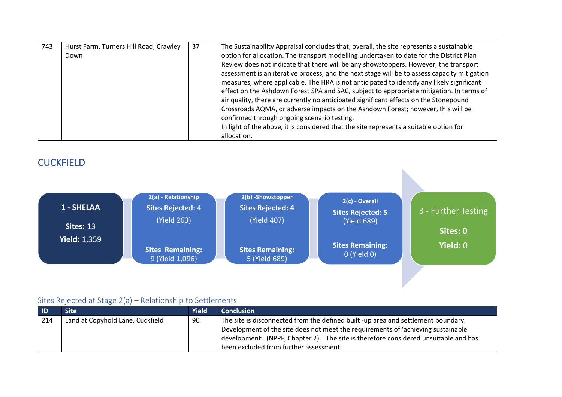| 743 | Hurst Farm, Turners Hill Road, Crawley<br>Down | 37 | The Sustainability Appraisal concludes that, overall, the site represents a sustainable<br>option for allocation. The transport modelling undertaken to date for the District Plan<br>Review does not indicate that there will be any showstoppers. However, the transport<br>assessment is an iterative process, and the next stage will be to assess capacity mitigation<br>measures, where applicable. The HRA is not anticipated to identify any likely significant<br>effect on the Ashdown Forest SPA and SAC, subject to appropriate mitigation. In terms of<br>air quality, there are currently no anticipated significant effects on the Stonepound<br>Crossroads AQMA, or adverse impacts on the Ashdown Forest; however, this will be<br>confirmed through ongoing scenario testing.<br>In light of the above, it is considered that the site represents a suitable option for |
|-----|------------------------------------------------|----|-------------------------------------------------------------------------------------------------------------------------------------------------------------------------------------------------------------------------------------------------------------------------------------------------------------------------------------------------------------------------------------------------------------------------------------------------------------------------------------------------------------------------------------------------------------------------------------------------------------------------------------------------------------------------------------------------------------------------------------------------------------------------------------------------------------------------------------------------------------------------------------------|
|     |                                                |    | allocation.                                                                                                                                                                                                                                                                                                                                                                                                                                                                                                                                                                                                                                                                                                                                                                                                                                                                               |

### **CUCKFIELD**



| $\blacksquare$ | Site                             | <b>Yield</b> | <b>Conclusion</b>                                                                    |
|----------------|----------------------------------|--------------|--------------------------------------------------------------------------------------|
| 214            | Land at Copyhold Lane, Cuckfield | 90           | The site is disconnected from the defined built -up area and settlement boundary.    |
|                |                                  |              | Development of the site does not meet the requirements of 'achieving sustainable     |
|                |                                  |              | development'. (NPPF, Chapter 2). The site is therefore considered unsuitable and has |
|                |                                  |              | been excluded from further assessment.                                               |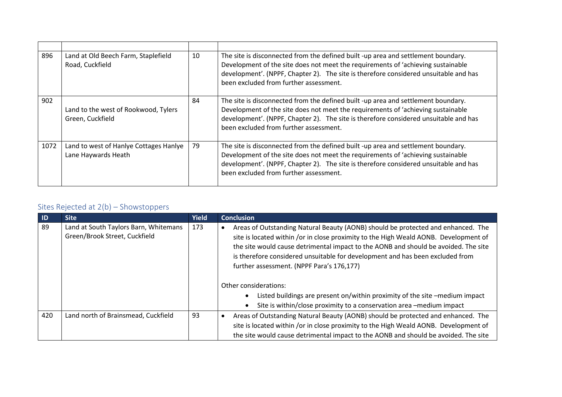| 896  | Land at Old Beech Farm, Staplefield<br>Road, Cuckfield        | 10 | The site is disconnected from the defined built -up area and settlement boundary.<br>Development of the site does not meet the requirements of 'achieving sustainable<br>development'. (NPPF, Chapter 2). The site is therefore considered unsuitable and has<br>been excluded from further assessment. |
|------|---------------------------------------------------------------|----|---------------------------------------------------------------------------------------------------------------------------------------------------------------------------------------------------------------------------------------------------------------------------------------------------------|
| 902  | Land to the west of Rookwood, Tylers<br>Green, Cuckfield      | 84 | The site is disconnected from the defined built -up area and settlement boundary.<br>Development of the site does not meet the requirements of 'achieving sustainable<br>development'. (NPPF, Chapter 2). The site is therefore considered unsuitable and has<br>been excluded from further assessment. |
| 1072 | Land to west of Hanlye Cottages Hanlye<br>Lane Haywards Heath | 79 | The site is disconnected from the defined built -up area and settlement boundary.<br>Development of the site does not meet the requirements of 'achieving sustainable<br>development'. (NPPF, Chapter 2). The site is therefore considered unsuitable and has<br>been excluded from further assessment. |

| $\blacksquare$ | <b>Site</b>                                                            | <b>Yield</b> | <b>Conclusion</b>                                                                                                                                                                                                                                                                                                                                                                             |
|----------------|------------------------------------------------------------------------|--------------|-----------------------------------------------------------------------------------------------------------------------------------------------------------------------------------------------------------------------------------------------------------------------------------------------------------------------------------------------------------------------------------------------|
| -89            | Land at South Taylors Barn, Whitemans<br>Green/Brook Street, Cuckfield | 173          | Areas of Outstanding Natural Beauty (AONB) should be protected and enhanced. The<br>site is located within /or in close proximity to the High Weald AONB. Development of<br>the site would cause detrimental impact to the AONB and should be avoided. The site<br>is therefore considered unsuitable for development and has been excluded from<br>further assessment. (NPPF Para's 176,177) |
|                |                                                                        |              | Other considerations:                                                                                                                                                                                                                                                                                                                                                                         |
|                |                                                                        |              | Listed buildings are present on/within proximity of the site -medium impact                                                                                                                                                                                                                                                                                                                   |
|                |                                                                        |              | Site is within/close proximity to a conservation area -medium impact                                                                                                                                                                                                                                                                                                                          |
| 420            | Land north of Brainsmead, Cuckfield                                    | 93           | Areas of Outstanding Natural Beauty (AONB) should be protected and enhanced. The<br>site is located within /or in close proximity to the High Weald AONB. Development of<br>the site would cause detrimental impact to the AONB and should be avoided. The site                                                                                                                               |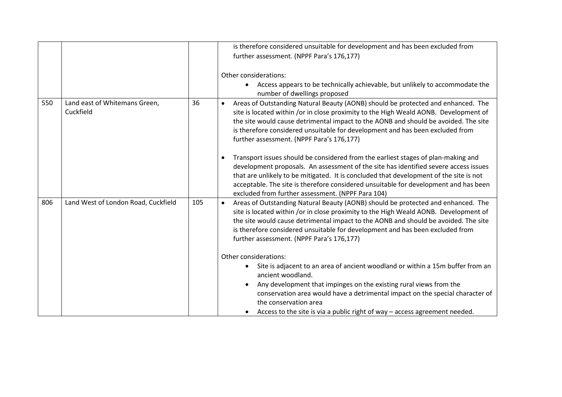|     |                                            |     | is therefore considered unsuitable for development and has been excluded from                                                                                                                                                                                                                                                                                                                                    |
|-----|--------------------------------------------|-----|------------------------------------------------------------------------------------------------------------------------------------------------------------------------------------------------------------------------------------------------------------------------------------------------------------------------------------------------------------------------------------------------------------------|
|     |                                            |     | further assessment. (NPPF Para's 176,177)                                                                                                                                                                                                                                                                                                                                                                        |
|     |                                            |     | Other considerations:<br>Access appears to be technically achievable, but unlikely to accommodate the<br>$\bullet$<br>number of dwellings proposed                                                                                                                                                                                                                                                               |
| 550 | Land east of Whitemans Green,<br>Cuckfield | 36  | Areas of Outstanding Natural Beauty (AONB) should be protected and enhanced. The<br>$\bullet$<br>site is located within /or in close proximity to the High Weald AONB. Development of<br>the site would cause detrimental impact to the AONB and should be avoided. The site<br>is therefore considered unsuitable for development and has been excluded from<br>further assessment. (NPPF Para's 176,177)       |
|     |                                            |     | Transport issues should be considered from the earliest stages of plan-making and<br>development proposals. An assessment of the site has identified severe access issues<br>that are unlikely to be mitigated. It is concluded that development of the site is not<br>acceptable. The site is therefore considered unsuitable for development and has been<br>excluded from further assessment. (NPPF Para 104) |
| 806 | Land West of London Road, Cuckfield        | 105 | Areas of Outstanding Natural Beauty (AONB) should be protected and enhanced. The<br>$\bullet$<br>site is located within /or in close proximity to the High Weald AONB. Development of<br>the site would cause detrimental impact to the AONB and should be avoided. The site<br>is therefore considered unsuitable for development and has been excluded from<br>further assessment. (NPPF Para's 176,177)       |
|     |                                            |     | Other considerations:<br>Site is adjacent to an area of ancient woodland or within a 15m buffer from an<br>ancient woodland.                                                                                                                                                                                                                                                                                     |
|     |                                            |     | Any development that impinges on the existing rural views from the<br>conservation area would have a detrimental impact on the special character of<br>the conservation area                                                                                                                                                                                                                                     |
|     |                                            |     | Access to the site is via a public right of way - access agreement needed.<br>$\bullet$                                                                                                                                                                                                                                                                                                                          |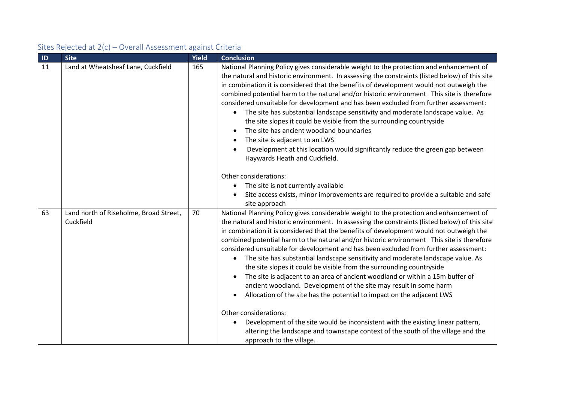| ID | <b>Site</b>                                         | Yield | <b>Conclusion</b>                                                                                                                                                                                                                                                                                                                                                                                                                                                                                                                                                                                                                                                                                                                                                                                                                                                                                                                                                                                                                                                                                                              |
|----|-----------------------------------------------------|-------|--------------------------------------------------------------------------------------------------------------------------------------------------------------------------------------------------------------------------------------------------------------------------------------------------------------------------------------------------------------------------------------------------------------------------------------------------------------------------------------------------------------------------------------------------------------------------------------------------------------------------------------------------------------------------------------------------------------------------------------------------------------------------------------------------------------------------------------------------------------------------------------------------------------------------------------------------------------------------------------------------------------------------------------------------------------------------------------------------------------------------------|
| 11 | Land at Wheatsheaf Lane, Cuckfield                  | 165   | National Planning Policy gives considerable weight to the protection and enhancement of<br>the natural and historic environment. In assessing the constraints (listed below) of this site<br>in combination it is considered that the benefits of development would not outweigh the<br>combined potential harm to the natural and/or historic environment This site is therefore<br>considered unsuitable for development and has been excluded from further assessment:<br>The site has substantial landscape sensitivity and moderate landscape value. As<br>$\bullet$<br>the site slopes it could be visible from the surrounding countryside<br>The site has ancient woodland boundaries<br>The site is adjacent to an LWS<br>Development at this location would significantly reduce the green gap between<br>Haywards Heath and Cuckfield.<br>Other considerations:<br>The site is not currently available<br>Site access exists, minor improvements are required to provide a suitable and safe                                                                                                                        |
| 63 | Land north of Riseholme, Broad Street,<br>Cuckfield | 70    | site approach<br>National Planning Policy gives considerable weight to the protection and enhancement of<br>the natural and historic environment. In assessing the constraints (listed below) of this site<br>in combination it is considered that the benefits of development would not outweigh the<br>combined potential harm to the natural and/or historic environment This site is therefore<br>considered unsuitable for development and has been excluded from further assessment:<br>The site has substantial landscape sensitivity and moderate landscape value. As<br>$\bullet$<br>the site slopes it could be visible from the surrounding countryside<br>The site is adjacent to an area of ancient woodland or within a 15m buffer of<br>ancient woodland. Development of the site may result in some harm<br>Allocation of the site has the potential to impact on the adjacent LWS<br>Other considerations:<br>Development of the site would be inconsistent with the existing linear pattern,<br>altering the landscape and townscape context of the south of the village and the<br>approach to the village. |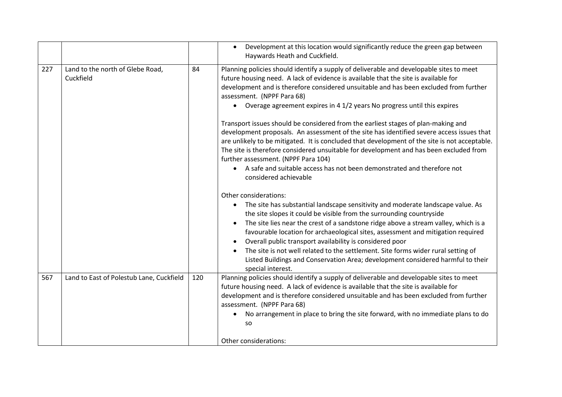|     |                                               |     | Development at this location would significantly reduce the green gap between<br>$\bullet$<br>Haywards Heath and Cuckfield.                                                                                                                                                                                                                                                                                                                                                                                                                                                                                          |
|-----|-----------------------------------------------|-----|----------------------------------------------------------------------------------------------------------------------------------------------------------------------------------------------------------------------------------------------------------------------------------------------------------------------------------------------------------------------------------------------------------------------------------------------------------------------------------------------------------------------------------------------------------------------------------------------------------------------|
| 227 | Land to the north of Glebe Road,<br>Cuckfield | 84  | Planning policies should identify a supply of deliverable and developable sites to meet<br>future housing need. A lack of evidence is available that the site is available for<br>development and is therefore considered unsuitable and has been excluded from further<br>assessment. (NPPF Para 68)<br>Overage agreement expires in 4 1/2 years No progress until this expires                                                                                                                                                                                                                                     |
|     |                                               |     | Transport issues should be considered from the earliest stages of plan-making and<br>development proposals. An assessment of the site has identified severe access issues that<br>are unlikely to be mitigated. It is concluded that development of the site is not acceptable.<br>The site is therefore considered unsuitable for development and has been excluded from<br>further assessment. (NPPF Para 104)<br>A safe and suitable access has not been demonstrated and therefore not<br>$\bullet$<br>considered achievable                                                                                     |
|     |                                               |     | Other considerations:<br>The site has substantial landscape sensitivity and moderate landscape value. As<br>the site slopes it could be visible from the surrounding countryside<br>The site lies near the crest of a sandstone ridge above a stream valley, which is a<br>favourable location for archaeological sites, assessment and mitigation required<br>Overall public transport availability is considered poor<br>The site is not well related to the settlement. Site forms wider rural setting of<br>Listed Buildings and Conservation Area; development considered harmful to their<br>special interest. |
| 567 | Land to East of Polestub Lane, Cuckfield      | 120 | Planning policies should identify a supply of deliverable and developable sites to meet<br>future housing need. A lack of evidence is available that the site is available for<br>development and is therefore considered unsuitable and has been excluded from further<br>assessment. (NPPF Para 68)<br>No arrangement in place to bring the site forward, with no immediate plans to do<br>SO<br>Other considerations:                                                                                                                                                                                             |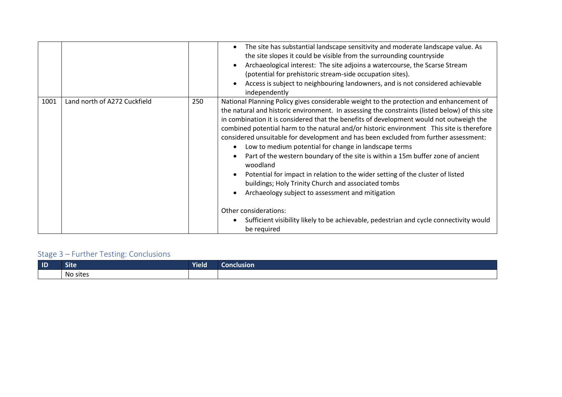|      |                              |     | The site has substantial landscape sensitivity and moderate landscape value. As<br>the site slopes it could be visible from the surrounding countryside<br>Archaeological interest: The site adjoins a watercourse, the Scarse Stream<br>(potential for prehistoric stream-side occupation sites).<br>Access is subject to neighbouring landowners, and is not considered achievable<br>independently                                                                                                                                                                                                                                                                                                                                                                                                                                                                                                                                                            |
|------|------------------------------|-----|------------------------------------------------------------------------------------------------------------------------------------------------------------------------------------------------------------------------------------------------------------------------------------------------------------------------------------------------------------------------------------------------------------------------------------------------------------------------------------------------------------------------------------------------------------------------------------------------------------------------------------------------------------------------------------------------------------------------------------------------------------------------------------------------------------------------------------------------------------------------------------------------------------------------------------------------------------------|
| 1001 | Land north of A272 Cuckfield | 250 | National Planning Policy gives considerable weight to the protection and enhancement of<br>the natural and historic environment. In assessing the constraints (listed below) of this site<br>in combination it is considered that the benefits of development would not outweigh the<br>combined potential harm to the natural and/or historic environment This site is therefore<br>considered unsuitable for development and has been excluded from further assessment:<br>Low to medium potential for change in landscape terms<br>Part of the western boundary of the site is within a 15m buffer zone of ancient<br>woodland<br>Potential for impact in relation to the wider setting of the cluster of listed<br>buildings; Holy Trinity Church and associated tombs<br>Archaeology subject to assessment and mitigation<br>Other considerations:<br>Sufficient visibility likely to be achievable, pedestrian and cycle connectivity would<br>be required |

| $\blacksquare$ | <b>Site</b> | Yield | Conclusion |
|----------------|-------------|-------|------------|
|                | No sites    |       |            |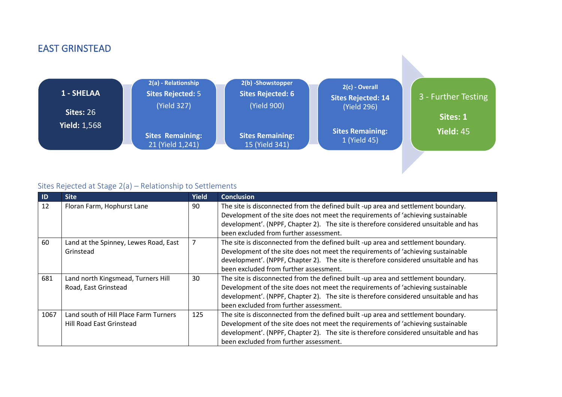# EAST GRINSTEAD



| <b>ID</b> | <b>Site</b>                           | <b>Yield</b> | <b>Conclusion</b>                                                                    |
|-----------|---------------------------------------|--------------|--------------------------------------------------------------------------------------|
| 12        | Floran Farm, Hophurst Lane            | 90           | The site is disconnected from the defined built -up area and settlement boundary.    |
|           |                                       |              | Development of the site does not meet the requirements of 'achieving sustainable     |
|           |                                       |              | development'. (NPPF, Chapter 2). The site is therefore considered unsuitable and has |
|           |                                       |              | been excluded from further assessment.                                               |
| 60        | Land at the Spinney, Lewes Road, East |              | The site is disconnected from the defined built -up area and settlement boundary.    |
|           | Grinstead                             |              | Development of the site does not meet the requirements of 'achieving sustainable     |
|           |                                       |              | development'. (NPPF, Chapter 2). The site is therefore considered unsuitable and has |
|           |                                       |              | been excluded from further assessment.                                               |
| 681       | Land north Kingsmead, Turners Hill    | 30           | The site is disconnected from the defined built -up area and settlement boundary.    |
|           | Road, East Grinstead                  |              | Development of the site does not meet the requirements of 'achieving sustainable     |
|           |                                       |              | development'. (NPPF, Chapter 2). The site is therefore considered unsuitable and has |
|           |                                       |              | been excluded from further assessment.                                               |
| 1067      | Land south of Hill Place Farm Turners | 125          | The site is disconnected from the defined built -up area and settlement boundary.    |
|           | Hill Road East Grinstead              |              | Development of the site does not meet the requirements of 'achieving sustainable     |
|           |                                       |              | development'. (NPPF, Chapter 2). The site is therefore considered unsuitable and has |
|           |                                       |              | been excluded from further assessment.                                               |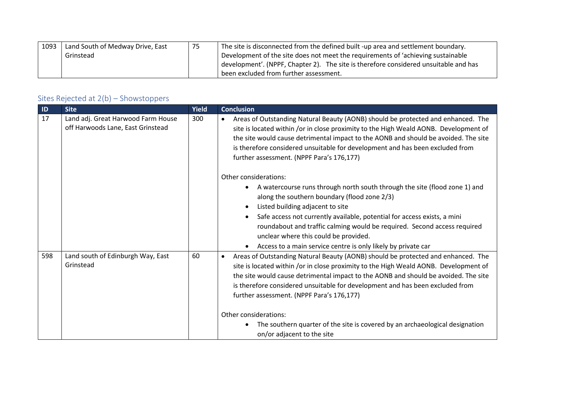| 1093 | Land South of Medway Drive, East | 75 | The site is disconnected from the defined built -up area and settlement boundary.    |
|------|----------------------------------|----|--------------------------------------------------------------------------------------|
|      | Grinstead                        |    | Development of the site does not meet the requirements of 'achieving sustainable     |
|      |                                  |    | development'. (NPPF, Chapter 2). The site is therefore considered unsuitable and has |
|      |                                  |    | I been excluded from further assessment.                                             |

| ID  | <b>Site</b>                                                             | Yield | <b>Conclusion</b>                                                                                                                                                                                                                                                                                                                                                                                                                                                                                                                                 |
|-----|-------------------------------------------------------------------------|-------|---------------------------------------------------------------------------------------------------------------------------------------------------------------------------------------------------------------------------------------------------------------------------------------------------------------------------------------------------------------------------------------------------------------------------------------------------------------------------------------------------------------------------------------------------|
| 17  | Land adj. Great Harwood Farm House<br>off Harwoods Lane, East Grinstead | 300   | Areas of Outstanding Natural Beauty (AONB) should be protected and enhanced. The<br>$\bullet$<br>site is located within /or in close proximity to the High Weald AONB. Development of<br>the site would cause detrimental impact to the AONB and should be avoided. The site<br>is therefore considered unsuitable for development and has been excluded from<br>further assessment. (NPPF Para's 176,177)                                                                                                                                        |
|     |                                                                         |       | Other considerations:<br>A watercourse runs through north south through the site (flood zone 1) and<br>along the southern boundary (flood zone 2/3)<br>Listed building adjacent to site<br>Safe access not currently available, potential for access exists, a mini<br>roundabout and traffic calming would be required. Second access required<br>unclear where this could be provided.<br>Access to a main service centre is only likely by private car                                                                                         |
| 598 | Land south of Edinburgh Way, East<br>Grinstead                          | 60    | Areas of Outstanding Natural Beauty (AONB) should be protected and enhanced. The<br>$\bullet$<br>site is located within /or in close proximity to the High Weald AONB. Development of<br>the site would cause detrimental impact to the AONB and should be avoided. The site<br>is therefore considered unsuitable for development and has been excluded from<br>further assessment. (NPPF Para's 176,177)<br>Other considerations:<br>The southern quarter of the site is covered by an archaeological designation<br>on/or adjacent to the site |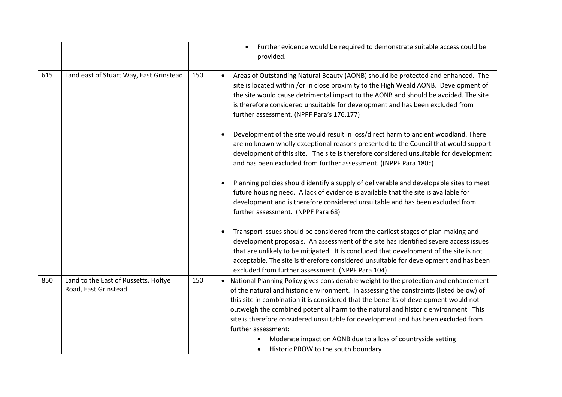|     |                                                              |     | Further evidence would be required to demonstrate suitable access could be<br>provided.                                                                                                                                                                                                                                                                                                                                                                                                                                                                                            |
|-----|--------------------------------------------------------------|-----|------------------------------------------------------------------------------------------------------------------------------------------------------------------------------------------------------------------------------------------------------------------------------------------------------------------------------------------------------------------------------------------------------------------------------------------------------------------------------------------------------------------------------------------------------------------------------------|
| 615 | Land east of Stuart Way, East Grinstead                      | 150 | Areas of Outstanding Natural Beauty (AONB) should be protected and enhanced. The<br>$\bullet$<br>site is located within /or in close proximity to the High Weald AONB. Development of<br>the site would cause detrimental impact to the AONB and should be avoided. The site<br>is therefore considered unsuitable for development and has been excluded from<br>further assessment. (NPPF Para's 176,177)                                                                                                                                                                         |
|     |                                                              |     | Development of the site would result in loss/direct harm to ancient woodland. There<br>are no known wholly exceptional reasons presented to the Council that would support<br>development of this site. The site is therefore considered unsuitable for development<br>and has been excluded from further assessment. ((NPPF Para 180c)                                                                                                                                                                                                                                            |
|     |                                                              |     | Planning policies should identify a supply of deliverable and developable sites to meet<br>$\bullet$<br>future housing need. A lack of evidence is available that the site is available for<br>development and is therefore considered unsuitable and has been excluded from<br>further assessment. (NPPF Para 68)                                                                                                                                                                                                                                                                 |
|     |                                                              |     | Transport issues should be considered from the earliest stages of plan-making and<br>$\bullet$<br>development proposals. An assessment of the site has identified severe access issues<br>that are unlikely to be mitigated. It is concluded that development of the site is not<br>acceptable. The site is therefore considered unsuitable for development and has been<br>excluded from further assessment. (NPPF Para 104)                                                                                                                                                      |
| 850 | Land to the East of Russetts, Holtye<br>Road, East Grinstead | 150 | • National Planning Policy gives considerable weight to the protection and enhancement<br>of the natural and historic environment. In assessing the constraints (listed below) of<br>this site in combination it is considered that the benefits of development would not<br>outweigh the combined potential harm to the natural and historic environment This<br>site is therefore considered unsuitable for development and has been excluded from<br>further assessment:<br>Moderate impact on AONB due to a loss of countryside setting<br>Historic PROW to the south boundary |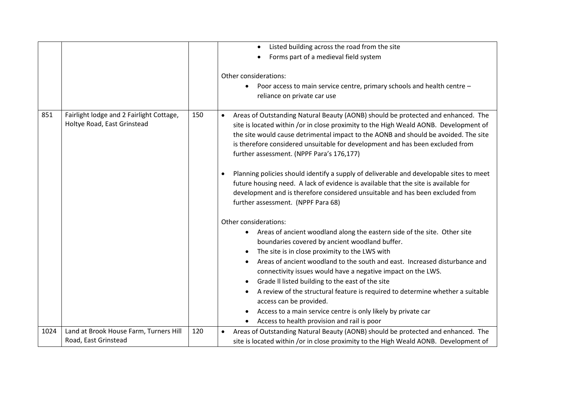|      |                                                                         |     | Listed building across the road from the site<br>Forms part of a medieval field system                                                                                                                                                                                                                                                                                                                     |
|------|-------------------------------------------------------------------------|-----|------------------------------------------------------------------------------------------------------------------------------------------------------------------------------------------------------------------------------------------------------------------------------------------------------------------------------------------------------------------------------------------------------------|
|      |                                                                         |     | Other considerations:<br>Poor access to main service centre, primary schools and health centre -<br>reliance on private car use                                                                                                                                                                                                                                                                            |
| 851  | Fairlight lodge and 2 Fairlight Cottage,<br>Holtye Road, East Grinstead | 150 | Areas of Outstanding Natural Beauty (AONB) should be protected and enhanced. The<br>$\bullet$<br>site is located within /or in close proximity to the High Weald AONB. Development of<br>the site would cause detrimental impact to the AONB and should be avoided. The site<br>is therefore considered unsuitable for development and has been excluded from<br>further assessment. (NPPF Para's 176,177) |
|      |                                                                         |     | Planning policies should identify a supply of deliverable and developable sites to meet<br>future housing need. A lack of evidence is available that the site is available for<br>development and is therefore considered unsuitable and has been excluded from<br>further assessment. (NPPF Para 68)                                                                                                      |
|      |                                                                         |     | Other considerations:                                                                                                                                                                                                                                                                                                                                                                                      |
|      |                                                                         |     | Areas of ancient woodland along the eastern side of the site. Other site<br>boundaries covered by ancient woodland buffer.                                                                                                                                                                                                                                                                                 |
|      |                                                                         |     | The site is in close proximity to the LWS with<br>$\bullet$                                                                                                                                                                                                                                                                                                                                                |
|      |                                                                         |     | Areas of ancient woodland to the south and east. Increased disturbance and<br>connectivity issues would have a negative impact on the LWS.                                                                                                                                                                                                                                                                 |
|      |                                                                         |     | Grade II listed building to the east of the site                                                                                                                                                                                                                                                                                                                                                           |
|      |                                                                         |     | A review of the structural feature is required to determine whether a suitable<br>access can be provided.                                                                                                                                                                                                                                                                                                  |
|      |                                                                         |     | Access to a main service centre is only likely by private car                                                                                                                                                                                                                                                                                                                                              |
|      |                                                                         |     | Access to health provision and rail is poor                                                                                                                                                                                                                                                                                                                                                                |
| 1024 | Land at Brook House Farm, Turners Hill<br>Road, East Grinstead          | 120 | Areas of Outstanding Natural Beauty (AONB) should be protected and enhanced. The<br>site is located within /or in close proximity to the High Weald AONB. Development of                                                                                                                                                                                                                                   |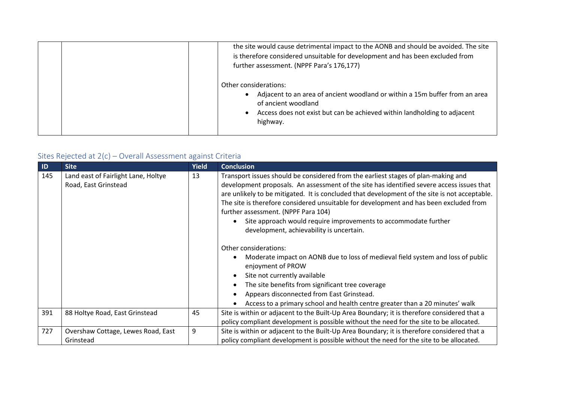| the site would cause detrimental impact to the AONB and should be avoided. The site<br>is therefore considered unsuitable for development and has been excluded from<br>further assessment. (NPPF Para's 176,177)   |
|---------------------------------------------------------------------------------------------------------------------------------------------------------------------------------------------------------------------|
| Other considerations:<br>Adjacent to an area of ancient woodland or within a 15m buffer from an area<br>of ancient woodland<br>Access does not exist but can be achieved within landholding to adjacent<br>highway. |

| $\blacksquare$ | <b>Site</b>                                                 | <b>Yield</b> | <b>Conclusion</b>                                                                                                                                                                                                                                                                                                                                                                                                                                                                                                                                                                                                                                                                                                                                                                                                                                                                 |
|----------------|-------------------------------------------------------------|--------------|-----------------------------------------------------------------------------------------------------------------------------------------------------------------------------------------------------------------------------------------------------------------------------------------------------------------------------------------------------------------------------------------------------------------------------------------------------------------------------------------------------------------------------------------------------------------------------------------------------------------------------------------------------------------------------------------------------------------------------------------------------------------------------------------------------------------------------------------------------------------------------------|
| 145            | Land east of Fairlight Lane, Holtye<br>Road, East Grinstead | 13           | Transport issues should be considered from the earliest stages of plan-making and<br>development proposals. An assessment of the site has identified severe access issues that<br>are unlikely to be mitigated. It is concluded that development of the site is not acceptable.<br>The site is therefore considered unsuitable for development and has been excluded from<br>further assessment. (NPPF Para 104)<br>Site approach would require improvements to accommodate further<br>development, achievability is uncertain.<br>Other considerations:<br>Moderate impact on AONB due to loss of medieval field system and loss of public<br>enjoyment of PROW<br>Site not currently available<br>The site benefits from significant tree coverage<br>Appears disconnected from East Grinstead.<br>Access to a primary school and health centre greater than a 20 minutes' walk |
| 391            | 88 Holtye Road, East Grinstead                              | 45           | Site is within or adjacent to the Built-Up Area Boundary; it is therefore considered that a<br>policy compliant development is possible without the need for the site to be allocated.                                                                                                                                                                                                                                                                                                                                                                                                                                                                                                                                                                                                                                                                                            |
| 727            | Overshaw Cottage, Lewes Road, East<br>Grinstead             | 9            | Site is within or adjacent to the Built-Up Area Boundary; it is therefore considered that a<br>policy compliant development is possible without the need for the site to be allocated.                                                                                                                                                                                                                                                                                                                                                                                                                                                                                                                                                                                                                                                                                            |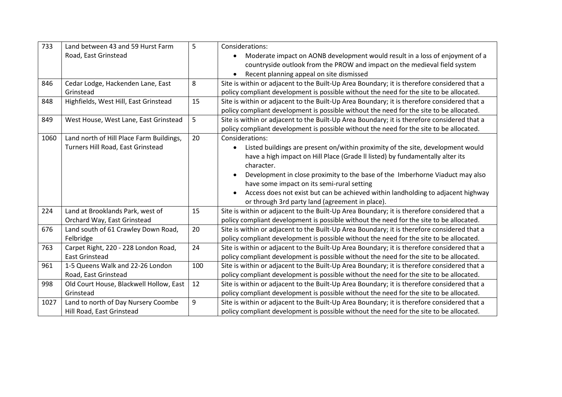| 733  | Land between 43 and 59 Hurst Farm        | 5   | Considerations:                                                                             |
|------|------------------------------------------|-----|---------------------------------------------------------------------------------------------|
|      | Road, East Grinstead                     |     | Moderate impact on AONB development would result in a loss of enjoyment of a                |
|      |                                          |     | countryside outlook from the PROW and impact on the medieval field system                   |
|      |                                          |     | Recent planning appeal on site dismissed                                                    |
| 846  | Cedar Lodge, Hackenden Lane, East        | 8   | Site is within or adjacent to the Built-Up Area Boundary; it is therefore considered that a |
|      | Grinstead                                |     | policy compliant development is possible without the need for the site to be allocated.     |
| 848  | Highfields, West Hill, East Grinstead    | 15  | Site is within or adjacent to the Built-Up Area Boundary; it is therefore considered that a |
|      |                                          |     | policy compliant development is possible without the need for the site to be allocated.     |
| 849  | West House, West Lane, East Grinstead    | 5   | Site is within or adjacent to the Built-Up Area Boundary; it is therefore considered that a |
|      |                                          |     | policy compliant development is possible without the need for the site to be allocated.     |
| 1060 | Land north of Hill Place Farm Buildings, | 20  | Considerations:                                                                             |
|      | Turners Hill Road, East Grinstead        |     | Listed buildings are present on/within proximity of the site, development would             |
|      |                                          |     | have a high impact on Hill Place (Grade II listed) by fundamentally alter its               |
|      |                                          |     | character.                                                                                  |
|      |                                          |     | Development in close proximity to the base of the Imberhorne Viaduct may also<br>$\bullet$  |
|      |                                          |     | have some impact on its semi-rural setting                                                  |
|      |                                          |     | Access does not exist but can be achieved within landholding to adjacent highway            |
|      |                                          |     | or through 3rd party land (agreement in place).                                             |
| 224  | Land at Brooklands Park, west of         | 15  | Site is within or adjacent to the Built-Up Area Boundary; it is therefore considered that a |
|      | Orchard Way, East Grinstead              |     | policy compliant development is possible without the need for the site to be allocated.     |
| 676  | Land south of 61 Crawley Down Road,      | 20  | Site is within or adjacent to the Built-Up Area Boundary; it is therefore considered that a |
|      | Felbridge                                |     | policy compliant development is possible without the need for the site to be allocated.     |
| 763  | Carpet Right, 220 - 228 London Road,     | 24  | Site is within or adjacent to the Built-Up Area Boundary; it is therefore considered that a |
|      | <b>East Grinstead</b>                    |     | policy compliant development is possible without the need for the site to be allocated.     |
| 961  | 1-5 Queens Walk and 22-26 London         | 100 | Site is within or adjacent to the Built-Up Area Boundary; it is therefore considered that a |
|      | Road, East Grinstead                     |     | policy compliant development is possible without the need for the site to be allocated.     |
| 998  | Old Court House, Blackwell Hollow, East  | 12  | Site is within or adjacent to the Built-Up Area Boundary; it is therefore considered that a |
|      | Grinstead                                |     | policy compliant development is possible without the need for the site to be allocated.     |
| 1027 | Land to north of Day Nursery Coombe      | 9   | Site is within or adjacent to the Built-Up Area Boundary; it is therefore considered that a |
|      | Hill Road, East Grinstead                |     | policy compliant development is possible without the need for the site to be allocated.     |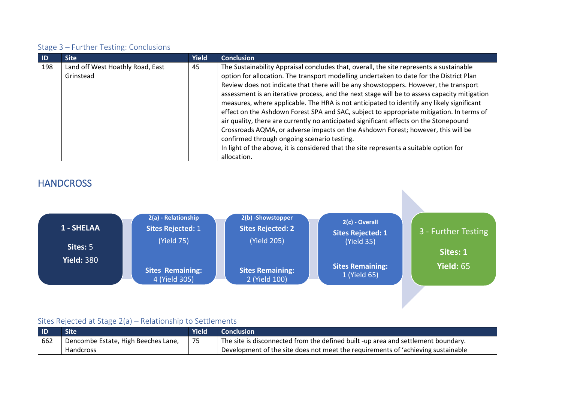| -ID | <b>Site</b>                                   | <b>Yield</b> | <b>Conclusion</b>                                                                                                                                                                                                                                                                                                                                                                                                                                                                                                                                                                                                                                                                                                                                                                                                                                                                                        |
|-----|-----------------------------------------------|--------------|----------------------------------------------------------------------------------------------------------------------------------------------------------------------------------------------------------------------------------------------------------------------------------------------------------------------------------------------------------------------------------------------------------------------------------------------------------------------------------------------------------------------------------------------------------------------------------------------------------------------------------------------------------------------------------------------------------------------------------------------------------------------------------------------------------------------------------------------------------------------------------------------------------|
| 198 | Land off West Hoathly Road, East<br>Grinstead | 45           | The Sustainability Appraisal concludes that, overall, the site represents a sustainable<br>option for allocation. The transport modelling undertaken to date for the District Plan<br>Review does not indicate that there will be any showstoppers. However, the transport<br>assessment is an iterative process, and the next stage will be to assess capacity mitigation<br>measures, where applicable. The HRA is not anticipated to identify any likely significant<br>effect on the Ashdown Forest SPA and SAC, subject to appropriate mitigation. In terms of<br>air quality, there are currently no anticipated significant effects on the Stonepound<br>Crossroads AQMA, or adverse impacts on the Ashdown Forest; however, this will be<br>confirmed through ongoing scenario testing.<br>In light of the above, it is considered that the site represents a suitable option for<br>allocation. |

## **HANDCROSS**



| <b>ID</b> | Site                                | <b>Yield</b> | <b>Conclusion</b>                                                                 |
|-----------|-------------------------------------|--------------|-----------------------------------------------------------------------------------|
| 662       | Dencombe Estate, High Beeches Lane, | 75           | The site is disconnected from the defined built -up area and settlement boundary. |
|           | Handcross                           |              | Development of the site does not meet the requirements of 'achieving sustainable  |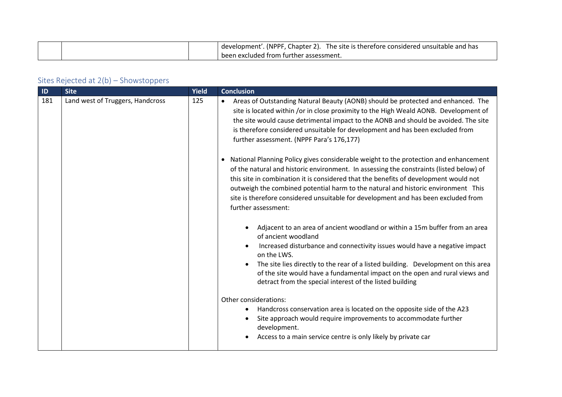|  | (NPPF, Chapter 2).<br>$\degree$ . The site is therefore considered unsuitable and has $\degree$<br>development'. |
|--|------------------------------------------------------------------------------------------------------------------|
|  | been excluded from further assessment.                                                                           |

| ID  | <b>Site</b>                      | Yield | <b>Conclusion</b>                                                                                                                                                                                                                                                                                                                                                                                                                                                                                                                                                                                                                                                                                                                                                                                                                                                            |
|-----|----------------------------------|-------|------------------------------------------------------------------------------------------------------------------------------------------------------------------------------------------------------------------------------------------------------------------------------------------------------------------------------------------------------------------------------------------------------------------------------------------------------------------------------------------------------------------------------------------------------------------------------------------------------------------------------------------------------------------------------------------------------------------------------------------------------------------------------------------------------------------------------------------------------------------------------|
| 181 | Land west of Truggers, Handcross | 125   | Areas of Outstanding Natural Beauty (AONB) should be protected and enhanced. The<br>site is located within /or in close proximity to the High Weald AONB. Development of<br>the site would cause detrimental impact to the AONB and should be avoided. The site<br>is therefore considered unsuitable for development and has been excluded from<br>further assessment. (NPPF Para's 176,177)<br>• National Planning Policy gives considerable weight to the protection and enhancement<br>of the natural and historic environment. In assessing the constraints (listed below) of<br>this site in combination it is considered that the benefits of development would not<br>outweigh the combined potential harm to the natural and historic environment This<br>site is therefore considered unsuitable for development and has been excluded from<br>further assessment: |
|     |                                  |       | Adjacent to an area of ancient woodland or within a 15m buffer from an area<br>of ancient woodland<br>Increased disturbance and connectivity issues would have a negative impact<br>on the LWS.<br>The site lies directly to the rear of a listed building. Development on this area<br>of the site would have a fundamental impact on the open and rural views and<br>detract from the special interest of the listed building<br>Other considerations:<br>Handcross conservation area is located on the opposite side of the A23<br>Site approach would require improvements to accommodate further<br>development.<br>Access to a main service centre is only likely by private car                                                                                                                                                                                       |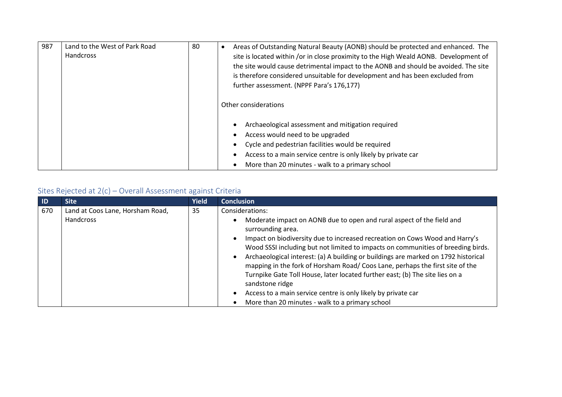| 987 | Land to the West of Park Road<br>Handcross | 80 | Areas of Outstanding Natural Beauty (AONB) should be protected and enhanced. The<br>site is located within /or in close proximity to the High Weald AONB. Development of<br>the site would cause detrimental impact to the AONB and should be avoided. The site<br>is therefore considered unsuitable for development and has been excluded from<br>further assessment. (NPPF Para's 176,177)<br>Other considerations |
|-----|--------------------------------------------|----|-----------------------------------------------------------------------------------------------------------------------------------------------------------------------------------------------------------------------------------------------------------------------------------------------------------------------------------------------------------------------------------------------------------------------|
|     |                                            |    | Archaeological assessment and mitigation required<br>Access would need to be upgraded<br>Cycle and pedestrian facilities would be required<br>Access to a main service centre is only likely by private car<br>More than 20 minutes - walk to a primary school                                                                                                                                                        |

| <b>ID</b> | <b>Site</b>                                   | <b>Yield</b> | <b>Conclusion</b>                                                                                                                                                                                                                                                                                                                                                                                                                                                                                                                                                                                                                                                             |
|-----------|-----------------------------------------------|--------------|-------------------------------------------------------------------------------------------------------------------------------------------------------------------------------------------------------------------------------------------------------------------------------------------------------------------------------------------------------------------------------------------------------------------------------------------------------------------------------------------------------------------------------------------------------------------------------------------------------------------------------------------------------------------------------|
| 670       | Land at Coos Lane, Horsham Road,<br>Handcross | 35           | Considerations:<br>Moderate impact on AONB due to open and rural aspect of the field and<br>surrounding area.<br>Impact on biodiversity due to increased recreation on Cows Wood and Harry's<br>Wood SSSI including but not limited to impacts on communities of breeding birds.<br>Archaeological interest: (a) A building or buildings are marked on 1792 historical<br>mapping in the fork of Horsham Road/Coos Lane, perhaps the first site of the<br>Turnpike Gate Toll House, later located further east; (b) The site lies on a<br>sandstone ridge<br>Access to a main service centre is only likely by private car<br>More than 20 minutes - walk to a primary school |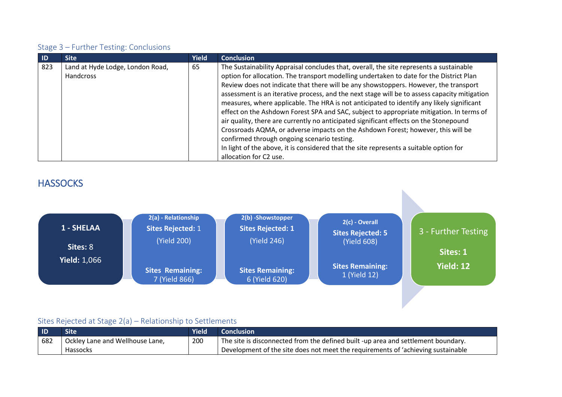| <b>ID</b> | <b>Site</b>                                          | <b>Yield</b> | <b>Conclusion</b>                                                                                                                                                                                                                                                                                                                                                                                                                                                                                                                                                                                                                                                                                                                                |
|-----------|------------------------------------------------------|--------------|--------------------------------------------------------------------------------------------------------------------------------------------------------------------------------------------------------------------------------------------------------------------------------------------------------------------------------------------------------------------------------------------------------------------------------------------------------------------------------------------------------------------------------------------------------------------------------------------------------------------------------------------------------------------------------------------------------------------------------------------------|
| 823       | Land at Hyde Lodge, London Road,<br><b>Handcross</b> | 65           | The Sustainability Appraisal concludes that, overall, the site represents a sustainable<br>option for allocation. The transport modelling undertaken to date for the District Plan<br>Review does not indicate that there will be any showstoppers. However, the transport<br>assessment is an iterative process, and the next stage will be to assess capacity mitigation<br>measures, where applicable. The HRA is not anticipated to identify any likely significant<br>effect on the Ashdown Forest SPA and SAC, subject to appropriate mitigation. In terms of<br>air quality, there are currently no anticipated significant effects on the Stonepound<br>Crossroads AQMA, or adverse impacts on the Ashdown Forest; however, this will be |
|           |                                                      |              | confirmed through ongoing scenario testing.                                                                                                                                                                                                                                                                                                                                                                                                                                                                                                                                                                                                                                                                                                      |
|           |                                                      |              | In light of the above, it is considered that the site represents a suitable option for                                                                                                                                                                                                                                                                                                                                                                                                                                                                                                                                                                                                                                                           |
|           |                                                      |              | allocation for C2 use.                                                                                                                                                                                                                                                                                                                                                                                                                                                                                                                                                                                                                                                                                                                           |

## **HASSOCKS**



| <b>ID</b> | Site                            | <b>Yield</b> | <b>Conclusion</b>                                                                 |
|-----------|---------------------------------|--------------|-----------------------------------------------------------------------------------|
| 682       | Ockley Lane and Wellhouse Lane, | 200          | The site is disconnected from the defined built -up area and settlement boundary. |
|           | Hassocks                        |              | Development of the site does not meet the requirements of 'achieving sustainable  |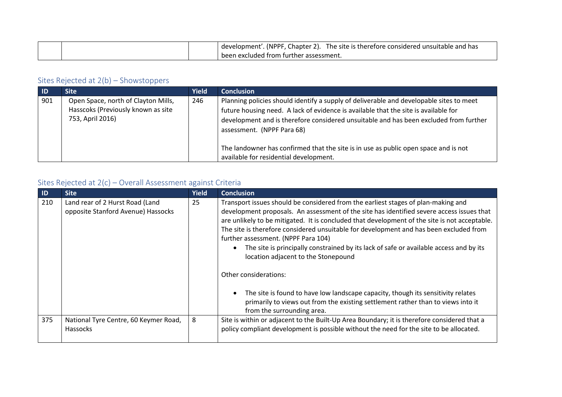|  | (NPPF<br>Chapter 2).<br>The site is therefore considered unsuitable and "<br>l has<br>development'. |
|--|-----------------------------------------------------------------------------------------------------|
|  | been excluded from further assessment.                                                              |

| -ID | 'Site                                                                                         | <b>Yield</b> | <b>Conclusion</b>                                                                                                                                                                                                                                                                                     |
|-----|-----------------------------------------------------------------------------------------------|--------------|-------------------------------------------------------------------------------------------------------------------------------------------------------------------------------------------------------------------------------------------------------------------------------------------------------|
| 901 | Open Space, north of Clayton Mills,<br>Hasscoks (Previously known as site<br>753, April 2016) | 246          | Planning policies should identify a supply of deliverable and developable sites to meet<br>future housing need. A lack of evidence is available that the site is available for<br>development and is therefore considered unsuitable and has been excluded from further<br>assessment. (NPPF Para 68) |
|     |                                                                                               |              | The landowner has confirmed that the site is in use as public open space and is not<br>available for residential development.                                                                                                                                                                         |

| $\blacksquare$ | <b>Site</b>                                                           | <b>Yield</b> | <b>Conclusion</b>                                                                                                                                                                                                                                                                                                                                                                                                                                                                                                                                                          |
|----------------|-----------------------------------------------------------------------|--------------|----------------------------------------------------------------------------------------------------------------------------------------------------------------------------------------------------------------------------------------------------------------------------------------------------------------------------------------------------------------------------------------------------------------------------------------------------------------------------------------------------------------------------------------------------------------------------|
| 210            | Land rear of 2 Hurst Road (Land<br>opposite Stanford Avenue) Hassocks | 25           | Transport issues should be considered from the earliest stages of plan-making and<br>development proposals. An assessment of the site has identified severe access issues that<br>are unlikely to be mitigated. It is concluded that development of the site is not acceptable.<br>The site is therefore considered unsuitable for development and has been excluded from<br>further assessment. (NPPF Para 104)<br>The site is principally constrained by its lack of safe or available access and by its<br>location adjacent to the Stonepound<br>Other considerations: |
|                |                                                                       |              | The site is found to have low landscape capacity, though its sensitivity relates<br>primarily to views out from the existing settlement rather than to views into it<br>from the surrounding area.                                                                                                                                                                                                                                                                                                                                                                         |
| 375            | National Tyre Centre, 60 Keymer Road,<br>Hassocks                     | 8            | Site is within or adjacent to the Built-Up Area Boundary; it is therefore considered that a<br>policy compliant development is possible without the need for the site to be allocated.                                                                                                                                                                                                                                                                                                                                                                                     |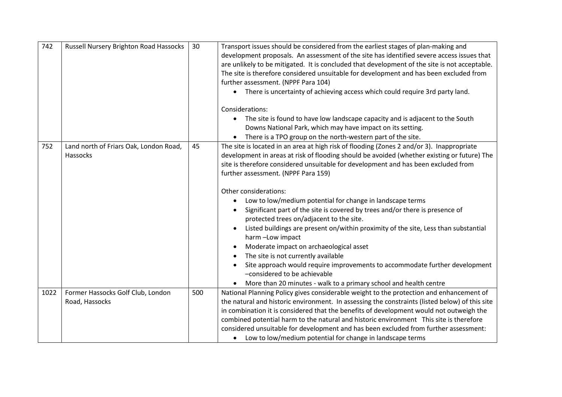| 742  | Russell Nursery Brighton Road Hassocks              | 30  | Transport issues should be considered from the earliest stages of plan-making and<br>development proposals. An assessment of the site has identified severe access issues that<br>are unlikely to be mitigated. It is concluded that development of the site is not acceptable.<br>The site is therefore considered unsuitable for development and has been excluded from<br>further assessment. (NPPF Para 104)<br>There is uncertainty of achieving access which could require 3rd party land.<br>$\bullet$<br>Considerations:<br>The site is found to have low landscape capacity and is adjacent to the South<br>$\bullet$<br>Downs National Park, which may have impact on its setting.<br>There is a TPO group on the north-western part of the site.                                                                                                                                                                          |
|------|-----------------------------------------------------|-----|--------------------------------------------------------------------------------------------------------------------------------------------------------------------------------------------------------------------------------------------------------------------------------------------------------------------------------------------------------------------------------------------------------------------------------------------------------------------------------------------------------------------------------------------------------------------------------------------------------------------------------------------------------------------------------------------------------------------------------------------------------------------------------------------------------------------------------------------------------------------------------------------------------------------------------------|
| 752  | Land north of Friars Oak, London Road,<br>Hassocks  | 45  | The site is located in an area at high risk of flooding (Zones 2 and/or 3). Inappropriate<br>development in areas at risk of flooding should be avoided (whether existing or future) The<br>site is therefore considered unsuitable for development and has been excluded from<br>further assessment. (NPPF Para 159)<br>Other considerations:<br>Low to low/medium potential for change in landscape terms<br>$\bullet$<br>Significant part of the site is covered by trees and/or there is presence of<br>protected trees on/adjacent to the site.<br>Listed buildings are present on/within proximity of the site, Less than substantial<br>harm-Low impact<br>Moderate impact on archaeological asset<br>The site is not currently available<br>Site approach would require improvements to accommodate further development<br>-considered to be achievable<br>More than 20 minutes - walk to a primary school and health centre |
| 1022 | Former Hassocks Golf Club, London<br>Road, Hassocks | 500 | National Planning Policy gives considerable weight to the protection and enhancement of<br>the natural and historic environment. In assessing the constraints (listed below) of this site<br>in combination it is considered that the benefits of development would not outweigh the<br>combined potential harm to the natural and historic environment This site is therefore<br>considered unsuitable for development and has been excluded from further assessment:<br>• Low to low/medium potential for change in landscape terms                                                                                                                                                                                                                                                                                                                                                                                                |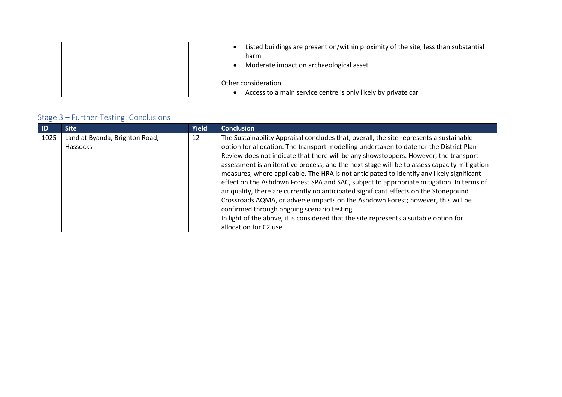| Listed buildings are present on/within proximity of the site, less than substantial<br>harm<br>Moderate impact on archaeological asset |
|----------------------------------------------------------------------------------------------------------------------------------------|
| Other consideration:<br>Access to a main service centre is only likely by private car                                                  |

| -ID  | <b>Site</b>                    | <b>Yield</b> | <b>Conclusion</b>                                                                            |
|------|--------------------------------|--------------|----------------------------------------------------------------------------------------------|
| 1025 | Land at Byanda, Brighton Road, | 12           | The Sustainability Appraisal concludes that, overall, the site represents a sustainable      |
|      | Hassocks                       |              | option for allocation. The transport modelling undertaken to date for the District Plan      |
|      |                                |              | Review does not indicate that there will be any showstoppers. However, the transport         |
|      |                                |              | assessment is an iterative process, and the next stage will be to assess capacity mitigation |
|      |                                |              | measures, where applicable. The HRA is not anticipated to identify any likely significant    |
|      |                                |              | effect on the Ashdown Forest SPA and SAC, subject to appropriate mitigation. In terms of     |
|      |                                |              | air quality, there are currently no anticipated significant effects on the Stonepound        |
|      |                                |              | Crossroads AQMA, or adverse impacts on the Ashdown Forest; however, this will be             |
|      |                                |              | confirmed through ongoing scenario testing.                                                  |
|      |                                |              | In light of the above, it is considered that the site represents a suitable option for       |
|      |                                |              | allocation for C2 use.                                                                       |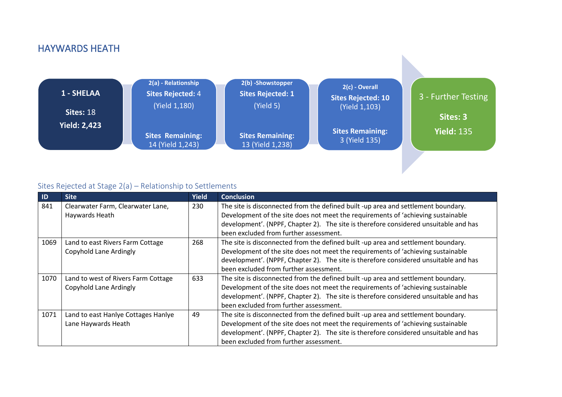### HAYWARDS HEATH



| ID   | <b>Site</b>                         | <b>Yield</b> | <b>Conclusion</b>                                                                    |
|------|-------------------------------------|--------------|--------------------------------------------------------------------------------------|
| 841  | Clearwater Farm, Clearwater Lane,   | 230          | The site is disconnected from the defined built -up area and settlement boundary.    |
|      | Haywards Heath                      |              | Development of the site does not meet the requirements of 'achieving sustainable     |
|      |                                     |              | development'. (NPPF, Chapter 2). The site is therefore considered unsuitable and has |
|      |                                     |              | been excluded from further assessment.                                               |
| 1069 | Land to east Rivers Farm Cottage    | 268          | The site is disconnected from the defined built -up area and settlement boundary.    |
|      | Copyhold Lane Ardingly              |              | Development of the site does not meet the requirements of 'achieving sustainable     |
|      |                                     |              | development'. (NPPF, Chapter 2). The site is therefore considered unsuitable and has |
|      |                                     |              | been excluded from further assessment.                                               |
| 1070 | Land to west of Rivers Farm Cottage | 633          | The site is disconnected from the defined built -up area and settlement boundary.    |
|      | Copyhold Lane Ardingly              |              | Development of the site does not meet the requirements of 'achieving sustainable     |
|      |                                     |              | development'. (NPPF, Chapter 2). The site is therefore considered unsuitable and has |
|      |                                     |              | been excluded from further assessment.                                               |
| 1071 | Land to east Hanlye Cottages Hanlye | 49           | The site is disconnected from the defined built -up area and settlement boundary.    |
|      | Lane Haywards Heath                 |              | Development of the site does not meet the requirements of 'achieving sustainable     |
|      |                                     |              | development'. (NPPF, Chapter 2). The site is therefore considered unsuitable and has |
|      |                                     |              | been excluded from further assessment.                                               |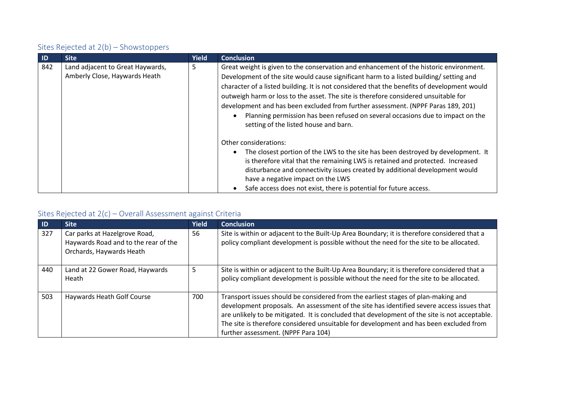| $\blacksquare$ | <b>Site</b>                                                       | <b>Yield</b> | <b>Conclusion</b>                                                                                                                                                                                                                                                                                                                                                                                                                                                                                                                                                                     |
|----------------|-------------------------------------------------------------------|--------------|---------------------------------------------------------------------------------------------------------------------------------------------------------------------------------------------------------------------------------------------------------------------------------------------------------------------------------------------------------------------------------------------------------------------------------------------------------------------------------------------------------------------------------------------------------------------------------------|
| 842            | Land adjacent to Great Haywards,<br>Amberly Close, Haywards Heath | 5            | Great weight is given to the conservation and enhancement of the historic environment.<br>Development of the site would cause significant harm to a listed building/ setting and<br>character of a listed building. It is not considered that the benefits of development would<br>outweigh harm or loss to the asset. The site is therefore considered unsuitable for<br>development and has been excluded from further assessment. (NPPF Paras 189, 201)<br>Planning permission has been refused on several occasions due to impact on the<br>setting of the listed house and barn. |
|                |                                                                   |              | Other considerations:<br>The closest portion of the LWS to the site has been destroyed by development. It<br>is therefore vital that the remaining LWS is retained and protected. Increased<br>disturbance and connectivity issues created by additional development would<br>have a negative impact on the LWS<br>Safe access does not exist, there is potential for future access.                                                                                                                                                                                                  |

| ID  | <b>Site</b>                                                                                       | <b>Yield</b> | <b>Conclusion</b>                                                                                                                                                                                                                                                                                                                                                                                                |
|-----|---------------------------------------------------------------------------------------------------|--------------|------------------------------------------------------------------------------------------------------------------------------------------------------------------------------------------------------------------------------------------------------------------------------------------------------------------------------------------------------------------------------------------------------------------|
| 327 | Car parks at Hazelgrove Road,<br>Haywards Road and to the rear of the<br>Orchards, Haywards Heath | 56           | Site is within or adjacent to the Built-Up Area Boundary; it is therefore considered that a<br>policy compliant development is possible without the need for the site to be allocated.                                                                                                                                                                                                                           |
| 440 | Land at 22 Gower Road, Haywards<br>Heath                                                          | 5            | Site is within or adjacent to the Built-Up Area Boundary; it is therefore considered that a<br>policy compliant development is possible without the need for the site to be allocated.                                                                                                                                                                                                                           |
| 503 | Haywards Heath Golf Course                                                                        | 700          | Transport issues should be considered from the earliest stages of plan-making and<br>development proposals. An assessment of the site has identified severe access issues that<br>are unlikely to be mitigated. It is concluded that development of the site is not acceptable.<br>The site is therefore considered unsuitable for development and has been excluded from<br>further assessment. (NPPF Para 104) |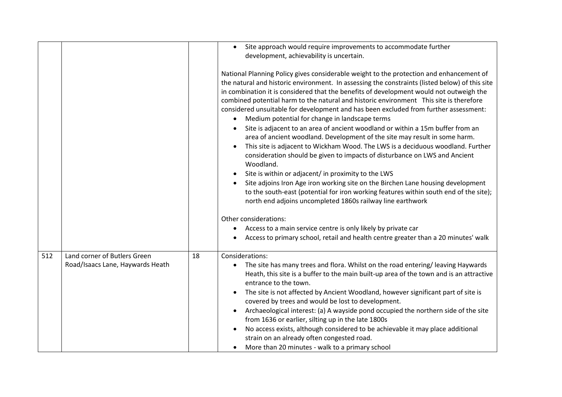|     |                                  |    | Site approach would require improvements to accommodate further<br>$\bullet$<br>development, achievability is uncertain.                                                                                                                                                                                                                                                                                                                                                                                                                                                                                                                                                                                                                                                                                                                                                                                                                                                                                                                                                                                                                                                             |
|-----|----------------------------------|----|--------------------------------------------------------------------------------------------------------------------------------------------------------------------------------------------------------------------------------------------------------------------------------------------------------------------------------------------------------------------------------------------------------------------------------------------------------------------------------------------------------------------------------------------------------------------------------------------------------------------------------------------------------------------------------------------------------------------------------------------------------------------------------------------------------------------------------------------------------------------------------------------------------------------------------------------------------------------------------------------------------------------------------------------------------------------------------------------------------------------------------------------------------------------------------------|
|     |                                  |    | National Planning Policy gives considerable weight to the protection and enhancement of<br>the natural and historic environment. In assessing the constraints (listed below) of this site<br>in combination it is considered that the benefits of development would not outweigh the<br>combined potential harm to the natural and historic environment This site is therefore<br>considered unsuitable for development and has been excluded from further assessment:<br>Medium potential for change in landscape terms<br>Site is adjacent to an area of ancient woodland or within a 15m buffer from an<br>area of ancient woodland. Development of the site may result in some harm.<br>This site is adjacent to Wickham Wood. The LWS is a deciduous woodland. Further<br>consideration should be given to impacts of disturbance on LWS and Ancient<br>Woodland.<br>Site is within or adjacent/ in proximity to the LWS<br>$\bullet$<br>Site adjoins Iron Age iron working site on the Birchen Lane housing development<br>to the south-east (potential for iron working features within south end of the site);<br>north end adjoins uncompleted 1860s railway line earthwork |
|     |                                  |    | Other considerations:                                                                                                                                                                                                                                                                                                                                                                                                                                                                                                                                                                                                                                                                                                                                                                                                                                                                                                                                                                                                                                                                                                                                                                |
|     |                                  |    | Access to a main service centre is only likely by private car                                                                                                                                                                                                                                                                                                                                                                                                                                                                                                                                                                                                                                                                                                                                                                                                                                                                                                                                                                                                                                                                                                                        |
|     |                                  |    | Access to primary school, retail and health centre greater than a 20 minutes' walk                                                                                                                                                                                                                                                                                                                                                                                                                                                                                                                                                                                                                                                                                                                                                                                                                                                                                                                                                                                                                                                                                                   |
| 512 | Land corner of Butlers Green     | 18 | Considerations:                                                                                                                                                                                                                                                                                                                                                                                                                                                                                                                                                                                                                                                                                                                                                                                                                                                                                                                                                                                                                                                                                                                                                                      |
|     | Road/Isaacs Lane, Haywards Heath |    | The site has many trees and flora. Whilst on the road entering/leaving Haywards<br>Heath, this site is a buffer to the main built-up area of the town and is an attractive<br>entrance to the town.<br>The site is not affected by Ancient Woodland, however significant part of site is<br>$\bullet$<br>covered by trees and would be lost to development.<br>Archaeological interest: (a) A wayside pond occupied the northern side of the site                                                                                                                                                                                                                                                                                                                                                                                                                                                                                                                                                                                                                                                                                                                                    |
|     |                                  |    | from 1636 or earlier, silting up in the late 1800s                                                                                                                                                                                                                                                                                                                                                                                                                                                                                                                                                                                                                                                                                                                                                                                                                                                                                                                                                                                                                                                                                                                                   |
|     |                                  |    | No access exists, although considered to be achievable it may place additional<br>strain on an already often congested road.                                                                                                                                                                                                                                                                                                                                                                                                                                                                                                                                                                                                                                                                                                                                                                                                                                                                                                                                                                                                                                                         |
|     |                                  |    | More than 20 minutes - walk to a primary school                                                                                                                                                                                                                                                                                                                                                                                                                                                                                                                                                                                                                                                                                                                                                                                                                                                                                                                                                                                                                                                                                                                                      |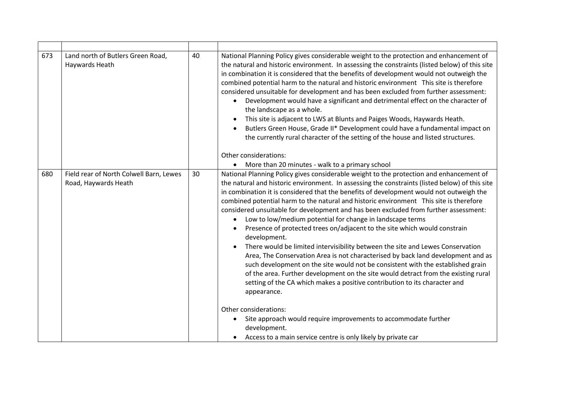| 673 | Land north of Butlers Green Road,<br>Haywards Heath             | 40 | National Planning Policy gives considerable weight to the protection and enhancement of<br>the natural and historic environment. In assessing the constraints (listed below) of this site<br>in combination it is considered that the benefits of development would not outweigh the<br>combined potential harm to the natural and historic environment This site is therefore<br>considered unsuitable for development and has been excluded from further assessment:<br>Development would have a significant and detrimental effect on the character of<br>the landscape as a whole.<br>This site is adjacent to LWS at Blunts and Paiges Woods, Haywards Heath.<br>Butlers Green House, Grade II* Development could have a fundamental impact on<br>the currently rural character of the setting of the house and listed structures.<br>Other considerations:<br>More than 20 minutes - walk to a primary school<br>$\bullet$                                                                                                                                                                                                                                                                                                                          |
|-----|-----------------------------------------------------------------|----|-----------------------------------------------------------------------------------------------------------------------------------------------------------------------------------------------------------------------------------------------------------------------------------------------------------------------------------------------------------------------------------------------------------------------------------------------------------------------------------------------------------------------------------------------------------------------------------------------------------------------------------------------------------------------------------------------------------------------------------------------------------------------------------------------------------------------------------------------------------------------------------------------------------------------------------------------------------------------------------------------------------------------------------------------------------------------------------------------------------------------------------------------------------------------------------------------------------------------------------------------------------|
| 680 | Field rear of North Colwell Barn, Lewes<br>Road, Haywards Heath | 30 | National Planning Policy gives considerable weight to the protection and enhancement of<br>the natural and historic environment. In assessing the constraints (listed below) of this site<br>in combination it is considered that the benefits of development would not outweigh the<br>combined potential harm to the natural and historic environment This site is therefore<br>considered unsuitable for development and has been excluded from further assessment:<br>Low to low/medium potential for change in landscape terms<br>Presence of protected trees on/adjacent to the site which would constrain<br>development.<br>There would be limited intervisibility between the site and Lewes Conservation<br>Area, The Conservation Area is not characterised by back land development and as<br>such development on the site would not be consistent with the established grain<br>of the area. Further development on the site would detract from the existing rural<br>setting of the CA which makes a positive contribution to its character and<br>appearance.<br>Other considerations:<br>Site approach would require improvements to accommodate further<br>development.<br>Access to a main service centre is only likely by private car |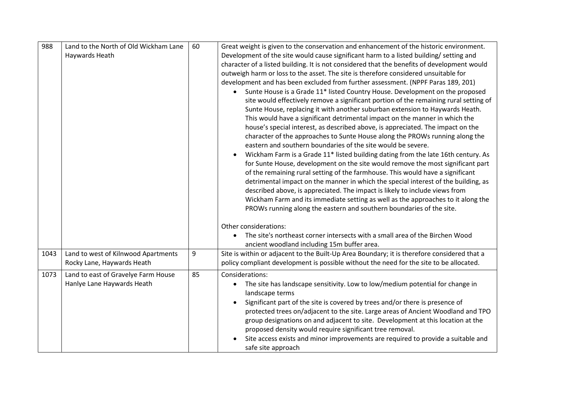| 988<br>Land to the North of Old Wickham Lane<br>60<br>Development of the site would cause significant harm to a listed building/ setting and<br>Haywards Heath<br>character of a listed building. It is not considered that the benefits of development would<br>outweigh harm or loss to the asset. The site is therefore considered unsuitable for<br>development and has been excluded from further assessment. (NPPF Paras 189, 201)<br>Sunte House is a Grade 11* listed Country House. Development on the proposed<br>$\bullet$<br>site would effectively remove a significant portion of the remaining rural setting of<br>Sunte House, replacing it with another suburban extension to Haywards Heath. |  | Great weight is given to the conservation and enhancement of the historic environment. |
|----------------------------------------------------------------------------------------------------------------------------------------------------------------------------------------------------------------------------------------------------------------------------------------------------------------------------------------------------------------------------------------------------------------------------------------------------------------------------------------------------------------------------------------------------------------------------------------------------------------------------------------------------------------------------------------------------------------|--|----------------------------------------------------------------------------------------|
|                                                                                                                                                                                                                                                                                                                                                                                                                                                                                                                                                                                                                                                                                                                |  |                                                                                        |
|                                                                                                                                                                                                                                                                                                                                                                                                                                                                                                                                                                                                                                                                                                                |  |                                                                                        |
|                                                                                                                                                                                                                                                                                                                                                                                                                                                                                                                                                                                                                                                                                                                |  |                                                                                        |
|                                                                                                                                                                                                                                                                                                                                                                                                                                                                                                                                                                                                                                                                                                                |  |                                                                                        |
|                                                                                                                                                                                                                                                                                                                                                                                                                                                                                                                                                                                                                                                                                                                |  |                                                                                        |
|                                                                                                                                                                                                                                                                                                                                                                                                                                                                                                                                                                                                                                                                                                                |  |                                                                                        |
|                                                                                                                                                                                                                                                                                                                                                                                                                                                                                                                                                                                                                                                                                                                |  |                                                                                        |
|                                                                                                                                                                                                                                                                                                                                                                                                                                                                                                                                                                                                                                                                                                                |  |                                                                                        |
| This would have a significant detrimental impact on the manner in which the                                                                                                                                                                                                                                                                                                                                                                                                                                                                                                                                                                                                                                    |  |                                                                                        |
| house's special interest, as described above, is appreciated. The impact on the                                                                                                                                                                                                                                                                                                                                                                                                                                                                                                                                                                                                                                |  |                                                                                        |
| character of the approaches to Sunte House along the PROWs running along the                                                                                                                                                                                                                                                                                                                                                                                                                                                                                                                                                                                                                                   |  |                                                                                        |
| eastern and southern boundaries of the site would be severe.                                                                                                                                                                                                                                                                                                                                                                                                                                                                                                                                                                                                                                                   |  |                                                                                        |
|                                                                                                                                                                                                                                                                                                                                                                                                                                                                                                                                                                                                                                                                                                                |  | Wickham Farm is a Grade 11* listed building dating from the late 16th century. As      |
|                                                                                                                                                                                                                                                                                                                                                                                                                                                                                                                                                                                                                                                                                                                |  | for Sunte House, development on the site would remove the most significant part        |
| of the remaining rural setting of the farmhouse. This would have a significant                                                                                                                                                                                                                                                                                                                                                                                                                                                                                                                                                                                                                                 |  |                                                                                        |
|                                                                                                                                                                                                                                                                                                                                                                                                                                                                                                                                                                                                                                                                                                                |  | detrimental impact on the manner in which the special interest of the building, as     |
| described above, is appreciated. The impact is likely to include views from                                                                                                                                                                                                                                                                                                                                                                                                                                                                                                                                                                                                                                    |  |                                                                                        |
|                                                                                                                                                                                                                                                                                                                                                                                                                                                                                                                                                                                                                                                                                                                |  | Wickham Farm and its immediate setting as well as the approaches to it along the       |
| PROWs running along the eastern and southern boundaries of the site.                                                                                                                                                                                                                                                                                                                                                                                                                                                                                                                                                                                                                                           |  |                                                                                        |
|                                                                                                                                                                                                                                                                                                                                                                                                                                                                                                                                                                                                                                                                                                                |  |                                                                                        |
| Other considerations:                                                                                                                                                                                                                                                                                                                                                                                                                                                                                                                                                                                                                                                                                          |  |                                                                                        |
| The site's northeast corner intersects with a small area of the Birchen Wood                                                                                                                                                                                                                                                                                                                                                                                                                                                                                                                                                                                                                                   |  |                                                                                        |
|                                                                                                                                                                                                                                                                                                                                                                                                                                                                                                                                                                                                                                                                                                                |  |                                                                                        |
| ancient woodland including 15m buffer area.                                                                                                                                                                                                                                                                                                                                                                                                                                                                                                                                                                                                                                                                    |  |                                                                                        |
| 9<br>Land to west of Kilnwood Apartments<br>Site is within or adjacent to the Built-Up Area Boundary; it is therefore considered that a<br>1043                                                                                                                                                                                                                                                                                                                                                                                                                                                                                                                                                                |  |                                                                                        |
| Rocky Lane, Haywards Heath<br>policy compliant development is possible without the need for the site to be allocated.                                                                                                                                                                                                                                                                                                                                                                                                                                                                                                                                                                                          |  |                                                                                        |
| 85<br>Land to east of Gravelye Farm House<br>Considerations:<br>1073                                                                                                                                                                                                                                                                                                                                                                                                                                                                                                                                                                                                                                           |  |                                                                                        |
| Hanlye Lane Haywards Heath<br>The site has landscape sensitivity. Low to low/medium potential for change in                                                                                                                                                                                                                                                                                                                                                                                                                                                                                                                                                                                                    |  |                                                                                        |
| landscape terms                                                                                                                                                                                                                                                                                                                                                                                                                                                                                                                                                                                                                                                                                                |  |                                                                                        |
| Significant part of the site is covered by trees and/or there is presence of                                                                                                                                                                                                                                                                                                                                                                                                                                                                                                                                                                                                                                   |  |                                                                                        |
|                                                                                                                                                                                                                                                                                                                                                                                                                                                                                                                                                                                                                                                                                                                |  | protected trees on/adjacent to the site. Large areas of Ancient Woodland and TPO       |
| group designations on and adjacent to site. Development at this location at the                                                                                                                                                                                                                                                                                                                                                                                                                                                                                                                                                                                                                                |  |                                                                                        |
| proposed density would require significant tree removal.                                                                                                                                                                                                                                                                                                                                                                                                                                                                                                                                                                                                                                                       |  |                                                                                        |
| Site access exists and minor improvements are required to provide a suitable and                                                                                                                                                                                                                                                                                                                                                                                                                                                                                                                                                                                                                               |  |                                                                                        |
| safe site approach                                                                                                                                                                                                                                                                                                                                                                                                                                                                                                                                                                                                                                                                                             |  |                                                                                        |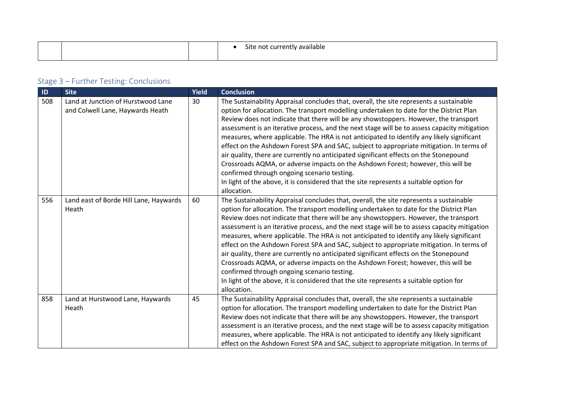|  | $\sim$ .<br>.<br>Site not<br>available :<br>t cur<br>7 I V<br>. |
|--|-----------------------------------------------------------------|
|  |                                                                 |

| ID  | <b>Site</b>                                                            | Yield | <b>Conclusion</b>                                                                                                                                                                                                                                                                                                                                                                                                                                                                                                                                                                                                                                                                                                                                                                                                                                                                                        |
|-----|------------------------------------------------------------------------|-------|----------------------------------------------------------------------------------------------------------------------------------------------------------------------------------------------------------------------------------------------------------------------------------------------------------------------------------------------------------------------------------------------------------------------------------------------------------------------------------------------------------------------------------------------------------------------------------------------------------------------------------------------------------------------------------------------------------------------------------------------------------------------------------------------------------------------------------------------------------------------------------------------------------|
| 508 | Land at Junction of Hurstwood Lane<br>and Colwell Lane, Haywards Heath | 30    | The Sustainability Appraisal concludes that, overall, the site represents a sustainable<br>option for allocation. The transport modelling undertaken to date for the District Plan<br>Review does not indicate that there will be any showstoppers. However, the transport<br>assessment is an iterative process, and the next stage will be to assess capacity mitigation<br>measures, where applicable. The HRA is not anticipated to identify any likely significant<br>effect on the Ashdown Forest SPA and SAC, subject to appropriate mitigation. In terms of<br>air quality, there are currently no anticipated significant effects on the Stonepound<br>Crossroads AQMA, or adverse impacts on the Ashdown Forest; however, this will be<br>confirmed through ongoing scenario testing.<br>In light of the above, it is considered that the site represents a suitable option for<br>allocation. |
| 556 | Land east of Borde Hill Lane, Haywards<br>Heath                        | 60    | The Sustainability Appraisal concludes that, overall, the site represents a sustainable<br>option for allocation. The transport modelling undertaken to date for the District Plan<br>Review does not indicate that there will be any showstoppers. However, the transport<br>assessment is an iterative process, and the next stage will be to assess capacity mitigation<br>measures, where applicable. The HRA is not anticipated to identify any likely significant<br>effect on the Ashdown Forest SPA and SAC, subject to appropriate mitigation. In terms of<br>air quality, there are currently no anticipated significant effects on the Stonepound<br>Crossroads AQMA, or adverse impacts on the Ashdown Forest; however, this will be<br>confirmed through ongoing scenario testing.<br>In light of the above, it is considered that the site represents a suitable option for<br>allocation. |
| 858 | Land at Hurstwood Lane, Haywards<br>Heath                              | 45    | The Sustainability Appraisal concludes that, overall, the site represents a sustainable<br>option for allocation. The transport modelling undertaken to date for the District Plan<br>Review does not indicate that there will be any showstoppers. However, the transport<br>assessment is an iterative process, and the next stage will be to assess capacity mitigation<br>measures, where applicable. The HRA is not anticipated to identify any likely significant<br>effect on the Ashdown Forest SPA and SAC, subject to appropriate mitigation. In terms of                                                                                                                                                                                                                                                                                                                                      |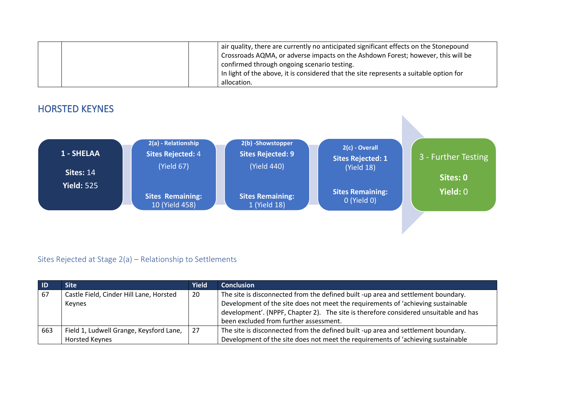|  | air quality, there are currently no anticipated significant effects on the Stonepound<br>Crossroads AQMA, or adverse impacts on the Ashdown Forest; however, this will be<br>confirmed through ongoing scenario testing.<br>In light of the above, it is considered that the site represents a suitable option for |
|--|--------------------------------------------------------------------------------------------------------------------------------------------------------------------------------------------------------------------------------------------------------------------------------------------------------------------|
|  | allocation.                                                                                                                                                                                                                                                                                                        |



| $\blacksquare$ | <b>Site</b>                                                      | <b>Yield</b> | <b>Conclusion</b>                                                                                                                                                                                                                                                                                       |
|----------------|------------------------------------------------------------------|--------------|---------------------------------------------------------------------------------------------------------------------------------------------------------------------------------------------------------------------------------------------------------------------------------------------------------|
| - 67           | Castle Field, Cinder Hill Lane, Horsted<br>Keynes                | 20           | The site is disconnected from the defined built -up area and settlement boundary.<br>Development of the site does not meet the requirements of 'achieving sustainable<br>development'. (NPPF, Chapter 2). The site is therefore considered unsuitable and has<br>been excluded from further assessment. |
| 663            | Field 1, Ludwell Grange, Keysford Lane,<br><b>Horsted Keynes</b> | 27           | The site is disconnected from the defined built -up area and settlement boundary.<br>Development of the site does not meet the requirements of 'achieving sustainable                                                                                                                                   |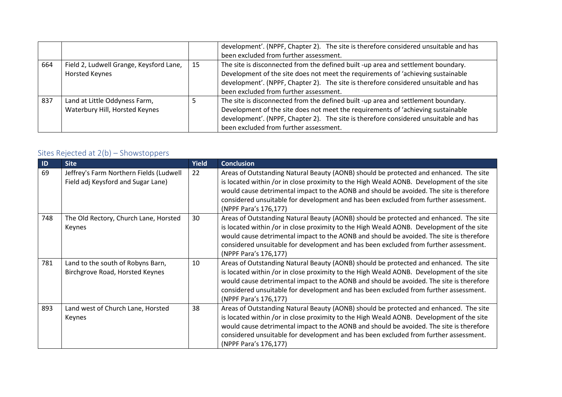|     |                                         |    | development'. (NPPF, Chapter 2). The site is therefore considered unsuitable and has |
|-----|-----------------------------------------|----|--------------------------------------------------------------------------------------|
|     |                                         |    | been excluded from further assessment.                                               |
| 664 | Field 2, Ludwell Grange, Keysford Lane, | 15 | The site is disconnected from the defined built -up area and settlement boundary.    |
|     | Horsted Keynes                          |    | Development of the site does not meet the requirements of 'achieving sustainable     |
|     |                                         |    | development'. (NPPF, Chapter 2). The site is therefore considered unsuitable and has |
|     |                                         |    | been excluded from further assessment.                                               |
| 837 | Land at Little Oddyness Farm,           |    | The site is disconnected from the defined built -up area and settlement boundary.    |
|     | Waterbury Hill, Horsted Keynes          |    | Development of the site does not meet the requirements of 'achieving sustainable     |
|     |                                         |    | development'. (NPPF, Chapter 2). The site is therefore considered unsuitable and has |
|     |                                         |    | been excluded from further assessment.                                               |

| ID  | <b>Site</b>                                                                   | <b>Yield</b> | <b>Conclusion</b>                                                                                                                                                                                                                                                                                                                                                                             |
|-----|-------------------------------------------------------------------------------|--------------|-----------------------------------------------------------------------------------------------------------------------------------------------------------------------------------------------------------------------------------------------------------------------------------------------------------------------------------------------------------------------------------------------|
| 69  | Jeffrey's Farm Northern Fields (Ludwell<br>Field adj Keysford and Sugar Lane) | 22           | Areas of Outstanding Natural Beauty (AONB) should be protected and enhanced. The site<br>is located within /or in close proximity to the High Weald AONB. Development of the site<br>would cause detrimental impact to the AONB and should be avoided. The site is therefore<br>considered unsuitable for development and has been excluded from further assessment.<br>(NPPF Para's 176,177) |
| 748 | The Old Rectory, Church Lane, Horsted<br>Keynes                               | 30           | Areas of Outstanding Natural Beauty (AONB) should be protected and enhanced. The site<br>is located within /or in close proximity to the High Weald AONB. Development of the site<br>would cause detrimental impact to the AONB and should be avoided. The site is therefore<br>considered unsuitable for development and has been excluded from further assessment.<br>(NPPF Para's 176,177) |
| 781 | Land to the south of Robyns Barn,<br>Birchgrove Road, Horsted Keynes          | 10           | Areas of Outstanding Natural Beauty (AONB) should be protected and enhanced. The site<br>is located within /or in close proximity to the High Weald AONB. Development of the site<br>would cause detrimental impact to the AONB and should be avoided. The site is therefore<br>considered unsuitable for development and has been excluded from further assessment.<br>(NPPF Para's 176,177) |
| 893 | Land west of Church Lane, Horsted<br>Keynes                                   | 38           | Areas of Outstanding Natural Beauty (AONB) should be protected and enhanced. The site<br>is located within /or in close proximity to the High Weald AONB. Development of the site<br>would cause detrimental impact to the AONB and should be avoided. The site is therefore<br>considered unsuitable for development and has been excluded from further assessment.<br>(NPPF Para's 176,177) |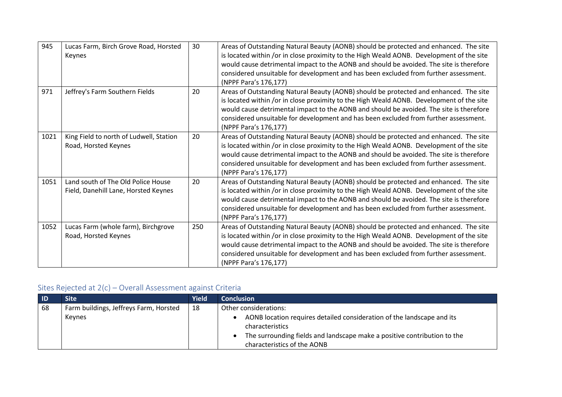| 945  | Lucas Farm, Birch Grove Road, Horsted<br>Keynes                            | 30  | Areas of Outstanding Natural Beauty (AONB) should be protected and enhanced. The site<br>is located within /or in close proximity to the High Weald AONB. Development of the site<br>would cause detrimental impact to the AONB and should be avoided. The site is therefore<br>considered unsuitable for development and has been excluded from further assessment.<br>(NPPF Para's 176,177) |
|------|----------------------------------------------------------------------------|-----|-----------------------------------------------------------------------------------------------------------------------------------------------------------------------------------------------------------------------------------------------------------------------------------------------------------------------------------------------------------------------------------------------|
| 971  | Jeffrey's Farm Southern Fields                                             | 20  | Areas of Outstanding Natural Beauty (AONB) should be protected and enhanced. The site<br>is located within /or in close proximity to the High Weald AONB. Development of the site<br>would cause detrimental impact to the AONB and should be avoided. The site is therefore<br>considered unsuitable for development and has been excluded from further assessment.<br>(NPPF Para's 176,177) |
| 1021 | King Field to north of Ludwell, Station<br>Road, Horsted Keynes            | 20  | Areas of Outstanding Natural Beauty (AONB) should be protected and enhanced. The site<br>is located within /or in close proximity to the High Weald AONB. Development of the site<br>would cause detrimental impact to the AONB and should be avoided. The site is therefore<br>considered unsuitable for development and has been excluded from further assessment.<br>(NPPF Para's 176,177) |
| 1051 | Land south of The Old Police House<br>Field, Danehill Lane, Horsted Keynes | 20  | Areas of Outstanding Natural Beauty (AONB) should be protected and enhanced. The site<br>is located within /or in close proximity to the High Weald AONB. Development of the site<br>would cause detrimental impact to the AONB and should be avoided. The site is therefore<br>considered unsuitable for development and has been excluded from further assessment.<br>(NPPF Para's 176,177) |
| 1052 | Lucas Farm (whole farm), Birchgrove<br>Road, Horsted Keynes                | 250 | Areas of Outstanding Natural Beauty (AONB) should be protected and enhanced. The site<br>is located within /or in close proximity to the High Weald AONB. Development of the site<br>would cause detrimental impact to the AONB and should be avoided. The site is therefore<br>considered unsuitable for development and has been excluded from further assessment.<br>(NPPF Para's 176,177) |

| $\overline{1}$ | Site                                   | Yield | <b>Conclusion</b>                                                                                                                                                                                    |
|----------------|----------------------------------------|-------|------------------------------------------------------------------------------------------------------------------------------------------------------------------------------------------------------|
| 68             | Farm buildings, Jeffreys Farm, Horsted | 18    | Other considerations:                                                                                                                                                                                |
|                | Keynes                                 |       | AONB location requires detailed consideration of the landscape and its<br>characteristics<br>The surrounding fields and landscape make a positive contribution to the<br>characteristics of the AONB |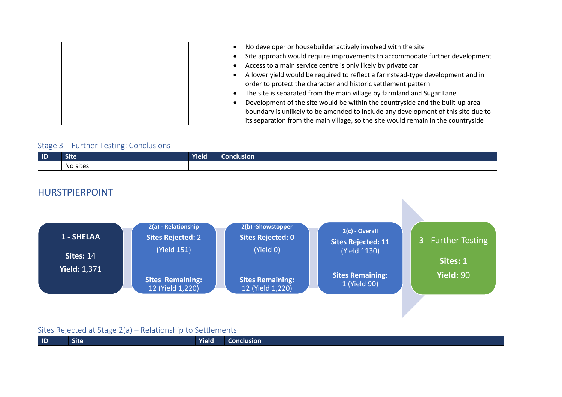|  | No developer or housebuilder actively involved with the site                      |
|--|-----------------------------------------------------------------------------------|
|  | Site approach would require improvements to accommodate further development       |
|  | Access to a main service centre is only likely by private car                     |
|  | A lower yield would be required to reflect a farmstead-type development and in    |
|  | order to protect the character and historic settlement pattern                    |
|  | The site is separated from the main village by farmland and Sugar Lane            |
|  | Development of the site would be within the countryside and the built-up area     |
|  | boundary is unlikely to be amended to include any development of this site due to |
|  | its separation from the main village, so the site would remain in the countryside |

| $\blacksquare$ | ∼.<br>site         | .<br><b>Yield</b> | conclusion |
|----------------|--------------------|-------------------|------------|
|                | .<br>sites<br>. No |                   |            |

### HURSTPIERPOINT



|  | $\blacksquare$ | ---<br><b>Site</b> | Yield | clusion<br>uw |
|--|----------------|--------------------|-------|---------------|
|--|----------------|--------------------|-------|---------------|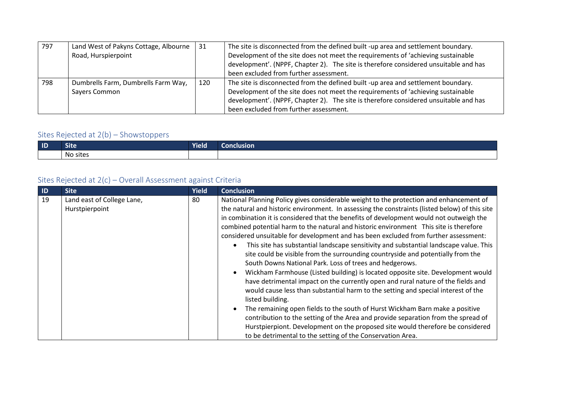| 797 | Land West of Pakyns Cottage, Albourne | 31  | The site is disconnected from the defined built -up area and settlement boundary.    |
|-----|---------------------------------------|-----|--------------------------------------------------------------------------------------|
|     | Road, Hurspierpoint                   |     | Development of the site does not meet the requirements of 'achieving sustainable     |
|     |                                       |     | development'. (NPPF, Chapter 2). The site is therefore considered unsuitable and has |
|     |                                       |     | been excluded from further assessment.                                               |
| 798 | Dumbrells Farm, Dumbrells Farm Way,   | 120 | The site is disconnected from the defined built -up area and settlement boundary.    |
|     | Sayers Common                         |     | Development of the site does not meet the requirements of 'achieving sustainable     |
|     |                                       |     | development'. (NPPF, Chapter 2). The site is therefore considered unsuitable and has |
|     |                                       |     | been excluded from further assessment.                                               |

| $\blacksquare$ | <b>Site</b> | Yield | <b>Conclusion</b> |
|----------------|-------------|-------|-------------------|
|                | No sites    |       |                   |

| ID | <b>Site</b>                                  | <b>Yield</b> | <b>Conclusion</b>                                                                                                                                                                                                                                                                                                                                                                                                                                                                                                                                                                                                                                                                                                                                                                                                                                                                                                                                                                                                                                                                                                                                                                                                                                                                                                  |
|----|----------------------------------------------|--------------|--------------------------------------------------------------------------------------------------------------------------------------------------------------------------------------------------------------------------------------------------------------------------------------------------------------------------------------------------------------------------------------------------------------------------------------------------------------------------------------------------------------------------------------------------------------------------------------------------------------------------------------------------------------------------------------------------------------------------------------------------------------------------------------------------------------------------------------------------------------------------------------------------------------------------------------------------------------------------------------------------------------------------------------------------------------------------------------------------------------------------------------------------------------------------------------------------------------------------------------------------------------------------------------------------------------------|
| 19 | Land east of College Lane,<br>Hurstpierpoint | 80           | National Planning Policy gives considerable weight to the protection and enhancement of<br>the natural and historic environment. In assessing the constraints (listed below) of this site<br>in combination it is considered that the benefits of development would not outweigh the<br>combined potential harm to the natural and historic environment This site is therefore<br>considered unsuitable for development and has been excluded from further assessment:<br>This site has substantial landscape sensitivity and substantial landscape value. This<br>site could be visible from the surrounding countryside and potentially from the<br>South Downs National Park. Loss of trees and hedgerows.<br>Wickham Farmhouse (Listed building) is located opposite site. Development would<br>have detrimental impact on the currently open and rural nature of the fields and<br>would cause less than substantial harm to the setting and special interest of the<br>listed building.<br>The remaining open fields to the south of Hurst Wickham Barn make a positive<br>contribution to the setting of the Area and provide separation from the spread of<br>Hurstpierpiont. Development on the proposed site would therefore be considered<br>to be detrimental to the setting of the Conservation Area. |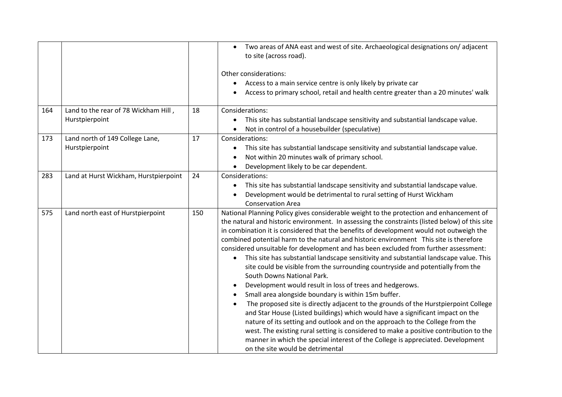|     |                                                        |     | Two areas of ANA east and west of site. Archaeological designations on/adjacent<br>to site (across road).<br>Other considerations:<br>Access to a main service centre is only likely by private car<br>Access to primary school, retail and health centre greater than a 20 minutes' walk                                                                                                                                                                                                                                                                                                                                                                                                                                                                                                                                                                                                                                                                                                                                                                                                                                                                                                                                                                                                  |
|-----|--------------------------------------------------------|-----|--------------------------------------------------------------------------------------------------------------------------------------------------------------------------------------------------------------------------------------------------------------------------------------------------------------------------------------------------------------------------------------------------------------------------------------------------------------------------------------------------------------------------------------------------------------------------------------------------------------------------------------------------------------------------------------------------------------------------------------------------------------------------------------------------------------------------------------------------------------------------------------------------------------------------------------------------------------------------------------------------------------------------------------------------------------------------------------------------------------------------------------------------------------------------------------------------------------------------------------------------------------------------------------------|
| 164 | Land to the rear of 78 Wickham Hill,<br>Hurstpierpoint | 18  | Considerations:<br>This site has substantial landscape sensitivity and substantial landscape value.<br>Not in control of a housebuilder (speculative)                                                                                                                                                                                                                                                                                                                                                                                                                                                                                                                                                                                                                                                                                                                                                                                                                                                                                                                                                                                                                                                                                                                                      |
| 173 | Land north of 149 College Lane,<br>Hurstpierpoint      | 17  | Considerations:<br>This site has substantial landscape sensitivity and substantial landscape value.<br>$\bullet$<br>Not within 20 minutes walk of primary school.<br>Development likely to be car dependent.                                                                                                                                                                                                                                                                                                                                                                                                                                                                                                                                                                                                                                                                                                                                                                                                                                                                                                                                                                                                                                                                               |
| 283 | Land at Hurst Wickham, Hurstpierpoint                  | 24  | Considerations:<br>This site has substantial landscape sensitivity and substantial landscape value.<br>$\bullet$<br>Development would be detrimental to rural setting of Hurst Wickham<br><b>Conservation Area</b>                                                                                                                                                                                                                                                                                                                                                                                                                                                                                                                                                                                                                                                                                                                                                                                                                                                                                                                                                                                                                                                                         |
| 575 | Land north east of Hurstpierpoint                      | 150 | National Planning Policy gives considerable weight to the protection and enhancement of<br>the natural and historic environment. In assessing the constraints (listed below) of this site<br>in combination it is considered that the benefits of development would not outweigh the<br>combined potential harm to the natural and historic environment This site is therefore<br>considered unsuitable for development and has been excluded from further assessment:<br>This site has substantial landscape sensitivity and substantial landscape value. This<br>$\bullet$<br>site could be visible from the surrounding countryside and potentially from the<br>South Downs National Park.<br>Development would result in loss of trees and hedgerows.<br>Small area alongside boundary is within 15m buffer.<br>The proposed site is directly adjacent to the grounds of the Hurstpierpoint College<br>and Star House (Listed buildings) which would have a significant impact on the<br>nature of its setting and outlook and on the approach to the College from the<br>west. The existing rural setting is considered to make a positive contribution to the<br>manner in which the special interest of the College is appreciated. Development<br>on the site would be detrimental |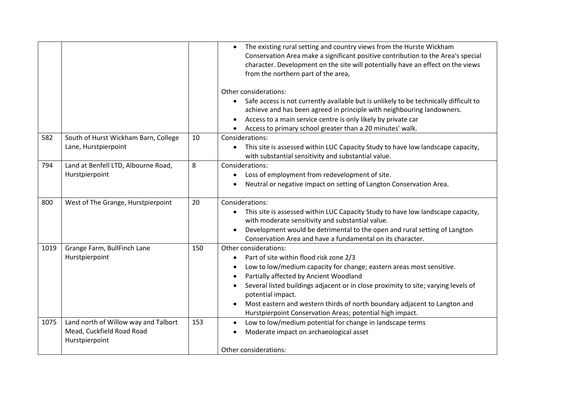|      |                                                                                     |     | The existing rural setting and country views from the Hurste Wickham<br>$\bullet$<br>Conservation Area make a significant positive contribution to the Area's special<br>character. Development on the site will potentially have an effect on the views<br>from the northern part of the area,<br>Other considerations:<br>Safe access is not currently available but is unlikely to be technically difficult to<br>achieve and has been agreed in principle with neighbouring landowners.<br>Access to a main service centre is only likely by private car<br>Access to primary school greater than a 20 minutes' walk. |
|------|-------------------------------------------------------------------------------------|-----|---------------------------------------------------------------------------------------------------------------------------------------------------------------------------------------------------------------------------------------------------------------------------------------------------------------------------------------------------------------------------------------------------------------------------------------------------------------------------------------------------------------------------------------------------------------------------------------------------------------------------|
| 582  | South of Hurst Wickham Barn, College<br>Lane, Hurstpierpoint                        | 10  | Considerations:<br>This site is assessed within LUC Capacity Study to have low landscape capacity,<br>$\bullet$<br>with substantial sensitivity and substantial value.                                                                                                                                                                                                                                                                                                                                                                                                                                                    |
| 794  | Land at Benfell LTD, Albourne Road,<br>Hurstpierpoint                               | 8   | Considerations:<br>Loss of employment from redevelopment of site.<br>Neutral or negative impact on setting of Langton Conservation Area.                                                                                                                                                                                                                                                                                                                                                                                                                                                                                  |
| 800  | West of The Grange, Hurstpierpoint                                                  | 20  | Considerations:<br>This site is assessed within LUC Capacity Study to have low landscape capacity,<br>with moderate sensitivity and substantial value.<br>Development would be detrimental to the open and rural setting of Langton<br>Conservation Area and have a fundamental on its character.                                                                                                                                                                                                                                                                                                                         |
| 1019 | Grange Farm, BullFinch Lane<br>Hurstpierpoint                                       | 150 | Other considerations:<br>Part of site within flood risk zone 2/3<br>Low to low/medium capacity for change; eastern areas most sensitive.<br>Partially affected by Ancient Woodland<br>Several listed buildings adjacent or in close proximity to site; varying levels of<br>potential impact.<br>Most eastern and western thirds of north boundary adjacent to Langton and<br>Hurstpierpoint Conservation Areas; potential high impact.                                                                                                                                                                                   |
| 1075 | Land north of Willow way and Talbort<br>Mead, Cuckfield Road Road<br>Hurstpierpoint | 153 | Low to low/medium potential for change in landscape terms<br>$\bullet$<br>Moderate impact on archaeological asset<br>Other considerations:                                                                                                                                                                                                                                                                                                                                                                                                                                                                                |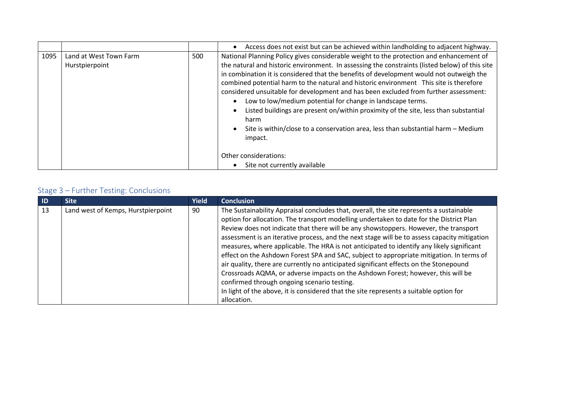|      |                                          |     | Access does not exist but can be achieved within landholding to adjacent highway.                                                                                                                                                                                                                                                                                                                                                                                                                                                                                                                                                                                                                                                  |
|------|------------------------------------------|-----|------------------------------------------------------------------------------------------------------------------------------------------------------------------------------------------------------------------------------------------------------------------------------------------------------------------------------------------------------------------------------------------------------------------------------------------------------------------------------------------------------------------------------------------------------------------------------------------------------------------------------------------------------------------------------------------------------------------------------------|
| 1095 | Land at West Town Farm<br>Hurstpierpoint | 500 | National Planning Policy gives considerable weight to the protection and enhancement of<br>the natural and historic environment. In assessing the constraints (listed below) of this site<br>in combination it is considered that the benefits of development would not outweigh the<br>combined potential harm to the natural and historic environment This site is therefore<br>considered unsuitable for development and has been excluded from further assessment:<br>Low to low/medium potential for change in landscape terms.<br>Listed buildings are present on/within proximity of the site, less than substantial<br>harm<br>Site is within/close to a conservation area, less than substantial harm - Medium<br>impact. |
|      |                                          |     | Other considerations:<br>Site not currently available                                                                                                                                                                                                                                                                                                                                                                                                                                                                                                                                                                                                                                                                              |

| -ID | <b>Site</b>                        | <b>Yield</b> | <b>Conclusion</b>                                                                                                                                                                                                                                                                                                                                                                                                                                                                                                                                                                                                                                                                                                                                                                                                                                                                                        |
|-----|------------------------------------|--------------|----------------------------------------------------------------------------------------------------------------------------------------------------------------------------------------------------------------------------------------------------------------------------------------------------------------------------------------------------------------------------------------------------------------------------------------------------------------------------------------------------------------------------------------------------------------------------------------------------------------------------------------------------------------------------------------------------------------------------------------------------------------------------------------------------------------------------------------------------------------------------------------------------------|
| 13  | Land west of Kemps, Hurstpierpoint | 90           | The Sustainability Appraisal concludes that, overall, the site represents a sustainable<br>option for allocation. The transport modelling undertaken to date for the District Plan<br>Review does not indicate that there will be any showstoppers. However, the transport<br>assessment is an iterative process, and the next stage will be to assess capacity mitigation<br>measures, where applicable. The HRA is not anticipated to identify any likely significant<br>effect on the Ashdown Forest SPA and SAC, subject to appropriate mitigation. In terms of<br>air quality, there are currently no anticipated significant effects on the Stonepound<br>Crossroads AQMA, or adverse impacts on the Ashdown Forest; however, this will be<br>confirmed through ongoing scenario testing.<br>In light of the above, it is considered that the site represents a suitable option for<br>allocation. |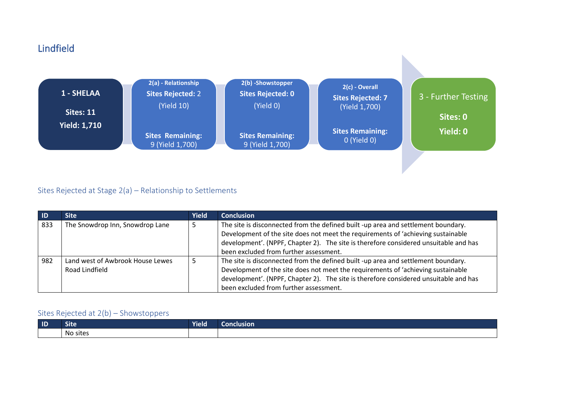# Lindfield



#### Sites Rejected at Stage 2(a) – Relationship to Settlements

| $\blacksquare$ | <b>Site</b>                                        | Yield | <b>Conclusion</b>                                                                                                                                                                                                                                                                                       |
|----------------|----------------------------------------------------|-------|---------------------------------------------------------------------------------------------------------------------------------------------------------------------------------------------------------------------------------------------------------------------------------------------------------|
| 833            | The Snowdrop Inn, Snowdrop Lane                    |       | The site is disconnected from the defined built -up area and settlement boundary.<br>Development of the site does not meet the requirements of 'achieving sustainable<br>development'. (NPPF, Chapter 2). The site is therefore considered unsuitable and has<br>been excluded from further assessment. |
| 982            | Land west of Awbrook House Lewes<br>Road Lindfield |       | The site is disconnected from the defined built -up area and settlement boundary.<br>Development of the site does not meet the requirements of 'achieving sustainable<br>development'. (NPPF, Chapter 2). The site is therefore considered unsuitable and has<br>been excluded from further assessment. |

| $\blacksquare$ | ---<br>ыте                                             | $\overline{\phantom{a}}$<br><b>Yield</b> | Conclusion |
|----------------|--------------------------------------------------------|------------------------------------------|------------|
|                | $\ddot{\phantom{1}}$<br>sites<br>$N_{\rm c}$<br>. IVU. |                                          |            |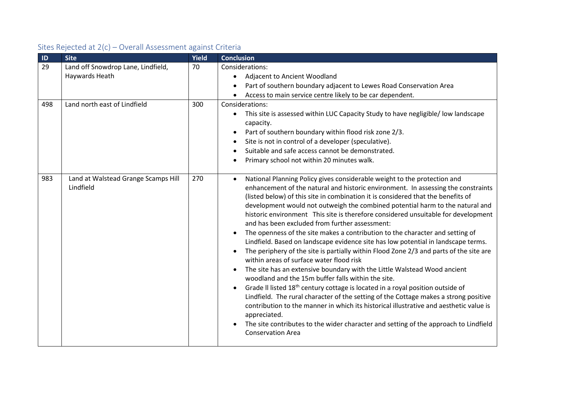| ID  | <b>Site</b>                                          | <b>Yield</b> | <b>Conclusion</b>                                                                                                                                                                                                                                                                                                                                                                                                                                                                                                                                                                                                                                                                                                                                                                                                                                                                                                                                                                                                                                                                                                                                                                                                                                                                                                                                        |
|-----|------------------------------------------------------|--------------|----------------------------------------------------------------------------------------------------------------------------------------------------------------------------------------------------------------------------------------------------------------------------------------------------------------------------------------------------------------------------------------------------------------------------------------------------------------------------------------------------------------------------------------------------------------------------------------------------------------------------------------------------------------------------------------------------------------------------------------------------------------------------------------------------------------------------------------------------------------------------------------------------------------------------------------------------------------------------------------------------------------------------------------------------------------------------------------------------------------------------------------------------------------------------------------------------------------------------------------------------------------------------------------------------------------------------------------------------------|
| 29  | Land off Snowdrop Lane, Lindfield,<br>Haywards Heath | 70           | Considerations:<br>Adjacent to Ancient Woodland<br>Part of southern boundary adjacent to Lewes Road Conservation Area<br>Access to main service centre likely to be car dependent.                                                                                                                                                                                                                                                                                                                                                                                                                                                                                                                                                                                                                                                                                                                                                                                                                                                                                                                                                                                                                                                                                                                                                                       |
| 498 | Land north east of Lindfield                         | 300          | Considerations:<br>This site is assessed within LUC Capacity Study to have negligible/ low landscape<br>$\bullet$<br>capacity.<br>Part of southern boundary within flood risk zone 2/3.<br>Site is not in control of a developer (speculative).<br>Suitable and safe access cannot be demonstrated.<br>Primary school not within 20 minutes walk.                                                                                                                                                                                                                                                                                                                                                                                                                                                                                                                                                                                                                                                                                                                                                                                                                                                                                                                                                                                                        |
| 983 | Land at Walstead Grange Scamps Hill<br>Lindfield     | 270          | National Planning Policy gives considerable weight to the protection and<br>$\bullet$<br>enhancement of the natural and historic environment. In assessing the constraints<br>(listed below) of this site in combination it is considered that the benefits of<br>development would not outweigh the combined potential harm to the natural and<br>historic environment This site is therefore considered unsuitable for development<br>and has been excluded from further assessment:<br>The openness of the site makes a contribution to the character and setting of<br>Lindfield. Based on landscape evidence site has low potential in landscape terms.<br>The periphery of the site is partially within Flood Zone 2/3 and parts of the site are<br>within areas of surface water flood risk<br>The site has an extensive boundary with the Little Walstead Wood ancient<br>woodland and the 15m buffer falls within the site.<br>Grade II listed 18 <sup>th</sup> century cottage is located in a royal position outside of<br>Lindfield. The rural character of the setting of the Cottage makes a strong positive<br>contribution to the manner in which its historical illustrative and aesthetic value is<br>appreciated.<br>The site contributes to the wider character and setting of the approach to Lindfield<br><b>Conservation Area</b> |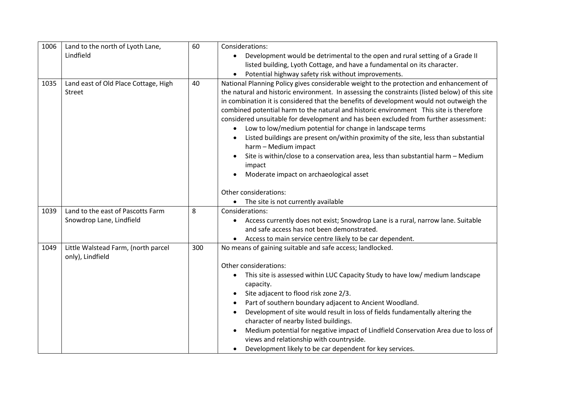| 1006 | Land to the north of Lyoth Lane,                        | 60  | Considerations:                                                                                                                                                                                                                                                                                                                                                                                                                                                                                                                                                                                                                                                                                                                                                                             |
|------|---------------------------------------------------------|-----|---------------------------------------------------------------------------------------------------------------------------------------------------------------------------------------------------------------------------------------------------------------------------------------------------------------------------------------------------------------------------------------------------------------------------------------------------------------------------------------------------------------------------------------------------------------------------------------------------------------------------------------------------------------------------------------------------------------------------------------------------------------------------------------------|
|      | Lindfield                                               |     | Development would be detrimental to the open and rural setting of a Grade II<br>$\bullet$                                                                                                                                                                                                                                                                                                                                                                                                                                                                                                                                                                                                                                                                                                   |
|      |                                                         |     | listed building, Lyoth Cottage, and have a fundamental on its character.                                                                                                                                                                                                                                                                                                                                                                                                                                                                                                                                                                                                                                                                                                                    |
|      |                                                         |     | Potential highway safety risk without improvements.                                                                                                                                                                                                                                                                                                                                                                                                                                                                                                                                                                                                                                                                                                                                         |
| 1035 | Land east of Old Place Cottage, High<br>Street          | 40  | National Planning Policy gives considerable weight to the protection and enhancement of<br>the natural and historic environment. In assessing the constraints (listed below) of this site<br>in combination it is considered that the benefits of development would not outweigh the<br>combined potential harm to the natural and historic environment This site is therefore<br>considered unsuitable for development and has been excluded from further assessment:<br>Low to low/medium potential for change in landscape terms<br>Listed buildings are present on/within proximity of the site, less than substantial<br>harm - Medium impact<br>Site is within/close to a conservation area, less than substantial harm - Medium<br>impact<br>Moderate impact on archaeological asset |
|      |                                                         |     | Other considerations:                                                                                                                                                                                                                                                                                                                                                                                                                                                                                                                                                                                                                                                                                                                                                                       |
|      |                                                         |     | The site is not currently available                                                                                                                                                                                                                                                                                                                                                                                                                                                                                                                                                                                                                                                                                                                                                         |
| 1039 | Land to the east of Pascotts Farm                       | 8   | Considerations:                                                                                                                                                                                                                                                                                                                                                                                                                                                                                                                                                                                                                                                                                                                                                                             |
|      | Snowdrop Lane, Lindfield                                |     | Access currently does not exist; Snowdrop Lane is a rural, narrow lane. Suitable                                                                                                                                                                                                                                                                                                                                                                                                                                                                                                                                                                                                                                                                                                            |
|      |                                                         |     | and safe access has not been demonstrated.                                                                                                                                                                                                                                                                                                                                                                                                                                                                                                                                                                                                                                                                                                                                                  |
|      |                                                         |     | Access to main service centre likely to be car dependent.                                                                                                                                                                                                                                                                                                                                                                                                                                                                                                                                                                                                                                                                                                                                   |
| 1049 | Little Walstead Farm, (north parcel<br>only), Lindfield | 300 | No means of gaining suitable and safe access; landlocked.                                                                                                                                                                                                                                                                                                                                                                                                                                                                                                                                                                                                                                                                                                                                   |
|      |                                                         |     | Other considerations:                                                                                                                                                                                                                                                                                                                                                                                                                                                                                                                                                                                                                                                                                                                                                                       |
|      |                                                         |     | This site is assessed within LUC Capacity Study to have low/ medium landscape<br>$\bullet$<br>capacity.                                                                                                                                                                                                                                                                                                                                                                                                                                                                                                                                                                                                                                                                                     |
|      |                                                         |     | Site adjacent to flood risk zone 2/3.                                                                                                                                                                                                                                                                                                                                                                                                                                                                                                                                                                                                                                                                                                                                                       |
|      |                                                         |     | Part of southern boundary adjacent to Ancient Woodland.                                                                                                                                                                                                                                                                                                                                                                                                                                                                                                                                                                                                                                                                                                                                     |
|      |                                                         |     | Development of site would result in loss of fields fundamentally altering the<br>character of nearby listed buildings.                                                                                                                                                                                                                                                                                                                                                                                                                                                                                                                                                                                                                                                                      |
|      |                                                         |     | Medium potential for negative impact of Lindfield Conservation Area due to loss of<br>views and relationship with countryside.                                                                                                                                                                                                                                                                                                                                                                                                                                                                                                                                                                                                                                                              |
|      |                                                         |     | Development likely to be car dependent for key services.<br>$\bullet$                                                                                                                                                                                                                                                                                                                                                                                                                                                                                                                                                                                                                                                                                                                       |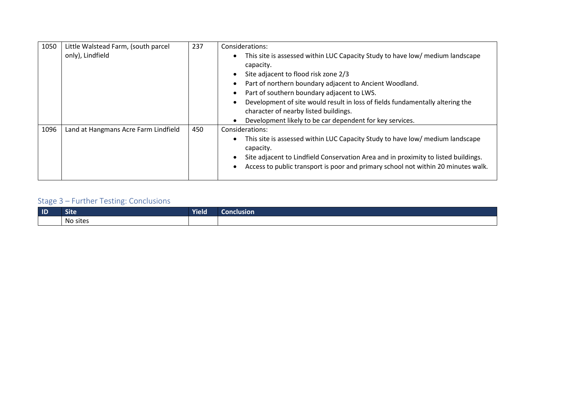| 1050 | Little Walstead Farm, (south parcel  | 237 | Considerations:                                                                                                                                                                                                                                                                                                                                                                                                                   |
|------|--------------------------------------|-----|-----------------------------------------------------------------------------------------------------------------------------------------------------------------------------------------------------------------------------------------------------------------------------------------------------------------------------------------------------------------------------------------------------------------------------------|
|      | only), Lindfield                     |     | This site is assessed within LUC Capacity Study to have low/ medium landscape<br>capacity.<br>Site adjacent to flood risk zone 2/3<br>Part of northern boundary adjacent to Ancient Woodland.<br>Part of southern boundary adjacent to LWS.<br>Development of site would result in loss of fields fundamentally altering the<br>character of nearby listed buildings.<br>Development likely to be car dependent for key services. |
| 1096 | Land at Hangmans Acre Farm Lindfield | 450 | Considerations:<br>This site is assessed within LUC Capacity Study to have low/ medium landscape<br>capacity.<br>Site adjacent to Lindfield Conservation Area and in proximity to listed buildings.<br>Access to public transport is poor and primary school not within 20 minutes walk.                                                                                                                                          |

| $\blacksquare$ | Site            | Yield | <b>Conclusion</b> |
|----------------|-----------------|-------|-------------------|
|                | . .<br>No sites |       |                   |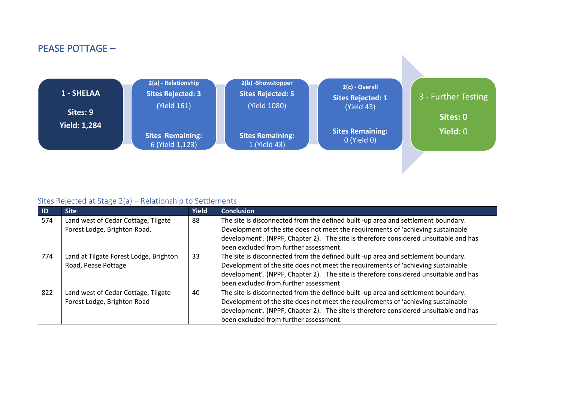## PEASE POTTAGE –



| -ID | <b>Site</b>                            | <b>Yield</b> | <b>Conclusion</b>                                                                    |
|-----|----------------------------------------|--------------|--------------------------------------------------------------------------------------|
| 574 | Land west of Cedar Cottage, Tilgate    | 88           | The site is disconnected from the defined built -up area and settlement boundary.    |
|     | Forest Lodge, Brighton Road,           |              | Development of the site does not meet the requirements of 'achieving sustainable     |
|     |                                        |              | development'. (NPPF, Chapter 2). The site is therefore considered unsuitable and has |
|     |                                        |              | been excluded from further assessment.                                               |
| 774 | Land at Tilgate Forest Lodge, Brighton | 33           | The site is disconnected from the defined built -up area and settlement boundary.    |
|     | Road, Pease Pottage                    |              | Development of the site does not meet the requirements of 'achieving sustainable     |
|     |                                        |              | development'. (NPPF, Chapter 2). The site is therefore considered unsuitable and has |
|     |                                        |              | been excluded from further assessment.                                               |
| 822 | Land west of Cedar Cottage, Tilgate    | 40           | The site is disconnected from the defined built -up area and settlement boundary.    |
|     | Forest Lodge, Brighton Road            |              | Development of the site does not meet the requirements of 'achieving sustainable     |
|     |                                        |              | development'. (NPPF, Chapter 2). The site is therefore considered unsuitable and has |
|     |                                        |              | been excluded from further assessment.                                               |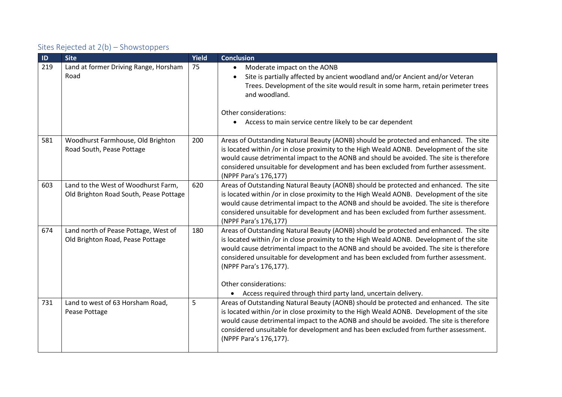| ID  | <b>Site</b>                                                                   | Yield | <b>Conclusion</b>                                                                                                                                                                                                                                                                                                                                                                                                                                                                        |
|-----|-------------------------------------------------------------------------------|-------|------------------------------------------------------------------------------------------------------------------------------------------------------------------------------------------------------------------------------------------------------------------------------------------------------------------------------------------------------------------------------------------------------------------------------------------------------------------------------------------|
| 219 | Land at former Driving Range, Horsham<br>Road                                 | 75    | Moderate impact on the AONB<br>$\bullet$<br>Site is partially affected by ancient woodland and/or Ancient and/or Veteran<br>Trees. Development of the site would result in some harm, retain perimeter trees<br>and woodland.<br>Other considerations:<br>Access to main service centre likely to be car dependent<br>$\bullet$                                                                                                                                                          |
| 581 | Woodhurst Farmhouse, Old Brighton<br>Road South, Pease Pottage                | 200   | Areas of Outstanding Natural Beauty (AONB) should be protected and enhanced. The site<br>is located within /or in close proximity to the High Weald AONB. Development of the site<br>would cause detrimental impact to the AONB and should be avoided. The site is therefore<br>considered unsuitable for development and has been excluded from further assessment.<br>(NPPF Para's 176,177)                                                                                            |
| 603 | Land to the West of Woodhurst Farm,<br>Old Brighton Road South, Pease Pottage | 620   | Areas of Outstanding Natural Beauty (AONB) should be protected and enhanced. The site<br>is located within /or in close proximity to the High Weald AONB. Development of the site<br>would cause detrimental impact to the AONB and should be avoided. The site is therefore<br>considered unsuitable for development and has been excluded from further assessment.<br>(NPPF Para's 176,177)                                                                                            |
| 674 | Land north of Pease Pottage, West of<br>Old Brighton Road, Pease Pottage      | 180   | Areas of Outstanding Natural Beauty (AONB) should be protected and enhanced. The site<br>is located within /or in close proximity to the High Weald AONB. Development of the site<br>would cause detrimental impact to the AONB and should be avoided. The site is therefore<br>considered unsuitable for development and has been excluded from further assessment.<br>(NPPF Para's 176,177).<br>Other considerations:<br>Access required through third party land, uncertain delivery. |
| 731 | Land to west of 63 Horsham Road,<br>Pease Pottage                             | 5     | Areas of Outstanding Natural Beauty (AONB) should be protected and enhanced. The site<br>is located within /or in close proximity to the High Weald AONB. Development of the site<br>would cause detrimental impact to the AONB and should be avoided. The site is therefore<br>considered unsuitable for development and has been excluded from further assessment.<br>(NPPF Para's 176,177).                                                                                           |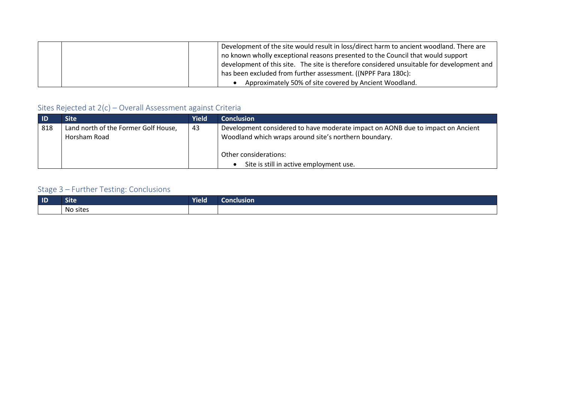|  | Development of the site would result in loss/direct harm to ancient woodland. There are   |
|--|-------------------------------------------------------------------------------------------|
|  | no known wholly exceptional reasons presented to the Council that would support           |
|  | development of this site. The site is therefore considered unsuitable for development and |
|  | has been excluded from further assessment. ((NPPF Para 180c):                             |
|  | Approximately 50% of site covered by Ancient Woodland.                                    |

| - ID | <b>Site</b>                                          | Yield | <b>Conclusion</b>                                                                                                                        |
|------|------------------------------------------------------|-------|------------------------------------------------------------------------------------------------------------------------------------------|
| 818  | Land north of the Former Golf House,<br>Horsham Road | 43    | Development considered to have moderate impact on AONB due to impact on Ancient<br>Woodland which wraps around site's northern boundary. |
|      |                                                      |       | Other considerations:<br>Site is still in active employment use.                                                                         |

| $\blacksquare$ | <b>Site</b>     | <b>Yield</b> | Conclusion |
|----------------|-----------------|--------------|------------|
|                | . .<br>No sites |              |            |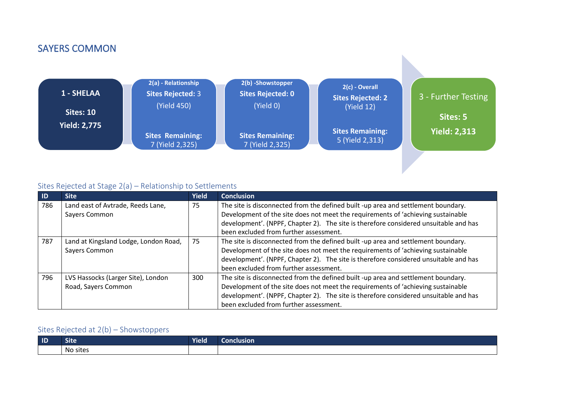## SAYERS COMMON



### Sites Rejected at Stage 2(a) – Relationship to Settlements

| -ID | <b>Site</b>                           | <b>Yield</b> | <b>Conclusion</b>                                                                    |
|-----|---------------------------------------|--------------|--------------------------------------------------------------------------------------|
| 786 | Land east of Avtrade, Reeds Lane,     | 75           | The site is disconnected from the defined built -up area and settlement boundary.    |
|     | Sayers Common                         |              | Development of the site does not meet the requirements of 'achieving sustainable     |
|     |                                       |              | development'. (NPPF, Chapter 2). The site is therefore considered unsuitable and has |
|     |                                       |              | been excluded from further assessment.                                               |
| 787 | Land at Kingsland Lodge, London Road, | 75           | The site is disconnected from the defined built -up area and settlement boundary.    |
|     | Sayers Common                         |              | Development of the site does not meet the requirements of 'achieving sustainable     |
|     |                                       |              | development'. (NPPF, Chapter 2). The site is therefore considered unsuitable and has |
|     |                                       |              | been excluded from further assessment.                                               |
| 796 | LVS Hassocks (Larger Site), London    | 300          | The site is disconnected from the defined built -up area and settlement boundary.    |
|     | Road, Sayers Common                   |              | Development of the site does not meet the requirements of 'achieving sustainable     |
|     |                                       |              | development'. (NPPF, Chapter 2). The site is therefore considered unsuitable and has |
|     |                                       |              | been excluded from further assessment.                                               |

| ID | .<br>Site | <b>Yield</b> | clusion.<br>LON TH' |
|----|-----------|--------------|---------------------|
|    | No sites  |              |                     |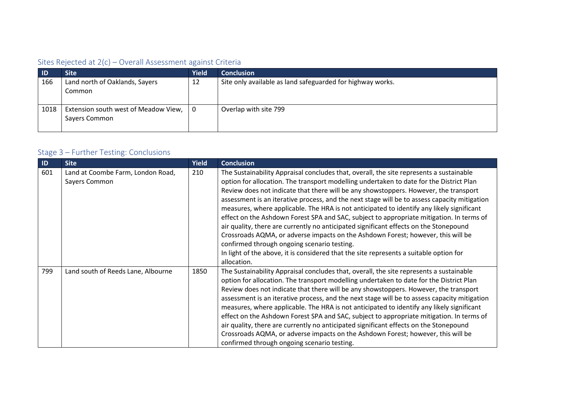| <b>ID</b> | <b>Site</b>                                           | <b>Yield</b> | <b>Conclusion</b>                                          |
|-----------|-------------------------------------------------------|--------------|------------------------------------------------------------|
| 166       | Land north of Oaklands, Sayers<br>Common              | 12           | Site only available as land safeguarded for highway works. |
| 1018      | Extension south west of Meadow View,<br>Sayers Common | 0            | Overlap with site 799                                      |

| $\blacksquare$ | <b>Site</b>                                        | <b>Yield</b> | <b>Conclusion</b>                                                                                                                                                                                                                                                                                                                                                                                                                                                                                                                                                                                                                                                                                                                                                                                                                                                                                        |
|----------------|----------------------------------------------------|--------------|----------------------------------------------------------------------------------------------------------------------------------------------------------------------------------------------------------------------------------------------------------------------------------------------------------------------------------------------------------------------------------------------------------------------------------------------------------------------------------------------------------------------------------------------------------------------------------------------------------------------------------------------------------------------------------------------------------------------------------------------------------------------------------------------------------------------------------------------------------------------------------------------------------|
| 601            | Land at Coombe Farm, London Road,<br>Sayers Common | 210          | The Sustainability Appraisal concludes that, overall, the site represents a sustainable<br>option for allocation. The transport modelling undertaken to date for the District Plan<br>Review does not indicate that there will be any showstoppers. However, the transport<br>assessment is an iterative process, and the next stage will be to assess capacity mitigation<br>measures, where applicable. The HRA is not anticipated to identify any likely significant<br>effect on the Ashdown Forest SPA and SAC, subject to appropriate mitigation. In terms of<br>air quality, there are currently no anticipated significant effects on the Stonepound<br>Crossroads AQMA, or adverse impacts on the Ashdown Forest; however, this will be<br>confirmed through ongoing scenario testing.<br>In light of the above, it is considered that the site represents a suitable option for<br>allocation. |
| 799            | Land south of Reeds Lane, Albourne                 | 1850         | The Sustainability Appraisal concludes that, overall, the site represents a sustainable<br>option for allocation. The transport modelling undertaken to date for the District Plan<br>Review does not indicate that there will be any showstoppers. However, the transport<br>assessment is an iterative process, and the next stage will be to assess capacity mitigation<br>measures, where applicable. The HRA is not anticipated to identify any likely significant<br>effect on the Ashdown Forest SPA and SAC, subject to appropriate mitigation. In terms of<br>air quality, there are currently no anticipated significant effects on the Stonepound<br>Crossroads AQMA, or adverse impacts on the Ashdown Forest; however, this will be<br>confirmed through ongoing scenario testing.                                                                                                          |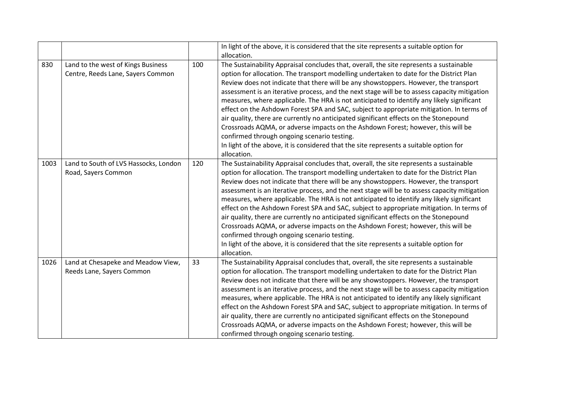|      |                                                                         |     | In light of the above, it is considered that the site represents a suitable option for<br>allocation.                                                                                                                                                                                                                                                                                                                                                                                                                                                                                                                                                                                                                                                                                                                                                                                                    |
|------|-------------------------------------------------------------------------|-----|----------------------------------------------------------------------------------------------------------------------------------------------------------------------------------------------------------------------------------------------------------------------------------------------------------------------------------------------------------------------------------------------------------------------------------------------------------------------------------------------------------------------------------------------------------------------------------------------------------------------------------------------------------------------------------------------------------------------------------------------------------------------------------------------------------------------------------------------------------------------------------------------------------|
| 830  | Land to the west of Kings Business<br>Centre, Reeds Lane, Sayers Common | 100 | The Sustainability Appraisal concludes that, overall, the site represents a sustainable<br>option for allocation. The transport modelling undertaken to date for the District Plan<br>Review does not indicate that there will be any showstoppers. However, the transport<br>assessment is an iterative process, and the next stage will be to assess capacity mitigation<br>measures, where applicable. The HRA is not anticipated to identify any likely significant<br>effect on the Ashdown Forest SPA and SAC, subject to appropriate mitigation. In terms of<br>air quality, there are currently no anticipated significant effects on the Stonepound<br>Crossroads AQMA, or adverse impacts on the Ashdown Forest; however, this will be<br>confirmed through ongoing scenario testing.<br>In light of the above, it is considered that the site represents a suitable option for<br>allocation. |
| 1003 | Land to South of LVS Hassocks, London<br>Road, Sayers Common            | 120 | The Sustainability Appraisal concludes that, overall, the site represents a sustainable<br>option for allocation. The transport modelling undertaken to date for the District Plan<br>Review does not indicate that there will be any showstoppers. However, the transport<br>assessment is an iterative process, and the next stage will be to assess capacity mitigation<br>measures, where applicable. The HRA is not anticipated to identify any likely significant<br>effect on the Ashdown Forest SPA and SAC, subject to appropriate mitigation. In terms of<br>air quality, there are currently no anticipated significant effects on the Stonepound<br>Crossroads AQMA, or adverse impacts on the Ashdown Forest; however, this will be<br>confirmed through ongoing scenario testing.<br>In light of the above, it is considered that the site represents a suitable option for<br>allocation. |
| 1026 | Land at Chesapeke and Meadow View,<br>Reeds Lane, Sayers Common         | 33  | The Sustainability Appraisal concludes that, overall, the site represents a sustainable<br>option for allocation. The transport modelling undertaken to date for the District Plan<br>Review does not indicate that there will be any showstoppers. However, the transport<br>assessment is an iterative process, and the next stage will be to assess capacity mitigation<br>measures, where applicable. The HRA is not anticipated to identify any likely significant<br>effect on the Ashdown Forest SPA and SAC, subject to appropriate mitigation. In terms of<br>air quality, there are currently no anticipated significant effects on the Stonepound<br>Crossroads AQMA, or adverse impacts on the Ashdown Forest; however, this will be<br>confirmed through ongoing scenario testing.                                                                                                          |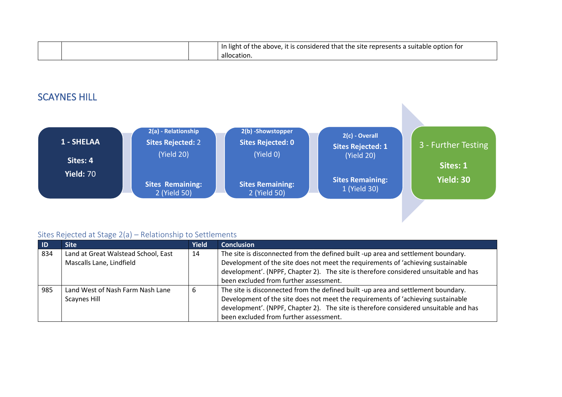|  | In light of the above, it is considered that the site represents a suitable option for |
|--|----------------------------------------------------------------------------------------|
|  | allocation.                                                                            |

## SCAYNES HILL



| $\blacksquare$ | <b>Site</b>                         | <b>Yield</b> | <b>Conclusion</b>                                                                    |
|----------------|-------------------------------------|--------------|--------------------------------------------------------------------------------------|
| 834            | Land at Great Walstead School, East | 14           | The site is disconnected from the defined built -up area and settlement boundary.    |
|                | Mascalls Lane, Lindfield            |              | Development of the site does not meet the requirements of 'achieving sustainable     |
|                |                                     |              | development'. (NPPF, Chapter 2). The site is therefore considered unsuitable and has |
|                |                                     |              | been excluded from further assessment.                                               |
| 985            | Land West of Nash Farm Nash Lane    |              | The site is disconnected from the defined built -up area and settlement boundary.    |
|                | <b>Scaynes Hill</b>                 |              | Development of the site does not meet the requirements of 'achieving sustainable     |
|                |                                     |              | development'. (NPPF, Chapter 2). The site is therefore considered unsuitable and has |
|                |                                     |              | been excluded from further assessment.                                               |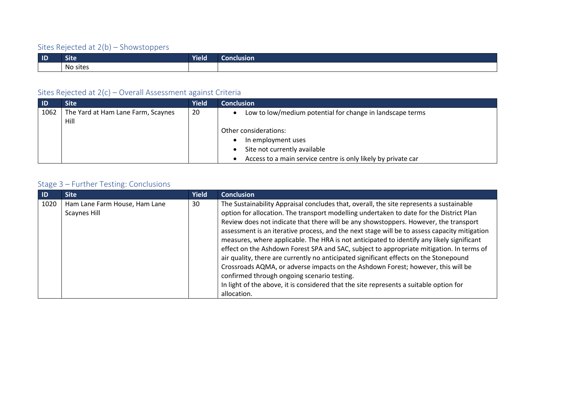| $\blacksquare$ | .<br>Site | Yield | onclusion |
|----------------|-----------|-------|-----------|
|                | No sites  |       |           |

### Sites Rejected at 2(c) – Overall Assessment against Criteria

| $\blacksquare$ | <b>Site</b>                        | <b>Yield</b> | <b>Conclusion</b>                                             |
|----------------|------------------------------------|--------------|---------------------------------------------------------------|
| 1062           | The Yard at Ham Lane Farm, Scaynes | 20           | Low to low/medium potential for change in landscape terms     |
|                | Hill                               |              |                                                               |
|                |                                    |              | Other considerations:                                         |
|                |                                    |              | In employment uses                                            |
|                |                                    |              | Site not currently available                                  |
|                |                                    |              | Access to a main service centre is only likely by private car |

| <b>ID</b> | <b>Site</b>                                   | <b>Yield</b> | <b>Conclusion</b>                                                                                                                                                                                                                                                                                                                                                                                                                                                                                                                                                                                                                                                                                                                                |
|-----------|-----------------------------------------------|--------------|--------------------------------------------------------------------------------------------------------------------------------------------------------------------------------------------------------------------------------------------------------------------------------------------------------------------------------------------------------------------------------------------------------------------------------------------------------------------------------------------------------------------------------------------------------------------------------------------------------------------------------------------------------------------------------------------------------------------------------------------------|
| 1020      | Ham Lane Farm House, Ham Lane<br>Scaynes Hill | 30           | The Sustainability Appraisal concludes that, overall, the site represents a sustainable<br>option for allocation. The transport modelling undertaken to date for the District Plan<br>Review does not indicate that there will be any showstoppers. However, the transport<br>assessment is an iterative process, and the next stage will be to assess capacity mitigation<br>measures, where applicable. The HRA is not anticipated to identify any likely significant<br>effect on the Ashdown Forest SPA and SAC, subject to appropriate mitigation. In terms of<br>air quality, there are currently no anticipated significant effects on the Stonepound<br>Crossroads AQMA, or adverse impacts on the Ashdown Forest; however, this will be |
|           |                                               |              | confirmed through ongoing scenario testing.<br>In light of the above, it is considered that the site represents a suitable option for                                                                                                                                                                                                                                                                                                                                                                                                                                                                                                                                                                                                            |
|           |                                               |              | allocation.                                                                                                                                                                                                                                                                                                                                                                                                                                                                                                                                                                                                                                                                                                                                      |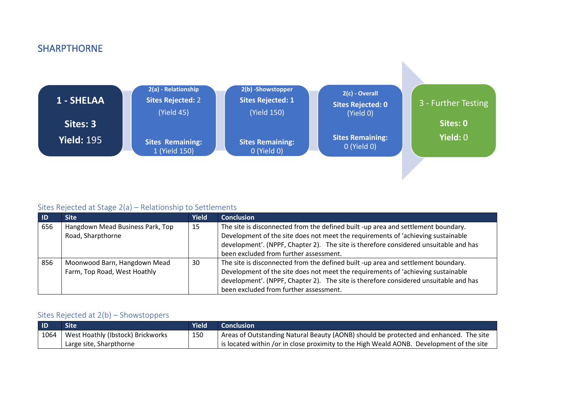### SHARPTHORNE



#### Sites Rejected at Stage 2(a) – Relationship to Settlements

| -ID | <b>Site</b>                      | Yield | <b>Conclusion</b>                                                                    |
|-----|----------------------------------|-------|--------------------------------------------------------------------------------------|
| 656 | Hangdown Mead Business Park, Top | 15    | The site is disconnected from the defined built -up area and settlement boundary.    |
|     | Road, Sharpthorne                |       | Development of the site does not meet the requirements of 'achieving sustainable     |
|     |                                  |       | development'. (NPPF, Chapter 2). The site is therefore considered unsuitable and has |
|     |                                  |       | been excluded from further assessment.                                               |
| 856 | Moonwood Barn, Hangdown Mead     | 30    | The site is disconnected from the defined built -up area and settlement boundary.    |
|     | Farm, Top Road, West Hoathly     |       | Development of the site does not meet the requirements of 'achieving sustainable     |
|     |                                  |       | development'. (NPPF, Chapter 2). The site is therefore considered unsuitable and has |
|     |                                  |       | been excluded from further assessment.                                               |

| $\overline{1}$ | <b>Site</b>                       | <b>Yield</b> | <b>Conclusion</b>                                                                                  |
|----------------|-----------------------------------|--------------|----------------------------------------------------------------------------------------------------|
| 1064           | West Hoathly (Ibstock) Brickworks | 150          | <sup>1</sup> Areas of Outstanding Natural Beauty (AONB) should be protected and enhanced. The site |
|                | Large site, Sharpthorne           |              | is located within /or in close proximity to the High Weald AONB. Development of the site           |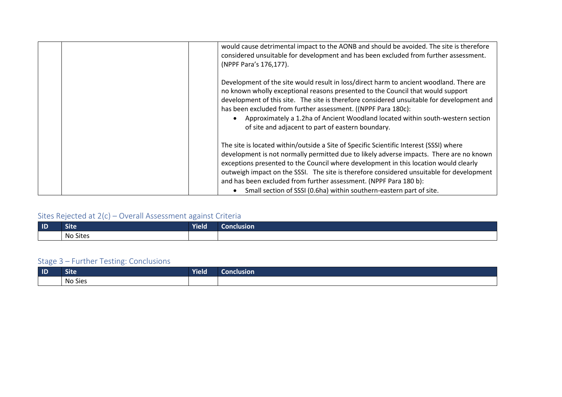| would cause detrimental impact to the AONB and should be avoided. The site is therefore<br>considered unsuitable for development and has been excluded from further assessment.<br>(NPPF Para's 176,177).                                                                                                                                                                                                                                                                                                         |
|-------------------------------------------------------------------------------------------------------------------------------------------------------------------------------------------------------------------------------------------------------------------------------------------------------------------------------------------------------------------------------------------------------------------------------------------------------------------------------------------------------------------|
| Development of the site would result in loss/direct harm to ancient woodland. There are<br>no known wholly exceptional reasons presented to the Council that would support<br>development of this site. The site is therefore considered unsuitable for development and<br>has been excluded from further assessment. ((NPPF Para 180c):<br>Approximately a 1.2ha of Ancient Woodland located within south-western section<br>of site and adjacent to part of eastern boundary.                                   |
| The site is located within/outside a Site of Specific Scientific Interest (SSSI) where<br>development is not normally permitted due to likely adverse impacts. There are no known<br>exceptions presented to the Council where development in this location would clearly<br>outweigh impact on the SSSI. The site is therefore considered unsuitable for development<br>and has been excluded from further assessment. (NPPF Para 180 b):<br>Small section of SSSI (0.6ha) within southern-eastern part of site. |

| $\blacksquare$ | <b>Site</b> | <b>Yield</b> | <b>Conclusion</b> |
|----------------|-------------|--------------|-------------------|
|                | No Sites    |              |                   |

| $\blacksquare$ | ∼.<br>Site                      | .<br><b>Yield</b> | Conclusion : |
|----------------|---------------------------------|-------------------|--------------|
|                | $\sim$ $\sim$<br>. .<br>No Sies |                   |              |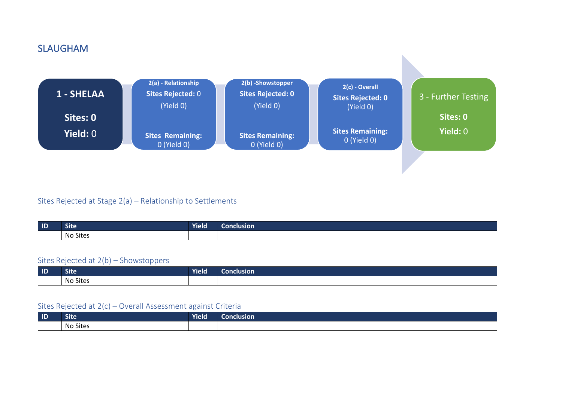### **SLAUGHAM**



#### Sites Rejected at Stage 2(a) – Relationship to Settlements

| $\blacksquare$ | <b>START START</b><br>Site | Yield | <b>Conclusion</b> |
|----------------|----------------------------|-------|-------------------|
|                | No Sites                   |       |                   |

#### Sites Rejected at 2(b) – Showstoppers

| $\blacksquare$ | <b>START START</b><br>ͻιτε                                     | .<br><b>Yield</b> | Conclusion |
|----------------|----------------------------------------------------------------|-------------------|------------|
|                | $\sim$ .<br>$\overline{\phantom{a}}$<br>siter<br>-NO<br>. טונג |                   |            |

| $\blacksquare$ | Site            | <b>Yield</b> | onclusion |
|----------------|-----------------|--------------|-----------|
|                | <b>No Sites</b> |              |           |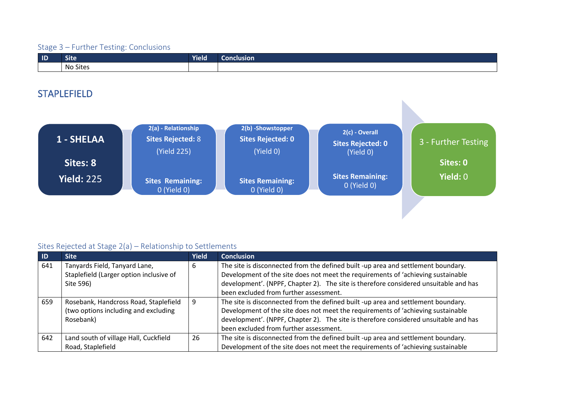| $\blacksquare$ | <b>START OF BUILDING</b><br><b>Site</b> | Yield | <b>Conclusion</b> |
|----------------|-----------------------------------------|-------|-------------------|
|                | $\sim$<br>. .<br>No Sites               |       |                   |

## STAPLEFIELD

| 1 - SHELAA        | 2(a) - Relationship<br>Sites Rejected: 8<br>(Yield 225) | 2(b) -Showstopper<br><b>Sites Rejected: 0</b><br>(Yield 0) | 2(c) - Overall<br><b>Sites Rejected: 0</b><br>(Yield 0) | 3 - Further Testing |
|-------------------|---------------------------------------------------------|------------------------------------------------------------|---------------------------------------------------------|---------------------|
| Sites: 8          |                                                         |                                                            |                                                         | Sites: 0            |
| <b>Yield: 225</b> | <b>Sites Remaining:</b><br>0 (Yield 0)                  | <b>Sites Remaining:</b><br>O(Yield O)                      | <b>Sites Remaining:</b><br>0 (Yield 0)                  | <b>Yield: 0</b>     |

| -ID | <b>Site</b>                                                                                | <b>Yield</b> | <b>Conclusion</b>                                                                                                                                                                                                                                                                                       |
|-----|--------------------------------------------------------------------------------------------|--------------|---------------------------------------------------------------------------------------------------------------------------------------------------------------------------------------------------------------------------------------------------------------------------------------------------------|
| 641 | Tanyards Field, Tanyard Lane,<br>Staplefield (Larger option inclusive of<br>Site 596)      | 6            | The site is disconnected from the defined built -up area and settlement boundary.<br>Development of the site does not meet the requirements of 'achieving sustainable<br>development'. (NPPF, Chapter 2). The site is therefore considered unsuitable and has<br>been excluded from further assessment. |
| 659 | Rosebank, Handcross Road, Staplefield<br>(two options including and excluding<br>Rosebank) | 9            | The site is disconnected from the defined built -up area and settlement boundary.<br>Development of the site does not meet the requirements of 'achieving sustainable<br>development'. (NPPF, Chapter 2). The site is therefore considered unsuitable and has<br>been excluded from further assessment. |
| 642 | Land south of village Hall, Cuckfield<br>Road, Staplefield                                 | 26           | The site is disconnected from the defined built -up area and settlement boundary.<br>Development of the site does not meet the requirements of 'achieving sustainable                                                                                                                                   |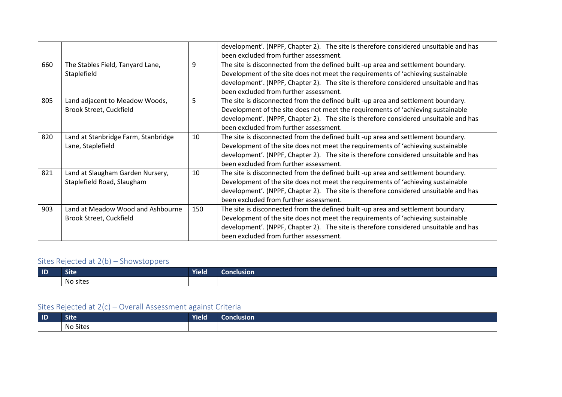|     |                                                          |     | development'. (NPPF, Chapter 2). The site is therefore considered unsuitable and has |  |  |
|-----|----------------------------------------------------------|-----|--------------------------------------------------------------------------------------|--|--|
|     |                                                          |     | been excluded from further assessment.                                               |  |  |
| 660 | The Stables Field, Tanyard Lane,                         | 9   | The site is disconnected from the defined built -up area and settlement boundary.    |  |  |
|     | Staplefield                                              |     | Development of the site does not meet the requirements of 'achieving sustainable     |  |  |
|     |                                                          |     | development'. (NPPF, Chapter 2). The site is therefore considered unsuitable and has |  |  |
|     |                                                          |     | been excluded from further assessment.                                               |  |  |
| 805 | Land adjacent to Meadow Woods,                           | 5   | The site is disconnected from the defined built -up area and settlement boundary.    |  |  |
|     | Brook Street, Cuckfield                                  |     | Development of the site does not meet the requirements of 'achieving sustainable     |  |  |
|     |                                                          |     | development'. (NPPF, Chapter 2). The site is therefore considered unsuitable and has |  |  |
|     |                                                          |     | been excluded from further assessment.                                               |  |  |
| 820 | Land at Stanbridge Farm, Stanbridge<br>Lane, Staplefield | 10  | The site is disconnected from the defined built -up area and settlement boundary.    |  |  |
|     |                                                          |     | Development of the site does not meet the requirements of 'achieving sustainable     |  |  |
|     |                                                          |     | development'. (NPPF, Chapter 2). The site is therefore considered unsuitable and has |  |  |
|     |                                                          |     | been excluded from further assessment.                                               |  |  |
| 821 | Land at Slaugham Garden Nursery,                         | 10  | The site is disconnected from the defined built -up area and settlement boundary.    |  |  |
|     | Staplefield Road, Slaugham                               |     | Development of the site does not meet the requirements of 'achieving sustainable     |  |  |
|     |                                                          |     | development'. (NPPF, Chapter 2). The site is therefore considered unsuitable and has |  |  |
|     |                                                          |     | been excluded from further assessment.                                               |  |  |
| 903 | Land at Meadow Wood and Ashbourne                        | 150 | The site is disconnected from the defined built -up area and settlement boundary.    |  |  |
|     | Brook Street, Cuckfield                                  |     | Development of the site does not meet the requirements of 'achieving sustainable     |  |  |
|     |                                                          |     | development'. (NPPF, Chapter 2). The site is therefore considered unsuitable and has |  |  |
|     |                                                          |     | been excluded from further assessment.                                               |  |  |

| $\blacksquare$ | - -<br>Sιτe          | .<br>rield' | usion |
|----------------|----------------------|-------------|-------|
|                | sites<br>^'<br>. טוי |             |       |

| $\blacksquare$ | -<br>Site | <b>Yield</b> | onclusion |
|----------------|-----------|--------------|-----------|
|                | No Sites  |              |           |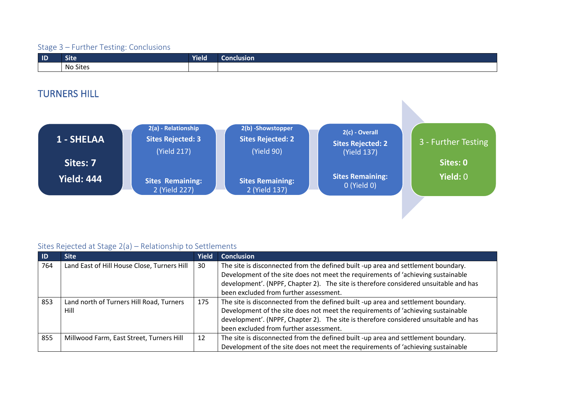| $\blacksquare$ | <b>Site</b>     | Yield | <b>Conclusion</b> |
|----------------|-----------------|-------|-------------------|
|                | <b>No Sites</b> |       |                   |

## TURNERS HILL

| 1 - SHELAA        | 2(a) - Relationship<br><b>Sites Rejected: 3</b><br>(Yield 217) | 2(b) -Showstopper<br><b>Sites Rejected: 2</b><br>(Yield 90) | 2(c) - Overall<br><b>Sites Rejected: 2</b><br>(Yield 137) | 3 - Further Testing |
|-------------------|----------------------------------------------------------------|-------------------------------------------------------------|-----------------------------------------------------------|---------------------|
| Sites: 7          |                                                                |                                                             |                                                           | Sites: 0            |
| <b>Yield: 444</b> | <b>Sites Remaining:</b><br>2 (Yield 227)                       | <b>Sites Remaining:</b><br>2 (Yield 137)                    | <b>Sites Remaining:</b><br>0 (Yield 0)                    | Yield: 0            |

| -ID | <b>Site</b>                                 | <b>Yield</b> | <b>Conclusion</b>                                                                                                                                                     |
|-----|---------------------------------------------|--------------|-----------------------------------------------------------------------------------------------------------------------------------------------------------------------|
| 764 | Land East of Hill House Close, Turners Hill | 30           | The site is disconnected from the defined built -up area and settlement boundary.<br>Development of the site does not meet the requirements of 'achieving sustainable |
|     |                                             |              | development'. (NPPF, Chapter 2). The site is therefore considered unsuitable and has                                                                                  |
|     |                                             |              | been excluded from further assessment.                                                                                                                                |
| 853 | Land north of Turners Hill Road, Turners    | 175          | The site is disconnected from the defined built -up area and settlement boundary.                                                                                     |
|     | Hill                                        |              | Development of the site does not meet the requirements of 'achieving sustainable                                                                                      |
|     |                                             |              | development'. (NPPF, Chapter 2). The site is therefore considered unsuitable and has                                                                                  |
|     |                                             |              | been excluded from further assessment.                                                                                                                                |
| 855 | Millwood Farm, East Street, Turners Hill    | 12           | The site is disconnected from the defined built -up area and settlement boundary.                                                                                     |
|     |                                             |              | Development of the site does not meet the requirements of 'achieving sustainable                                                                                      |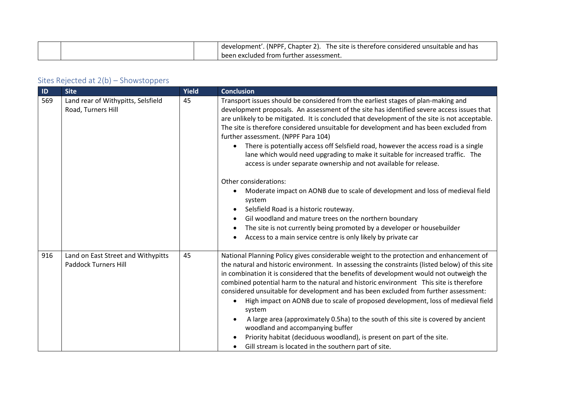|  | Chapter 2).<br>(NPPF<br>The site is therefore considered unsuitable and has<br>development' |
|--|---------------------------------------------------------------------------------------------|
|  | been excluded from further assessment.                                                      |

| ID  | <b>Site</b>                                                       | Yield | <b>Conclusion</b>                                                                                                                                                                                                                                                                                                                                                                                                                                                                                                                                                                                                                                                                                                                                                                                                                                          |
|-----|-------------------------------------------------------------------|-------|------------------------------------------------------------------------------------------------------------------------------------------------------------------------------------------------------------------------------------------------------------------------------------------------------------------------------------------------------------------------------------------------------------------------------------------------------------------------------------------------------------------------------------------------------------------------------------------------------------------------------------------------------------------------------------------------------------------------------------------------------------------------------------------------------------------------------------------------------------|
| 569 | Land rear of Withypitts, Selsfield<br>Road, Turners Hill          | 45    | Transport issues should be considered from the earliest stages of plan-making and<br>development proposals. An assessment of the site has identified severe access issues that<br>are unlikely to be mitigated. It is concluded that development of the site is not acceptable.<br>The site is therefore considered unsuitable for development and has been excluded from<br>further assessment. (NPPF Para 104)<br>There is potentially access off Selsfield road, however the access road is a single<br>lane which would need upgrading to make it suitable for increased traffic. The<br>access is under separate ownership and not available for release.                                                                                                                                                                                             |
|     |                                                                   |       | Other considerations:<br>Moderate impact on AONB due to scale of development and loss of medieval field<br>system<br>Selsfield Road is a historic routeway.<br>Gil woodland and mature trees on the northern boundary<br>The site is not currently being promoted by a developer or housebuilder<br>Access to a main service centre is only likely by private car                                                                                                                                                                                                                                                                                                                                                                                                                                                                                          |
| 916 | Land on East Street and Withypitts<br><b>Paddock Turners Hill</b> | 45    | National Planning Policy gives considerable weight to the protection and enhancement of<br>the natural and historic environment. In assessing the constraints (listed below) of this site<br>in combination it is considered that the benefits of development would not outweigh the<br>combined potential harm to the natural and historic environment This site is therefore<br>considered unsuitable for development and has been excluded from further assessment:<br>High impact on AONB due to scale of proposed development, loss of medieval field<br>$\bullet$<br>system<br>A large area (approximately 0.5ha) to the south of this site is covered by ancient<br>woodland and accompanying buffer<br>Priority habitat (deciduous woodland), is present on part of the site.<br>Gill stream is located in the southern part of site.<br>$\bullet$ |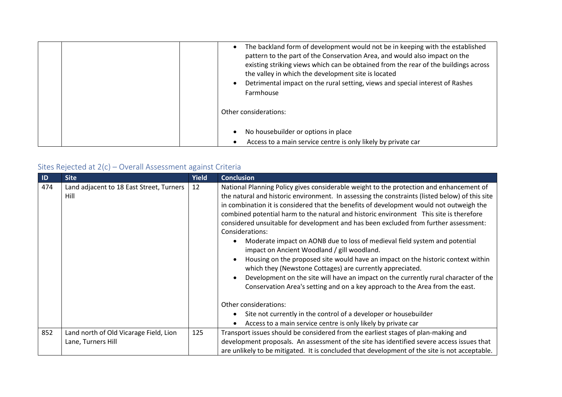| The backland form of development would not be in keeping with the established<br>pattern to the part of the Conservation Area, and would also impact on the<br>existing striking views which can be obtained from the rear of the buildings across<br>the valley in which the development site is located<br>Detrimental impact on the rural setting, views and special interest of Rashes<br>Farmhouse |
|---------------------------------------------------------------------------------------------------------------------------------------------------------------------------------------------------------------------------------------------------------------------------------------------------------------------------------------------------------------------------------------------------------|
| Other considerations:                                                                                                                                                                                                                                                                                                                                                                                   |
| No housebuilder or options in place                                                                                                                                                                                                                                                                                                                                                                     |
| Access to a main service centre is only likely by private car                                                                                                                                                                                                                                                                                                                                           |

| $\blacksquare$ | <b>Site</b>                                                  | <b>Yield</b> | <b>Conclusion</b>                                                                                                                                                                                                                                                                                                                                                                                                                                                                                                                                                                                                                                                                                                                                                                                                                                                                                                                                                                                                                           |
|----------------|--------------------------------------------------------------|--------------|---------------------------------------------------------------------------------------------------------------------------------------------------------------------------------------------------------------------------------------------------------------------------------------------------------------------------------------------------------------------------------------------------------------------------------------------------------------------------------------------------------------------------------------------------------------------------------------------------------------------------------------------------------------------------------------------------------------------------------------------------------------------------------------------------------------------------------------------------------------------------------------------------------------------------------------------------------------------------------------------------------------------------------------------|
| 474            | Land adjacent to 18 East Street, Turners<br>Hill             | 12           | National Planning Policy gives considerable weight to the protection and enhancement of<br>the natural and historic environment. In assessing the constraints (listed below) of this site<br>in combination it is considered that the benefits of development would not outweigh the<br>combined potential harm to the natural and historic environment This site is therefore<br>considered unsuitable for development and has been excluded from further assessment:<br>Considerations:<br>Moderate impact on AONB due to loss of medieval field system and potential<br>impact on Ancient Woodland / gill woodland.<br>Housing on the proposed site would have an impact on the historic context within<br>which they (Newstone Cottages) are currently appreciated.<br>Development on the site will have an impact on the currently rural character of the<br>Conservation Area's setting and on a key approach to the Area from the east.<br>Other considerations:<br>Site not currently in the control of a developer or housebuilder |
|                |                                                              |              | Access to a main service centre is only likely by private car                                                                                                                                                                                                                                                                                                                                                                                                                                                                                                                                                                                                                                                                                                                                                                                                                                                                                                                                                                               |
| 852            | Land north of Old Vicarage Field, Lion<br>Lane, Turners Hill | 125          | Transport issues should be considered from the earliest stages of plan-making and<br>development proposals. An assessment of the site has identified severe access issues that<br>are unlikely to be mitigated. It is concluded that development of the site is not acceptable.                                                                                                                                                                                                                                                                                                                                                                                                                                                                                                                                                                                                                                                                                                                                                             |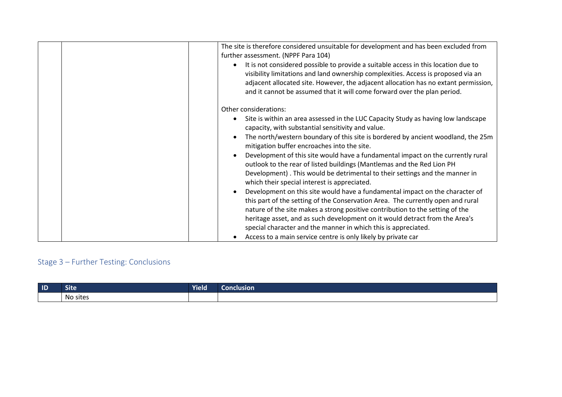|  | The site is therefore considered unsuitable for development and has been excluded from<br>further assessment. (NPPF Para 104)                                                                                                                                                                                                                                                                     |
|--|---------------------------------------------------------------------------------------------------------------------------------------------------------------------------------------------------------------------------------------------------------------------------------------------------------------------------------------------------------------------------------------------------|
|  | It is not considered possible to provide a suitable access in this location due to<br>visibility limitations and land ownership complexities. Access is proposed via an<br>adjacent allocated site. However, the adjacent allocation has no extant permission,<br>and it cannot be assumed that it will come forward over the plan period.                                                        |
|  | Other considerations:                                                                                                                                                                                                                                                                                                                                                                             |
|  | Site is within an area assessed in the LUC Capacity Study as having low landscape<br>capacity, with substantial sensitivity and value.                                                                                                                                                                                                                                                            |
|  | The north/western boundary of this site is bordered by ancient woodland, the 25m<br>mitigation buffer encroaches into the site.                                                                                                                                                                                                                                                                   |
|  | Development of this site would have a fundamental impact on the currently rural<br>outlook to the rear of listed buildings (Mantlemas and the Red Lion PH<br>Development). This would be detrimental to their settings and the manner in<br>which their special interest is appreciated.                                                                                                          |
|  | Development on this site would have a fundamental impact on the character of<br>this part of the setting of the Conservation Area. The currently open and rural<br>nature of the site makes a strong positive contribution to the setting of the<br>heritage asset, and as such development on it would detract from the Area's<br>special character and the manner in which this is appreciated. |
|  | Access to a main service centre is only likely by private car                                                                                                                                                                                                                                                                                                                                     |
|  |                                                                                                                                                                                                                                                                                                                                                                                                   |

| $\blacksquare$ | <b>TABLE</b><br>Site | Yield | Conclusion |
|----------------|----------------------|-------|------------|
|                | . .<br>No sites      |       |            |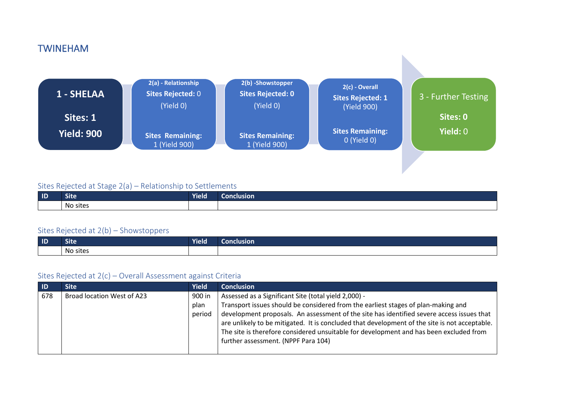### TWINEHAM



#### Sites Rejected at Stage 2(a) – Relationship to Settlements

| $\blacksquare$ | .<br>ыте               | <b>Vield</b> | Conclusion l |
|----------------|------------------------|--------------|--------------|
|                | . .<br>. .<br>No sites |              |              |

#### Sites Rejected at 2(b) – Showstoppers

| $\blacksquare$ | <b>TARRA</b><br><b>Site</b> | <b>Yield</b> | Conclusion |
|----------------|-----------------------------|--------------|------------|
|                | No sites                    |              |            |

| ' ID. | Site '                     | Yield  | <b>Conclusion</b>                                                                                                                                                                                                                                                                                                           |
|-------|----------------------------|--------|-----------------------------------------------------------------------------------------------------------------------------------------------------------------------------------------------------------------------------------------------------------------------------------------------------------------------------|
| 678   | Broad location West of A23 | 900 in | Assessed as a Significant Site (total yield 2,000) -                                                                                                                                                                                                                                                                        |
|       |                            | plan   | Transport issues should be considered from the earliest stages of plan-making and                                                                                                                                                                                                                                           |
|       |                            | period | development proposals. An assessment of the site has identified severe access issues that<br>are unlikely to be mitigated. It is concluded that development of the site is not acceptable.<br>The site is therefore considered unsuitable for development and has been excluded from<br>further assessment. (NPPF Para 104) |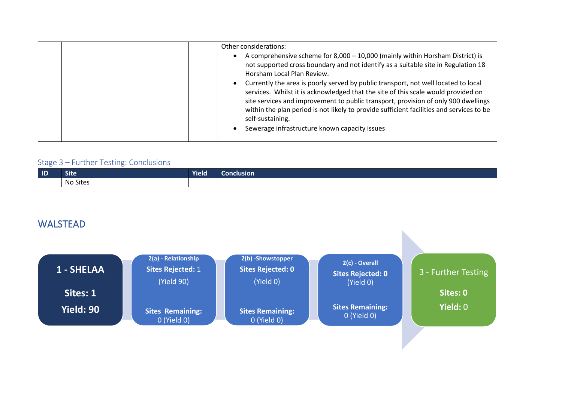| Other considerations:<br>A comprehensive scheme for 8,000 - 10,000 (mainly within Horsham District) is<br>not supported cross boundary and not identify as a suitable site in Regulation 18<br>Horsham Local Plan Review.                                                                                                                                                                                                      |
|--------------------------------------------------------------------------------------------------------------------------------------------------------------------------------------------------------------------------------------------------------------------------------------------------------------------------------------------------------------------------------------------------------------------------------|
| Currently the area is poorly served by public transport, not well located to local<br>services. Whilst it is acknowledged that the site of this scale would provided on<br>site services and improvement to public transport, provision of only 900 dwellings<br>within the plan period is not likely to provide sufficient facilities and services to be<br>self-sustaining.<br>Sewerage infrastructure known capacity issues |

| $\blacksquare$ | $\sim$ $\sim$<br>ͻιτε | <b>Yield</b> | Conclusion |
|----------------|-----------------------|--------------|------------|
|                | No Sites              |              |            |

### WALSTEAD

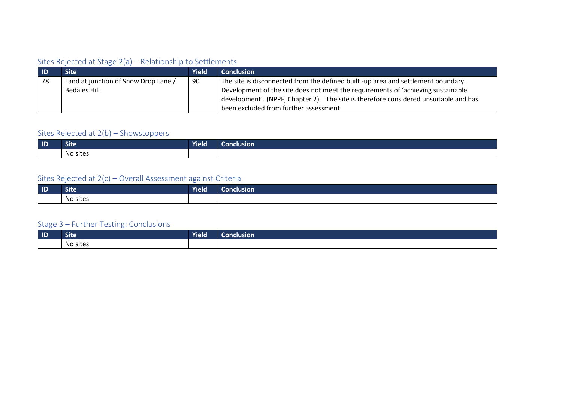#### Sites Rejected at Stage 2(a) – Relationship to Settlements

| $\blacksquare$ | Site                                 | <b>Yield</b> | <b>Conclusion</b>                                                                    |
|----------------|--------------------------------------|--------------|--------------------------------------------------------------------------------------|
| 78             | Land at junction of Snow Drop Lane / | 90           | The site is disconnected from the defined built -up area and settlement boundary.    |
|                | Bedales Hill                         |              | Development of the site does not meet the requirements of 'achieving sustainable     |
|                |                                      |              | development'. (NPPF, Chapter 2). The site is therefore considered unsuitable and has |
|                |                                      |              | been excluded from further assessment.                                               |

### Sites Rejected at 2(b) – Showstoppers

| $\blacksquare$ | <br>Site              | <b>Yield</b> | <b>Conclusion</b> |
|----------------|-----------------------|--------------|-------------------|
|                | $\cdot$ .<br>No sites |              |                   |

### Sites Rejected at 2(c) – Overall Assessment against Criteria

| $\blacksquare$ | ---<br>ͻιτe | <b>Yield</b> | <b>clusion</b> |
|----------------|-------------|--------------|----------------|
|                | No sites    |              |                |

| $\blacksquare$ | $\sim$<br><b>Site</b> | <b>Yield</b> | Conclusion |
|----------------|-----------------------|--------------|------------|
|                | No sites              |              |            |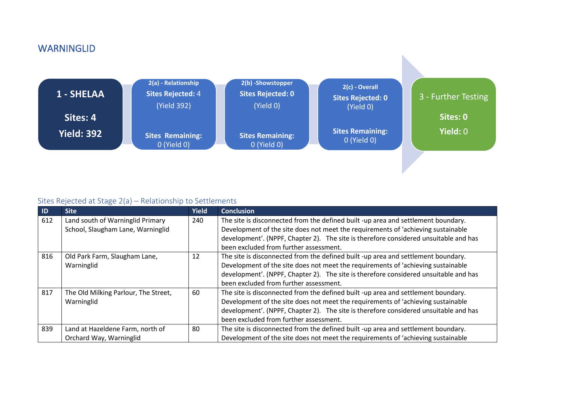### **WARNINGLID**



| ID  | <b>Site</b>                          | <b>Yield</b> | <b>Conclusion</b>                                                                    |
|-----|--------------------------------------|--------------|--------------------------------------------------------------------------------------|
| 612 | Land south of Warninglid Primary     | 240          | The site is disconnected from the defined built -up area and settlement boundary.    |
|     | School, Slaugham Lane, Warninglid    |              | Development of the site does not meet the requirements of 'achieving sustainable     |
|     |                                      |              | development'. (NPPF, Chapter 2). The site is therefore considered unsuitable and has |
|     |                                      |              | been excluded from further assessment.                                               |
| 816 | Old Park Farm, Slaugham Lane,        | 12           | The site is disconnected from the defined built -up area and settlement boundary.    |
|     | Warninglid                           |              | Development of the site does not meet the requirements of 'achieving sustainable     |
|     |                                      |              | development'. (NPPF, Chapter 2). The site is therefore considered unsuitable and has |
|     |                                      |              | been excluded from further assessment.                                               |
| 817 | The Old Milking Parlour, The Street, | 60           | The site is disconnected from the defined built -up area and settlement boundary.    |
|     | Warninglid                           |              | Development of the site does not meet the requirements of 'achieving sustainable     |
|     |                                      |              | development'. (NPPF, Chapter 2). The site is therefore considered unsuitable and has |
|     |                                      |              | been excluded from further assessment.                                               |
| 839 | Land at Hazeldene Farm, north of     | 80           | The site is disconnected from the defined built -up area and settlement boundary.    |
|     | Orchard Way, Warninglid              |              | Development of the site does not meet the requirements of 'achieving sustainable     |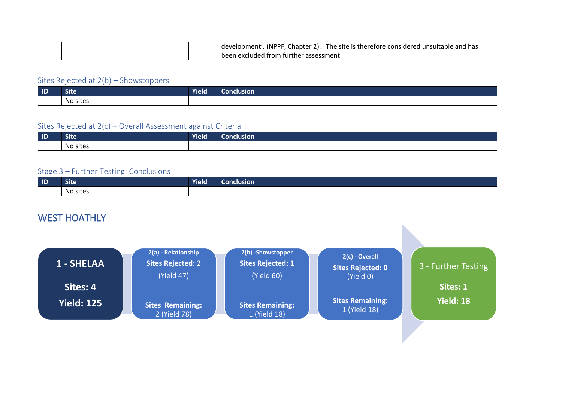|  | The site is therefore considered unsuitable and has<br>(NPPF<br>Thapter 2).<br>development' |
|--|---------------------------------------------------------------------------------------------|
|  | . been excluded from further assessment.                                                    |

| $\blacksquare$ | <b>TABLE</b><br>Site | <b>Yield</b> | Conclusion |
|----------------|----------------------|--------------|------------|
|                | No sites             |              |            |

#### Sites Rejected at 2(c) – Overall Assessment against Criteria

| $\blacksquare$ | <b>Site</b> | .<br>Yield I | lusion<br>40) N.C |
|----------------|-------------|--------------|-------------------|
|                | No sites    |              |                   |

#### Stage 3 – Further Testing: Conclusions

| $\blacksquare$ | <b>VALLEY</b><br>ыте | <b>Yield</b> | Conclusion |
|----------------|----------------------|--------------|------------|
|                | No sites             |              |            |

### WEST HOATHLY

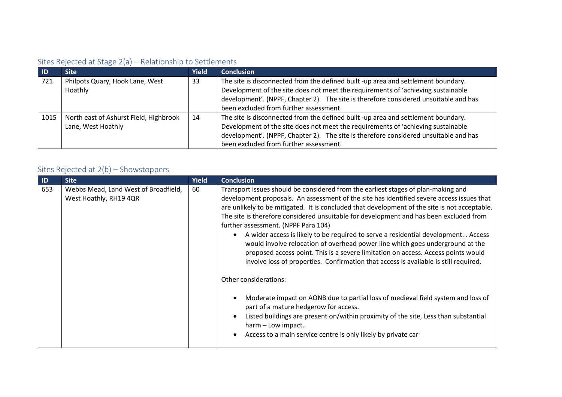### Sites Rejected at Stage 2(a) – Relationship to Settlements

| - ID | <b>Site</b>                            | <b>Yield</b> | <b>Conclusion</b>                                                                    |
|------|----------------------------------------|--------------|--------------------------------------------------------------------------------------|
| 721  | Philpots Quary, Hook Lane, West        | 33           | The site is disconnected from the defined built -up area and settlement boundary.    |
|      | Hoathly                                |              | Development of the site does not meet the requirements of 'achieving sustainable     |
|      |                                        |              | development'. (NPPF, Chapter 2). The site is therefore considered unsuitable and has |
|      |                                        |              | been excluded from further assessment.                                               |
| 1015 | North east of Ashurst Field, Highbrook | 14           | The site is disconnected from the defined built -up area and settlement boundary.    |
|      | Lane, West Hoathly                     |              | Development of the site does not meet the requirements of 'achieving sustainable     |
|      |                                        |              | development'. (NPPF, Chapter 2). The site is therefore considered unsuitable and has |
|      |                                        |              | been excluded from further assessment.                                               |

| ID  | <b>Site</b>                                                    | <b>Yield</b> | <b>Conclusion</b>                                                                                                                                                                                                                                                                                                                                                                                                                                                                                                                                                                                                                                                                                                                                                                               |
|-----|----------------------------------------------------------------|--------------|-------------------------------------------------------------------------------------------------------------------------------------------------------------------------------------------------------------------------------------------------------------------------------------------------------------------------------------------------------------------------------------------------------------------------------------------------------------------------------------------------------------------------------------------------------------------------------------------------------------------------------------------------------------------------------------------------------------------------------------------------------------------------------------------------|
| 653 | Webbs Mead, Land West of Broadfield,<br>West Hoathly, RH19 4QR | 60           | Transport issues should be considered from the earliest stages of plan-making and<br>development proposals. An assessment of the site has identified severe access issues that<br>are unlikely to be mitigated. It is concluded that development of the site is not acceptable.<br>The site is therefore considered unsuitable for development and has been excluded from<br>further assessment. (NPPF Para 104)<br>A wider access is likely to be required to serve a residential development. . Access<br>would involve relocation of overhead power line which goes underground at the<br>proposed access point. This is a severe limitation on access. Access points would<br>involve loss of properties. Confirmation that access is available is still required.<br>Other considerations: |
|     |                                                                |              | Moderate impact on AONB due to partial loss of medieval field system and loss of<br>part of a mature hedgerow for access.                                                                                                                                                                                                                                                                                                                                                                                                                                                                                                                                                                                                                                                                       |
|     |                                                                |              | Listed buildings are present on/within proximity of the site, Less than substantial<br>harm - Low impact.                                                                                                                                                                                                                                                                                                                                                                                                                                                                                                                                                                                                                                                                                       |
|     |                                                                |              | Access to a main service centre is only likely by private car                                                                                                                                                                                                                                                                                                                                                                                                                                                                                                                                                                                                                                                                                                                                   |